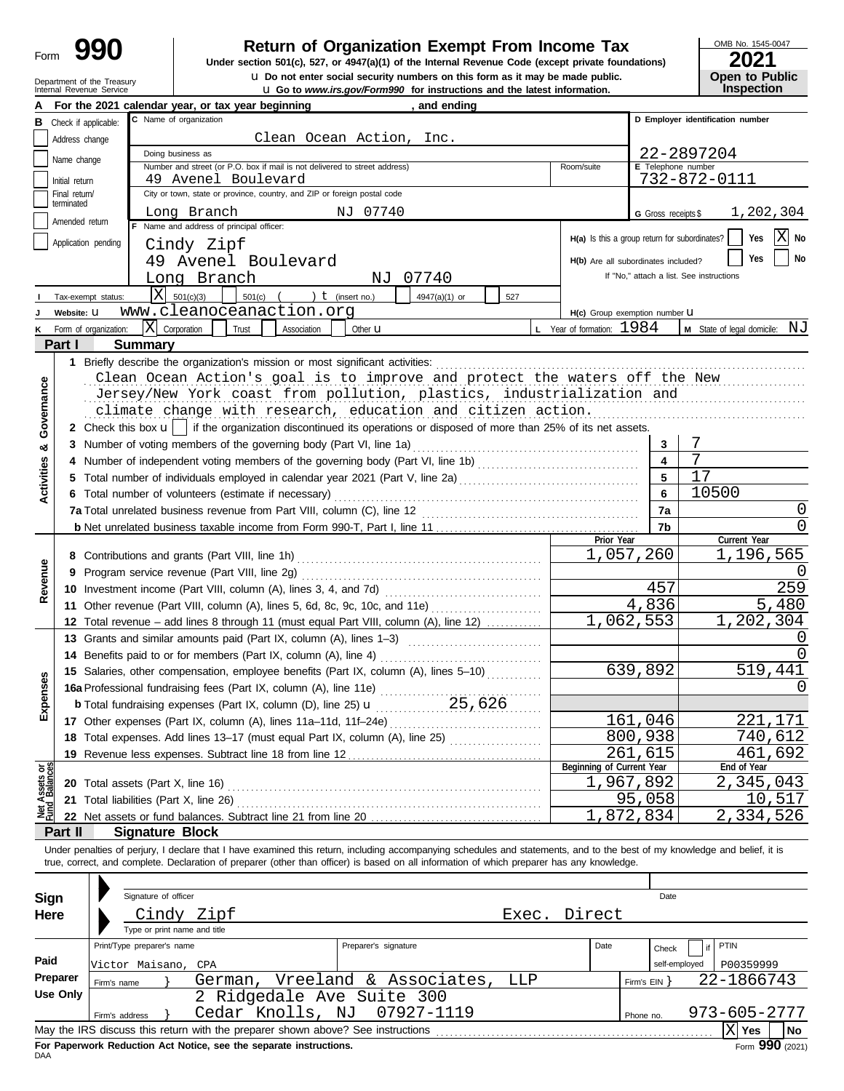## **Concerent Constructs** Return of Organization Exempt From Income Tax

**u** Do not enter social security numbers on this form as it may be made public.<br> **Open to Public**  $\frac{1}{2}$  Co. to Public Contract on Public Line is public. **Under section 501(c), 527, or 4947(a)(1) of the Internal Revenue Code (except private foundations)** OMB No. 1545-0047

| ZUZ I             |                       |
|-------------------|-----------------------|
|                   | <b>Open to Public</b> |
| <b>Inspection</b> |                       |

| <b>u</b> Do not enter social security numbers on this form as it may be made public.<br>Department of the Treasury<br>Internal Revenue Service<br><b>u</b> Go to <i>www.irs.gov/Form990</i> for instructions and the latest information. |                                 |                            |                                                                                    |                                                                                                   |                           |                      | <b>Open to Public</b><br><b>Inspection</b>                                                                                                                                 |                        |                                     |                     |                                               |                                                   |  |
|------------------------------------------------------------------------------------------------------------------------------------------------------------------------------------------------------------------------------------------|---------------------------------|----------------------------|------------------------------------------------------------------------------------|---------------------------------------------------------------------------------------------------|---------------------------|----------------------|----------------------------------------------------------------------------------------------------------------------------------------------------------------------------|------------------------|-------------------------------------|---------------------|-----------------------------------------------|---------------------------------------------------|--|
|                                                                                                                                                                                                                                          |                                 |                            |                                                                                    | For the 2021 calendar year, or tax year beginning                                                 |                           |                      | , and ending                                                                                                                                                               |                        |                                     |                     |                                               |                                                   |  |
|                                                                                                                                                                                                                                          | <b>B</b> Check if applicable:   |                            |                                                                                    | C Name of organization                                                                            |                           |                      |                                                                                                                                                                            |                        |                                     |                     | D Employer identification number              |                                                   |  |
|                                                                                                                                                                                                                                          | Address change                  |                            | Clean Ocean Action, Inc.                                                           |                                                                                                   |                           |                      |                                                                                                                                                                            |                        |                                     |                     |                                               |                                                   |  |
|                                                                                                                                                                                                                                          | Name change                     |                            |                                                                                    | Doing business as                                                                                 |                           |                      |                                                                                                                                                                            |                        |                                     | 22-2897204          |                                               |                                                   |  |
|                                                                                                                                                                                                                                          |                                 |                            |                                                                                    | Number and street (or P.O. box if mail is not delivered to street address)<br>49 Avenel Boulevard |                           |                      |                                                                                                                                                                            |                        | Room/suite                          |                     | E Telephone number<br>732-872-0111            |                                                   |  |
|                                                                                                                                                                                                                                          | Initial return<br>Final return/ |                            |                                                                                    | City or town, state or province, country, and ZIP or foreign postal code                          |                           |                      |                                                                                                                                                                            |                        |                                     |                     |                                               |                                                   |  |
|                                                                                                                                                                                                                                          | terminated                      |                            |                                                                                    | Long Branch                                                                                       |                           | NJ 07740             |                                                                                                                                                                            |                        |                                     | G Gross receipts \$ |                                               | 1,202,304                                         |  |
|                                                                                                                                                                                                                                          | Amended return                  |                            |                                                                                    | Name and address of principal officer:                                                            |                           |                      |                                                                                                                                                                            |                        |                                     |                     |                                               |                                                   |  |
|                                                                                                                                                                                                                                          | Application pending             |                            |                                                                                    | Cindy Zipf                                                                                        |                           |                      |                                                                                                                                                                            |                        |                                     |                     | H(a) Is this a group return for subordinates? | $ X $ No<br>Yes                                   |  |
|                                                                                                                                                                                                                                          |                                 |                            |                                                                                    | 49 Avenel Boulevard                                                                               |                           |                      |                                                                                                                                                                            |                        | H(b) Are all subordinates included? |                     |                                               | Yes<br>No                                         |  |
|                                                                                                                                                                                                                                          |                                 |                            |                                                                                    | Long Branch                                                                                       |                           | NJ                   | 07740                                                                                                                                                                      |                        |                                     |                     | If "No," attach a list. See instructions      |                                                   |  |
|                                                                                                                                                                                                                                          | Tax-exempt status:              |                            |                                                                                    | $X \ 501(c)(3)$<br>$501(c)$ (                                                                     |                           | ) $t$ (insert no.)   | 4947(a)(1) or<br>527                                                                                                                                                       |                        |                                     |                     |                                               |                                                   |  |
|                                                                                                                                                                                                                                          | Website: U                      |                            |                                                                                    | www.cleanoceanaction.org                                                                          |                           |                      |                                                                                                                                                                            |                        | H(c) Group exemption number U       |                     |                                               |                                                   |  |
|                                                                                                                                                                                                                                          | Form of organization:           |                            | $ X $ Corporation                                                                  | Trust                                                                                             | Association               | Other <b>u</b>       |                                                                                                                                                                            |                        | <b>L</b> Year of formation: $1984$  |                     |                                               | <b>M</b> State of legal domicile: $\overline{NJ}$ |  |
|                                                                                                                                                                                                                                          | Part I                          |                            | <b>Summary</b>                                                                     |                                                                                                   |                           |                      |                                                                                                                                                                            |                        |                                     |                     |                                               |                                                   |  |
|                                                                                                                                                                                                                                          |                                 |                            |                                                                                    | 1 Briefly describe the organization's mission or most significant activities:                     |                           |                      |                                                                                                                                                                            |                        |                                     |                     |                                               |                                                   |  |
|                                                                                                                                                                                                                                          |                                 |                            |                                                                                    |                                                                                                   |                           |                      | Clean Ocean Action's goal is to improve and protect the waters off the New                                                                                                 |                        |                                     |                     |                                               |                                                   |  |
|                                                                                                                                                                                                                                          |                                 |                            |                                                                                    |                                                                                                   |                           |                      | Jersey/New York coast from pollution, plastics, industrialization and                                                                                                      |                        |                                     |                     |                                               |                                                   |  |
|                                                                                                                                                                                                                                          |                                 |                            |                                                                                    |                                                                                                   |                           |                      | climate change with research, education and citizen action.                                                                                                                |                        |                                     |                     |                                               |                                                   |  |
| Governance                                                                                                                                                                                                                               |                                 |                            |                                                                                    |                                                                                                   |                           |                      | 2 Check this box $\mathbf{u}$   if the organization discontinued its operations or disposed of more than 25% of its net assets.                                            |                        |                                     |                     |                                               |                                                   |  |
| ಯ                                                                                                                                                                                                                                        |                                 |                            |                                                                                    | 3 Number of voting members of the governing body (Part VI, line 1a)                               |                           |                      |                                                                                                                                                                            |                        |                                     | 3                   | 7                                             |                                                   |  |
|                                                                                                                                                                                                                                          | 4                               |                            |                                                                                    |                                                                                                   |                           |                      | Number of independent voting members of the governing body (Part VI, line 1b) [[[[[[[[[[[[[[[[[[[[[[[[[[[[[[[                                                              |                        |                                     | 4                   | 7                                             |                                                   |  |
| <b>Activities</b>                                                                                                                                                                                                                        | 5.                              |                            |                                                                                    |                                                                                                   |                           |                      | Total number of individuals employed in calendar year 2021 (Part V, line 2a) [[[[[[[[[[[[[[[[[[[[[[[[[[[[[[[[                                                              |                        |                                     | 5                   | 17                                            |                                                   |  |
|                                                                                                                                                                                                                                          |                                 |                            |                                                                                    | 6 Total number of volunteers (estimate if necessary)                                              |                           |                      |                                                                                                                                                                            |                        |                                     | 6                   | 10500                                         |                                                   |  |
|                                                                                                                                                                                                                                          |                                 |                            |                                                                                    |                                                                                                   |                           |                      |                                                                                                                                                                            |                        |                                     | 7a                  |                                               | 0                                                 |  |
|                                                                                                                                                                                                                                          |                                 |                            |                                                                                    |                                                                                                   |                           |                      |                                                                                                                                                                            |                        | Prior Year                          | 7b                  |                                               | 0<br>Current Year                                 |  |
|                                                                                                                                                                                                                                          |                                 |                            |                                                                                    |                                                                                                   |                           |                      |                                                                                                                                                                            |                        |                                     | 1,057,260           |                                               | 1,196,565                                         |  |
|                                                                                                                                                                                                                                          | 9                               |                            |                                                                                    |                                                                                                   |                           |                      |                                                                                                                                                                            |                        |                                     |                     |                                               |                                                   |  |
| Revenue                                                                                                                                                                                                                                  |                                 |                            |                                                                                    |                                                                                                   |                           |                      |                                                                                                                                                                            |                        |                                     | 457                 |                                               | 259                                               |  |
|                                                                                                                                                                                                                                          |                                 |                            |                                                                                    |                                                                                                   |                           |                      | 11 Other revenue (Part VIII, column (A), lines 5, 6d, 8c, 9c, 10c, and 11e)                                                                                                |                        |                                     | 4,836               |                                               | 5,480                                             |  |
|                                                                                                                                                                                                                                          | 12                              |                            | Total revenue – add lines 8 through 11 (must equal Part VIII, column (A), line 12) |                                                                                                   |                           |                      |                                                                                                                                                                            |                        |                                     | 1,062,553           |                                               | 1,202,304                                         |  |
|                                                                                                                                                                                                                                          |                                 |                            |                                                                                    |                                                                                                   |                           |                      | 13 Grants and similar amounts paid (Part IX, column (A), lines 1-3)                                                                                                        |                        |                                     |                     |                                               | O                                                 |  |
|                                                                                                                                                                                                                                          |                                 |                            |                                                                                    |                                                                                                   |                           |                      |                                                                                                                                                                            |                        |                                     |                     |                                               |                                                   |  |
|                                                                                                                                                                                                                                          |                                 |                            |                                                                                    |                                                                                                   |                           |                      | 15 Salaries, other compensation, employee benefits (Part IX, column (A), lines 5-10)                                                                                       |                        |                                     | 639,892             |                                               | 519,441                                           |  |
| ises                                                                                                                                                                                                                                     |                                 |                            |                                                                                    | 16a Professional fundraising fees (Part IX, column (A), line 11e)                                 |                           |                      |                                                                                                                                                                            |                        |                                     |                     |                                               | $\left( \right)$                                  |  |
| Exper                                                                                                                                                                                                                                    |                                 |                            |                                                                                    |                                                                                                   |                           |                      |                                                                                                                                                                            |                        |                                     |                     |                                               |                                                   |  |
|                                                                                                                                                                                                                                          |                                 |                            |                                                                                    |                                                                                                   |                           |                      |                                                                                                                                                                            |                        |                                     | 161,046             |                                               | 221,171                                           |  |
|                                                                                                                                                                                                                                          |                                 |                            |                                                                                    |                                                                                                   |                           |                      |                                                                                                                                                                            |                        |                                     | 800,938             |                                               | 740,612                                           |  |
|                                                                                                                                                                                                                                          |                                 |                            |                                                                                    | 19 Revenue less expenses. Subtract line 18 from line 12                                           | Beginning of Current Year | 261,615              |                                                                                                                                                                            | 461,692<br>End of Year |                                     |                     |                                               |                                                   |  |
| Net Assets or<br>Fund Balances                                                                                                                                                                                                           |                                 |                            |                                                                                    |                                                                                                   |                           |                      |                                                                                                                                                                            |                        |                                     | 1,967,892           |                                               | 2,345,043                                         |  |
|                                                                                                                                                                                                                                          | 21                              |                            |                                                                                    | Total liabilities (Part X, line 26)                                                               |                           |                      |                                                                                                                                                                            |                        |                                     | 95,058              |                                               | 10,517                                            |  |
|                                                                                                                                                                                                                                          |                                 |                            |                                                                                    |                                                                                                   |                           |                      |                                                                                                                                                                            |                        |                                     | 1,872,834           |                                               | 2,334,526                                         |  |
|                                                                                                                                                                                                                                          | Part II                         |                            |                                                                                    | <b>Signature Block</b>                                                                            |                           |                      |                                                                                                                                                                            |                        |                                     |                     |                                               |                                                   |  |
|                                                                                                                                                                                                                                          |                                 |                            |                                                                                    |                                                                                                   |                           |                      | Under penalties of perjury, I declare that I have examined this return, including accompanying schedules and statements, and to the best of my knowledge and belief, it is |                        |                                     |                     |                                               |                                                   |  |
|                                                                                                                                                                                                                                          |                                 |                            |                                                                                    |                                                                                                   |                           |                      | true, correct, and complete. Declaration of preparer (other than officer) is based on all information of which preparer has any knowledge.                                 |                        |                                     |                     |                                               |                                                   |  |
|                                                                                                                                                                                                                                          |                                 |                            |                                                                                    |                                                                                                   |                           |                      |                                                                                                                                                                            |                        |                                     |                     |                                               |                                                   |  |
|                                                                                                                                                                                                                                          | <b>Sign</b>                     |                            | Signature of officer                                                               |                                                                                                   |                           |                      |                                                                                                                                                                            |                        |                                     | Date                |                                               |                                                   |  |
|                                                                                                                                                                                                                                          | Here                            |                            |                                                                                    | Cindy Zipf                                                                                        |                           |                      |                                                                                                                                                                            | Exec.                  | Direct                              |                     |                                               |                                                   |  |
|                                                                                                                                                                                                                                          |                                 |                            |                                                                                    | Type or print name and title                                                                      |                           |                      |                                                                                                                                                                            |                        |                                     |                     |                                               |                                                   |  |
|                                                                                                                                                                                                                                          |                                 | Print/Type preparer's name |                                                                                    |                                                                                                   |                           | Preparer's signature |                                                                                                                                                                            |                        | Date                                | Check               | PTIN                                          |                                                   |  |
| Paid                                                                                                                                                                                                                                     |                                 | Victor Maisano,            |                                                                                    | CPA                                                                                               |                           |                      |                                                                                                                                                                            |                        |                                     |                     | self-employed                                 | P00359999                                         |  |
|                                                                                                                                                                                                                                          | Preparer                        | Firm's name                |                                                                                    | German, Vreeland & Associates,                                                                    |                           |                      | LLP                                                                                                                                                                        |                        |                                     | Firm's $EIN$ }      |                                               | 22-1866743                                        |  |
|                                                                                                                                                                                                                                          | <b>Use Only</b>                 |                            |                                                                                    | 2 Ridgedale Ave Suite 300                                                                         |                           |                      |                                                                                                                                                                            |                        |                                     |                     |                                               |                                                   |  |
|                                                                                                                                                                                                                                          |                                 | Firm's address             |                                                                                    | Cedar Knolls, NJ                                                                                  |                           |                      | 07927-1119                                                                                                                                                                 |                        |                                     | Phone no.           |                                               | 973-605-2777                                      |  |
|                                                                                                                                                                                                                                          |                                 |                            |                                                                                    |                                                                                                   |                           |                      |                                                                                                                                                                            |                        |                                     |                     |                                               | $ X $ Yes<br>No                                   |  |

| Sign     |                            | Signature of officer |                                                                   |  |                                                                                 |       |        |                | Date        |              |                           |
|----------|----------------------------|----------------------|-------------------------------------------------------------------|--|---------------------------------------------------------------------------------|-------|--------|----------------|-------------|--------------|---------------------------|
| Here     |                            | Cindy                | Zipf                                                              |  |                                                                                 | Exec. | Direct |                |             |              |                           |
|          |                            |                      | Type or print name and title                                      |  |                                                                                 |       |        |                |             |              |                           |
|          | Print/Type preparer's name |                      |                                                                   |  | Preparer's signature                                                            |       | Date   |                | if<br>Check | PTIN         |                           |
| Paid     | Victor Maisano, CPA        |                      |                                                                   |  |                                                                                 |       |        | self-employed  | P00359999   |              |                           |
| Preparer | Firm's name                |                      |                                                                   |  | German, Vreeland & Associates,                                                  | LLP   |        | Firm's $EIN$ } |             | 22-1866743   |                           |
| Use Only |                            |                      |                                                                   |  | 2 Ridgedale Ave Suite 300                                                       |       |        |                |             |              |                           |
|          | Firm's address             |                      |                                                                   |  | Cedar Knolls, NJ 07927-1119                                                     |       |        | Phone no.      |             | 973-605-2777 |                           |
|          |                            |                      |                                                                   |  | May the IRS discuss this return with the preparer shown above? See instructions |       |        |                |             | Yes          | No                        |
|          |                            |                      | For Panerwork Reduction Act Notice, see the senarate instructions |  |                                                                                 |       |        |                |             |              | $F_{\text{c}}$ QQ0 (2021) |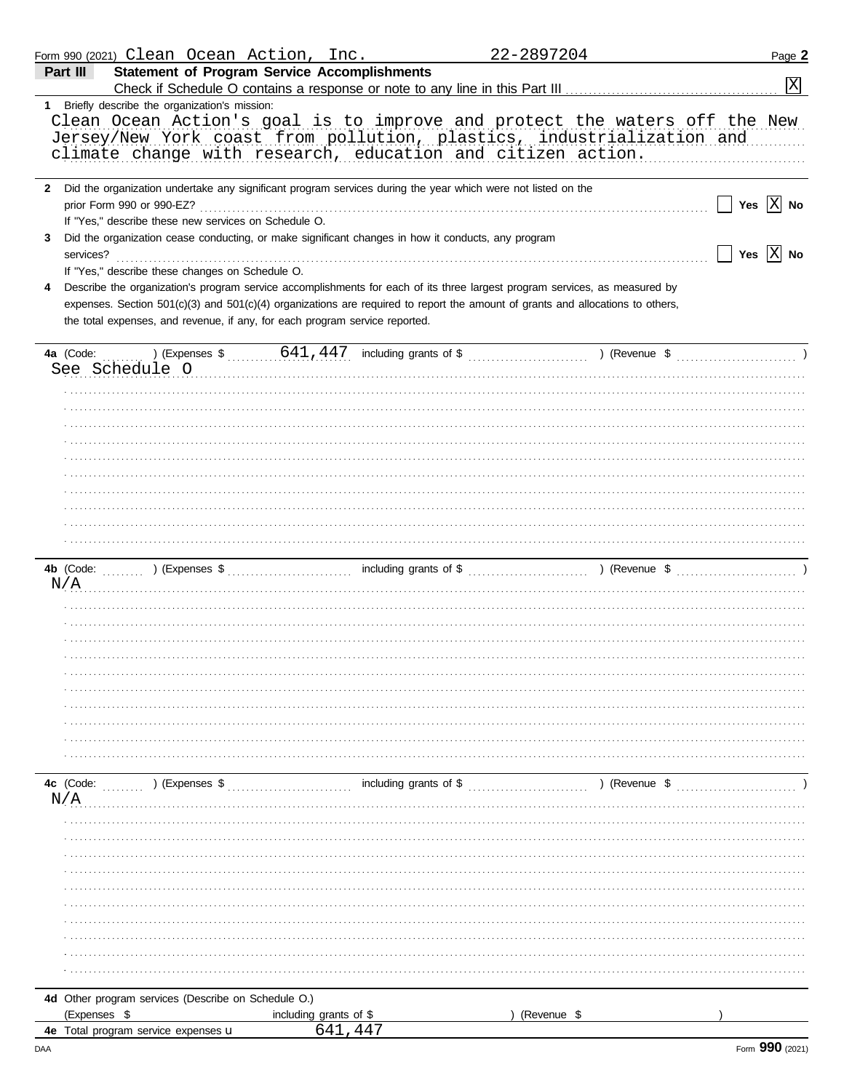|                | Form 990 (2021) Clean Ocean Action, Inc.                                                                                                                                                                                                                                                                                                    |                        | 22-2897204                                                                                                                                                                                                                                                                                                 | Page 2                |
|----------------|---------------------------------------------------------------------------------------------------------------------------------------------------------------------------------------------------------------------------------------------------------------------------------------------------------------------------------------------|------------------------|------------------------------------------------------------------------------------------------------------------------------------------------------------------------------------------------------------------------------------------------------------------------------------------------------------|-----------------------|
| Part III       | <b>Statement of Program Service Accomplishments</b>                                                                                                                                                                                                                                                                                         |                        |                                                                                                                                                                                                                                                                                                            |                       |
|                |                                                                                                                                                                                                                                                                                                                                             |                        |                                                                                                                                                                                                                                                                                                            | X                     |
|                | 1 Briefly describe the organization's mission:<br>climate change with research, education and citizen action.                                                                                                                                                                                                                               |                        | Clean Ocean Action's goal is to improve and protect the waters off the New<br>Jersey/New York coast from pollution, plastics, industrialization and                                                                                                                                                        |                       |
|                | 2 Did the organization undertake any significant program services during the year which were not listed on the<br>prior Form 990 or 990-EZ?<br>If "Yes," describe these new services on Schedule O.                                                                                                                                         |                        |                                                                                                                                                                                                                                                                                                            | Yes $\overline{X}$ No |
| 3<br>services? | Did the organization cease conducting, or make significant changes in how it conducts, any program<br>If "Yes," describe these changes on Schedule O.                                                                                                                                                                                       |                        |                                                                                                                                                                                                                                                                                                            | Yes $\overline{X}$ No |
|                | Describe the organization's program service accomplishments for each of its three largest program services, as measured by<br>expenses. Section 501(c)(3) and 501(c)(4) organizations are required to report the amount of grants and allocations to others,<br>the total expenses, and revenue, if any, for each program service reported. |                        |                                                                                                                                                                                                                                                                                                            |                       |
| 4a (Code:      |                                                                                                                                                                                                                                                                                                                                             |                        | ) (Expenses $\frac{1}{2}$ , $\frac{641,447}{447}$ including grants of $\frac{1}{2}$ , $\frac{1}{2}$ , $\frac{1}{2}$ (Revenue $\frac{1}{2}$ , $\frac{1}{2}$ , $\frac{1}{2}$ , $\frac{1}{2}$ , $\frac{1}{2}$ , $\frac{1}{2}$ , $\frac{1}{2}$ , $\frac{1}{2}$ , $\frac{1}{2}$ , $\frac{1}{2}$ , $\frac{1}{2}$ |                       |
|                | See Schedule O                                                                                                                                                                                                                                                                                                                              |                        |                                                                                                                                                                                                                                                                                                            |                       |
|                |                                                                                                                                                                                                                                                                                                                                             |                        |                                                                                                                                                                                                                                                                                                            |                       |
|                |                                                                                                                                                                                                                                                                                                                                             |                        |                                                                                                                                                                                                                                                                                                            |                       |
|                |                                                                                                                                                                                                                                                                                                                                             |                        |                                                                                                                                                                                                                                                                                                            |                       |
|                |                                                                                                                                                                                                                                                                                                                                             |                        |                                                                                                                                                                                                                                                                                                            |                       |
|                |                                                                                                                                                                                                                                                                                                                                             |                        |                                                                                                                                                                                                                                                                                                            |                       |
|                |                                                                                                                                                                                                                                                                                                                                             |                        |                                                                                                                                                                                                                                                                                                            |                       |
|                |                                                                                                                                                                                                                                                                                                                                             |                        |                                                                                                                                                                                                                                                                                                            |                       |
|                |                                                                                                                                                                                                                                                                                                                                             |                        |                                                                                                                                                                                                                                                                                                            |                       |
|                |                                                                                                                                                                                                                                                                                                                                             |                        |                                                                                                                                                                                                                                                                                                            |                       |
|                |                                                                                                                                                                                                                                                                                                                                             |                        |                                                                                                                                                                                                                                                                                                            |                       |
|                |                                                                                                                                                                                                                                                                                                                                             |                        |                                                                                                                                                                                                                                                                                                            |                       |
| N/A            |                                                                                                                                                                                                                                                                                                                                             |                        |                                                                                                                                                                                                                                                                                                            |                       |
|                |                                                                                                                                                                                                                                                                                                                                             |                        |                                                                                                                                                                                                                                                                                                            |                       |
|                |                                                                                                                                                                                                                                                                                                                                             |                        |                                                                                                                                                                                                                                                                                                            |                       |
|                |                                                                                                                                                                                                                                                                                                                                             |                        |                                                                                                                                                                                                                                                                                                            |                       |
|                |                                                                                                                                                                                                                                                                                                                                             |                        |                                                                                                                                                                                                                                                                                                            |                       |
|                |                                                                                                                                                                                                                                                                                                                                             |                        |                                                                                                                                                                                                                                                                                                            |                       |
|                |                                                                                                                                                                                                                                                                                                                                             |                        |                                                                                                                                                                                                                                                                                                            |                       |
|                |                                                                                                                                                                                                                                                                                                                                             |                        |                                                                                                                                                                                                                                                                                                            |                       |
|                |                                                                                                                                                                                                                                                                                                                                             |                        |                                                                                                                                                                                                                                                                                                            |                       |
|                |                                                                                                                                                                                                                                                                                                                                             |                        |                                                                                                                                                                                                                                                                                                            |                       |
|                |                                                                                                                                                                                                                                                                                                                                             |                        |                                                                                                                                                                                                                                                                                                            |                       |
| 4c (Code:      | ) (Expenses \$                                                                                                                                                                                                                                                                                                                              | including grants of \$ | ) (Revenue \$                                                                                                                                                                                                                                                                                              |                       |
| N/A            |                                                                                                                                                                                                                                                                                                                                             |                        |                                                                                                                                                                                                                                                                                                            |                       |
|                |                                                                                                                                                                                                                                                                                                                                             |                        |                                                                                                                                                                                                                                                                                                            |                       |
|                |                                                                                                                                                                                                                                                                                                                                             |                        |                                                                                                                                                                                                                                                                                                            |                       |
|                |                                                                                                                                                                                                                                                                                                                                             |                        |                                                                                                                                                                                                                                                                                                            |                       |
|                |                                                                                                                                                                                                                                                                                                                                             |                        |                                                                                                                                                                                                                                                                                                            |                       |
|                |                                                                                                                                                                                                                                                                                                                                             |                        |                                                                                                                                                                                                                                                                                                            |                       |
|                |                                                                                                                                                                                                                                                                                                                                             |                        |                                                                                                                                                                                                                                                                                                            |                       |
|                |                                                                                                                                                                                                                                                                                                                                             |                        |                                                                                                                                                                                                                                                                                                            |                       |
|                |                                                                                                                                                                                                                                                                                                                                             |                        |                                                                                                                                                                                                                                                                                                            |                       |
|                |                                                                                                                                                                                                                                                                                                                                             |                        |                                                                                                                                                                                                                                                                                                            |                       |
|                |                                                                                                                                                                                                                                                                                                                                             |                        |                                                                                                                                                                                                                                                                                                            |                       |
|                | 4d Other program services (Describe on Schedule O.)                                                                                                                                                                                                                                                                                         |                        |                                                                                                                                                                                                                                                                                                            |                       |
|                | (Expenses \$                                                                                                                                                                                                                                                                                                                                | including grants of \$ | (Revenue \$                                                                                                                                                                                                                                                                                                |                       |
|                | 4e Total program service expenses u                                                                                                                                                                                                                                                                                                         | 641,447                |                                                                                                                                                                                                                                                                                                            |                       |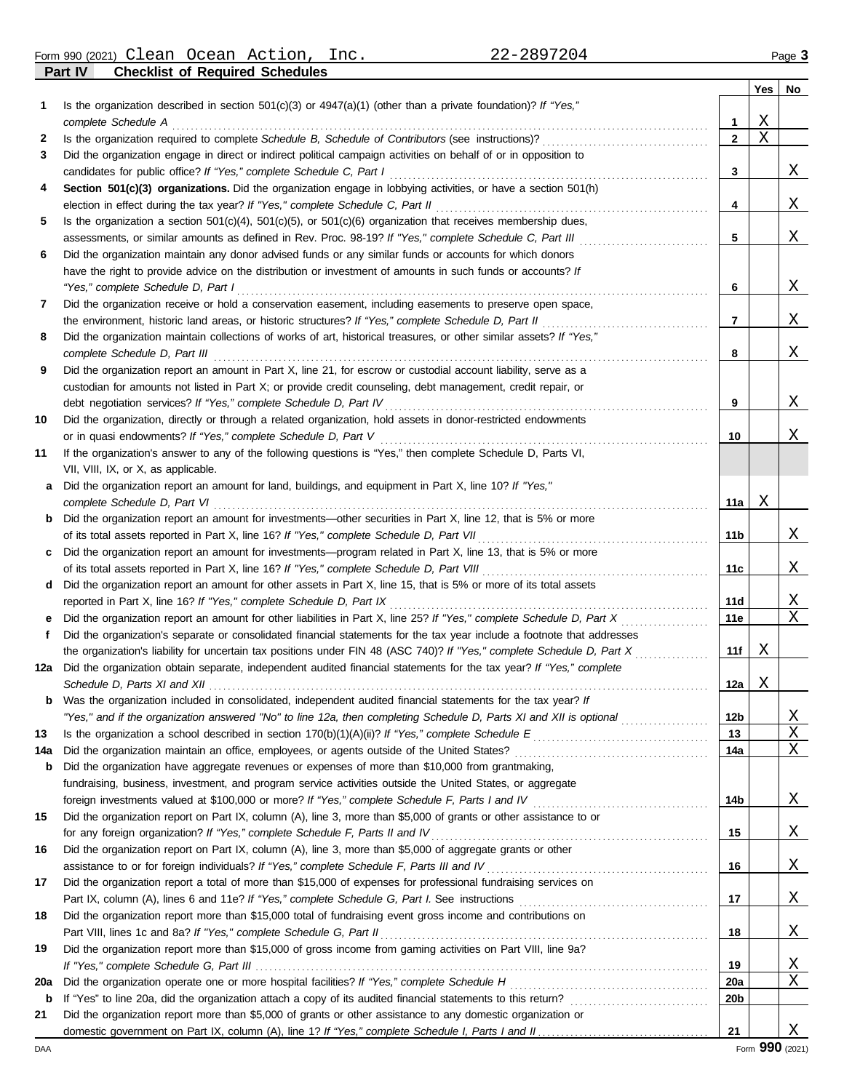Form 990 (2021) Page **3** Clean Ocean Action, Inc. 22-2897204

**Part IV Checklist of Required Schedules**

|     |                                                                                                                                                        |                 | Yes | No |
|-----|--------------------------------------------------------------------------------------------------------------------------------------------------------|-----------------|-----|----|
| 1   | Is the organization described in section $501(c)(3)$ or $4947(a)(1)$ (other than a private foundation)? If "Yes,"                                      |                 |     |    |
|     | complete Schedule A                                                                                                                                    | 1               | Χ   |    |
| 2   |                                                                                                                                                        | $\mathbf{2}$    | Χ   |    |
| 3   | Did the organization engage in direct or indirect political campaign activities on behalf of or in opposition to                                       |                 |     |    |
|     | candidates for public office? If "Yes," complete Schedule C, Part I                                                                                    | 3               |     | X  |
| 4   | Section 501(c)(3) organizations. Did the organization engage in lobbying activities, or have a section 501(h)                                          |                 |     |    |
|     |                                                                                                                                                        | 4               |     | X  |
| 5   | Is the organization a section $501(c)(4)$ , $501(c)(5)$ , or $501(c)(6)$ organization that receives membership dues,                                   |                 |     |    |
|     | assessments, or similar amounts as defined in Rev. Proc. 98-19? If "Yes," complete Schedule C, Part III                                                | 5               |     | Χ  |
| 6   | Did the organization maintain any donor advised funds or any similar funds or accounts for which donors                                                |                 |     |    |
|     | have the right to provide advice on the distribution or investment of amounts in such funds or accounts? If                                            |                 |     |    |
|     | "Yes," complete Schedule D, Part I                                                                                                                     | 6               |     | X  |
| 7   | Did the organization receive or hold a conservation easement, including easements to preserve open space,                                              |                 |     |    |
|     | the environment, historic land areas, or historic structures? If "Yes," complete Schedule D, Part II                                                   | 7               |     | X  |
| 8   | Did the organization maintain collections of works of art, historical treasures, or other similar assets? If "Yes,"<br>complete Schedule D, Part III   | 8               |     | Χ  |
| 9   | Did the organization report an amount in Part X, line 21, for escrow or custodial account liability, serve as a                                        |                 |     |    |
|     | custodian for amounts not listed in Part X; or provide credit counseling, debt management, credit repair, or                                           |                 |     |    |
|     |                                                                                                                                                        | 9               |     | X  |
| 10  | Did the organization, directly or through a related organization, hold assets in donor-restricted endowments                                           |                 |     |    |
|     |                                                                                                                                                        | 10              |     | Χ  |
| 11  | If the organization's answer to any of the following questions is "Yes," then complete Schedule D, Parts VI,                                           |                 |     |    |
|     | VII, VIII, IX, or X, as applicable.                                                                                                                    |                 |     |    |
| a   | Did the organization report an amount for land, buildings, and equipment in Part X, line 10? If "Yes,"                                                 |                 | х   |    |
|     | complete Schedule D, Part VI<br><b>b</b> Did the organization report an amount for investments—other securities in Part X, line 12, that is 5% or more | 11a             |     |    |
|     | of its total assets reported in Part X, line 16? If "Yes," complete Schedule D, Part VII                                                               | 11b             |     | X  |
| C   | Did the organization report an amount for investments—program related in Part X, line 13, that is 5% or more                                           |                 |     |    |
|     |                                                                                                                                                        | 11c             |     | X  |
| d   | Did the organization report an amount for other assets in Part X, line 15, that is 5% or more of its total assets                                      |                 |     |    |
|     | reported in Part X, line 16? If "Yes," complete Schedule D, Part IX                                                                                    | 11d             |     | X  |
| е   | Did the organization report an amount for other liabilities in Part X, line 25? If "Yes," complete Schedule D, Part X                                  | <b>11e</b>      |     | Χ  |
| f.  | Did the organization's separate or consolidated financial statements for the tax year include a footnote that addresses                                |                 |     |    |
|     | the organization's liability for uncertain tax positions under FIN 48 (ASC 740)? If "Yes," complete Schedule D, Part X                                 | 11f             | Х   |    |
| 12a | Did the organization obtain separate, independent audited financial statements for the tax year? If "Yes," complete                                    |                 |     |    |
|     |                                                                                                                                                        | 12a             | Χ   |    |
| b   | Was the organization included in consolidated, independent audited financial statements for the tax year? If                                           |                 |     |    |
|     | "Yes," and if the organization answered "No" to line 12a, then completing Schedule D, Parts XI and XII is optional                                     | 12 <sub>b</sub> |     | Χ  |
| 13  |                                                                                                                                                        | 13              |     | Χ  |
| 14a |                                                                                                                                                        | 14a             |     | Χ  |
| b   | Did the organization have aggregate revenues or expenses of more than \$10,000 from grantmaking,                                                       |                 |     |    |
|     | fundraising, business, investment, and program service activities outside the United States, or aggregate                                              |                 |     |    |
| 15  | Did the organization report on Part IX, column (A), line 3, more than \$5,000 of grants or other assistance to or                                      | 14b             |     | X  |
|     | for any foreign organization? If "Yes," complete Schedule F, Parts II and IV                                                                           | 15              |     | X  |
| 16  | Did the organization report on Part IX, column (A), line 3, more than \$5,000 of aggregate grants or other                                             |                 |     |    |
|     |                                                                                                                                                        | 16              |     | X  |
| 17  | Did the organization report a total of more than \$15,000 of expenses for professional fundraising services on                                         |                 |     |    |
|     |                                                                                                                                                        | 17              |     | X  |
| 18  | Did the organization report more than \$15,000 total of fundraising event gross income and contributions on                                            |                 |     |    |
|     |                                                                                                                                                        | 18              |     | X  |
| 19  | Did the organization report more than \$15,000 of gross income from gaming activities on Part VIII, line 9a?                                           |                 |     |    |
|     |                                                                                                                                                        | 19              |     | X  |
| 20a |                                                                                                                                                        | <b>20a</b>      |     | Χ  |
| b   |                                                                                                                                                        | 20b             |     |    |
| 21  | Did the organization report more than \$5,000 of grants or other assistance to any domestic organization or                                            |                 |     |    |
|     |                                                                                                                                                        | 21              |     | Χ  |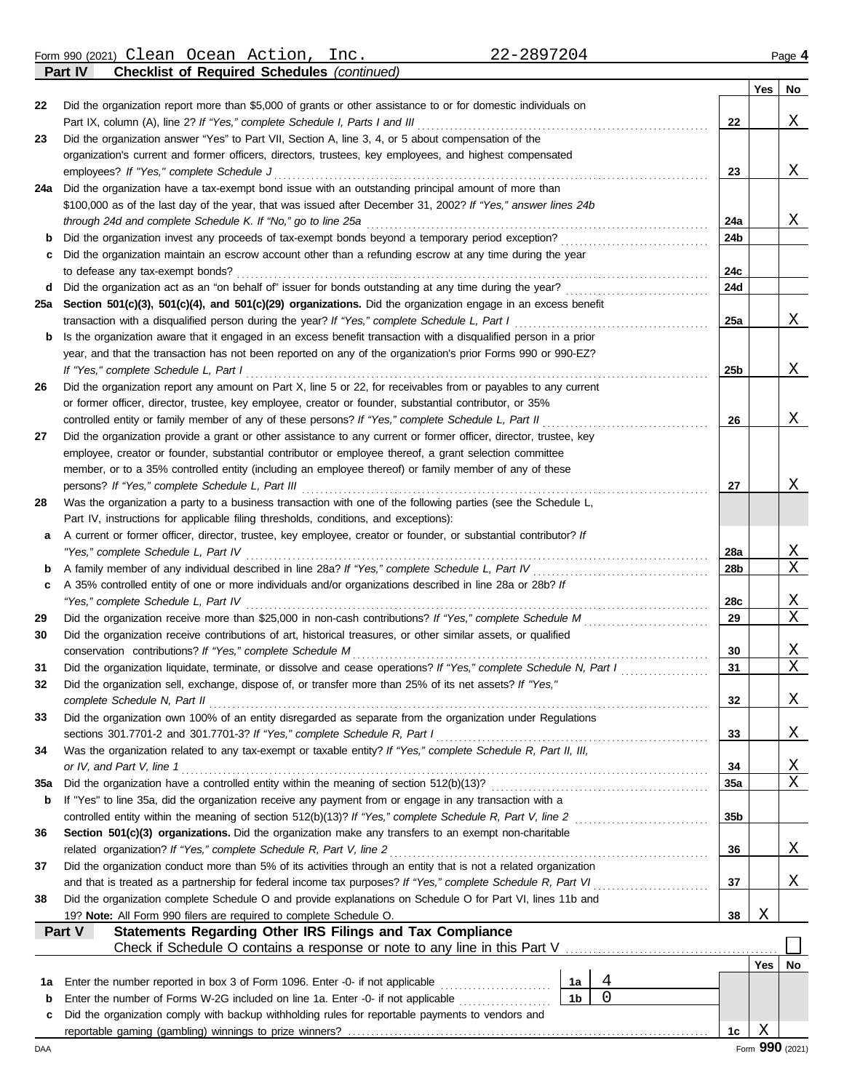Form 990 (2021) Page **4** Clean Ocean Action, Inc. 22-2897204

**Part IV Checklist of Required Schedules** *(continued)*

|          |                                                                                                                                                          |                 | Yes | No.    |  |  |
|----------|----------------------------------------------------------------------------------------------------------------------------------------------------------|-----------------|-----|--------|--|--|
| 22       | Did the organization report more than \$5,000 of grants or other assistance to or for domestic individuals on                                            |                 |     |        |  |  |
|          |                                                                                                                                                          | 22              |     | Χ      |  |  |
| 23       | Did the organization answer "Yes" to Part VII, Section A, line 3, 4, or 5 about compensation of the                                                      |                 |     |        |  |  |
|          | organization's current and former officers, directors, trustees, key employees, and highest compensated                                                  |                 |     |        |  |  |
|          | employees? If "Yes," complete Schedule J                                                                                                                 | 23              |     | X      |  |  |
| 24a      | Did the organization have a tax-exempt bond issue with an outstanding principal amount of more than                                                      |                 |     |        |  |  |
|          | \$100,000 as of the last day of the year, that was issued after December 31, 2002? If "Yes," answer lines 24b                                            |                 |     |        |  |  |
|          | through 24d and complete Schedule K. If "No," go to line 25a                                                                                             | 24a             |     | X      |  |  |
| b        | Did the organization invest any proceeds of tax-exempt bonds beyond a temporary period exception?                                                        | 24b             |     |        |  |  |
|          | Did the organization maintain an escrow account other than a refunding escrow at any time during the year                                                |                 |     |        |  |  |
|          | to defease any tax-exempt bonds?                                                                                                                         | 24c             |     |        |  |  |
| d        |                                                                                                                                                          | 24d             |     |        |  |  |
| 25a      | Section 501(c)(3), 501(c)(4), and 501(c)(29) organizations. Did the organization engage in an excess benefit                                             |                 |     |        |  |  |
|          | transaction with a disqualified person during the year? If "Yes," complete Schedule L, Part I                                                            | 25a             |     | X      |  |  |
| b        | Is the organization aware that it engaged in an excess benefit transaction with a disqualified person in a prior                                         |                 |     |        |  |  |
|          | year, and that the transaction has not been reported on any of the organization's prior Forms 990 or 990-EZ?                                             |                 |     |        |  |  |
|          | If "Yes," complete Schedule L, Part I<br>Did the organization report any amount on Part X, line 5 or 22, for receivables from or payables to any current | 25b             |     | X      |  |  |
| 26       | or former officer, director, trustee, key employee, creator or founder, substantial contributor, or 35%                                                  |                 |     |        |  |  |
|          | controlled entity or family member of any of these persons? If "Yes," complete Schedule L, Part II                                                       | 26              |     | X      |  |  |
| 27       | Did the organization provide a grant or other assistance to any current or former officer, director, trustee, key                                        |                 |     |        |  |  |
|          | employee, creator or founder, substantial contributor or employee thereof, a grant selection committee                                                   |                 |     |        |  |  |
|          | member, or to a 35% controlled entity (including an employee thereof) or family member of any of these                                                   |                 |     |        |  |  |
|          | persons? If "Yes," complete Schedule L, Part III                                                                                                         | 27              |     | X      |  |  |
| 28       | Was the organization a party to a business transaction with one of the following parties (see the Schedule L,                                            |                 |     |        |  |  |
|          | Part IV, instructions for applicable filing thresholds, conditions, and exceptions):                                                                     |                 |     |        |  |  |
| а        | A current or former officer, director, trustee, key employee, creator or founder, or substantial contributor? If                                         |                 |     |        |  |  |
|          | "Yes," complete Schedule L, Part IV                                                                                                                      |                 |     |        |  |  |
| b        | A family member of any individual described in line 28a? If "Yes," complete Schedule L, Part IV [[[[[[[[[[[[[                                            |                 |     |        |  |  |
| c        | A 35% controlled entity of one or more individuals and/or organizations described in line 28a or 28b? If                                                 |                 |     |        |  |  |
|          |                                                                                                                                                          | 28c             |     | X      |  |  |
| 29       | Did the organization receive more than \$25,000 in non-cash contributions? If "Yes," complete Schedule M                                                 | 29              |     | Χ      |  |  |
| 30       | Did the organization receive contributions of art, historical treasures, or other similar assets, or qualified                                           |                 |     |        |  |  |
|          | conservation contributions? If "Yes," complete Schedule M                                                                                                | 30              |     | X      |  |  |
| 31       | Did the organization liquidate, terminate, or dissolve and cease operations? If "Yes," complete Schedule N, Part I                                       | 31              |     | Χ      |  |  |
| 32       | Did the organization sell, exchange, dispose of, or transfer more than 25% of its net assets? If "Yes,"                                                  |                 |     |        |  |  |
|          | complete Schedule N, Part II                                                                                                                             | 32              |     | Χ      |  |  |
| 33       | Did the organization own 100% of an entity disregarded as separate from the organization under Regulations                                               |                 |     |        |  |  |
|          | sections 301.7701-2 and 301.7701-3? If "Yes," complete Schedule R, Part I                                                                                | 33              |     | X      |  |  |
| 34       | Was the organization related to any tax-exempt or taxable entity? If "Yes," complete Schedule R, Part II, III,                                           |                 |     |        |  |  |
|          | or IV, and Part V, line 1                                                                                                                                | 34<br>35a       |     | X<br>Χ |  |  |
| 35a<br>b | If "Yes" to line 35a, did the organization receive any payment from or engage in any transaction with a                                                  |                 |     |        |  |  |
|          | controlled entity within the meaning of section 512(b)(13)? If "Yes," complete Schedule R, Part V, line 2                                                | 35 <sub>b</sub> |     |        |  |  |
| 36       | Section 501(c)(3) organizations. Did the organization make any transfers to an exempt non-charitable                                                     |                 |     |        |  |  |
|          | related organization? If "Yes," complete Schedule R, Part V, line 2<br>36                                                                                |                 |     |        |  |  |
| 37       | Did the organization conduct more than 5% of its activities through an entity that is not a related organization                                         |                 |     | X      |  |  |
|          | and that is treated as a partnership for federal income tax purposes? If "Yes," complete Schedule R, Part VI                                             | 37              |     | X      |  |  |
| 38       | Did the organization complete Schedule O and provide explanations on Schedule O for Part VI, lines 11b and                                               |                 |     |        |  |  |
|          | 19? Note: All Form 990 filers are required to complete Schedule O.                                                                                       | 38              | Χ   |        |  |  |
|          | Statements Regarding Other IRS Filings and Tax Compliance<br>Part V                                                                                      |                 |     |        |  |  |
|          | Check if Schedule O contains a response or note to any line in this Part V                                                                               |                 |     |        |  |  |
|          |                                                                                                                                                          |                 | Yes | No     |  |  |
| 1a       | 4<br>Enter the number reported in box 3 of Form 1096. Enter -0- if not applicable<br>1а                                                                  |                 |     |        |  |  |
| b        | 0<br>1 <sub>b</sub>                                                                                                                                      |                 |     |        |  |  |
| с        | Did the organization comply with backup withholding rules for reportable payments to vendors and                                                         |                 |     |        |  |  |
|          |                                                                                                                                                          | 1c              | Χ   |        |  |  |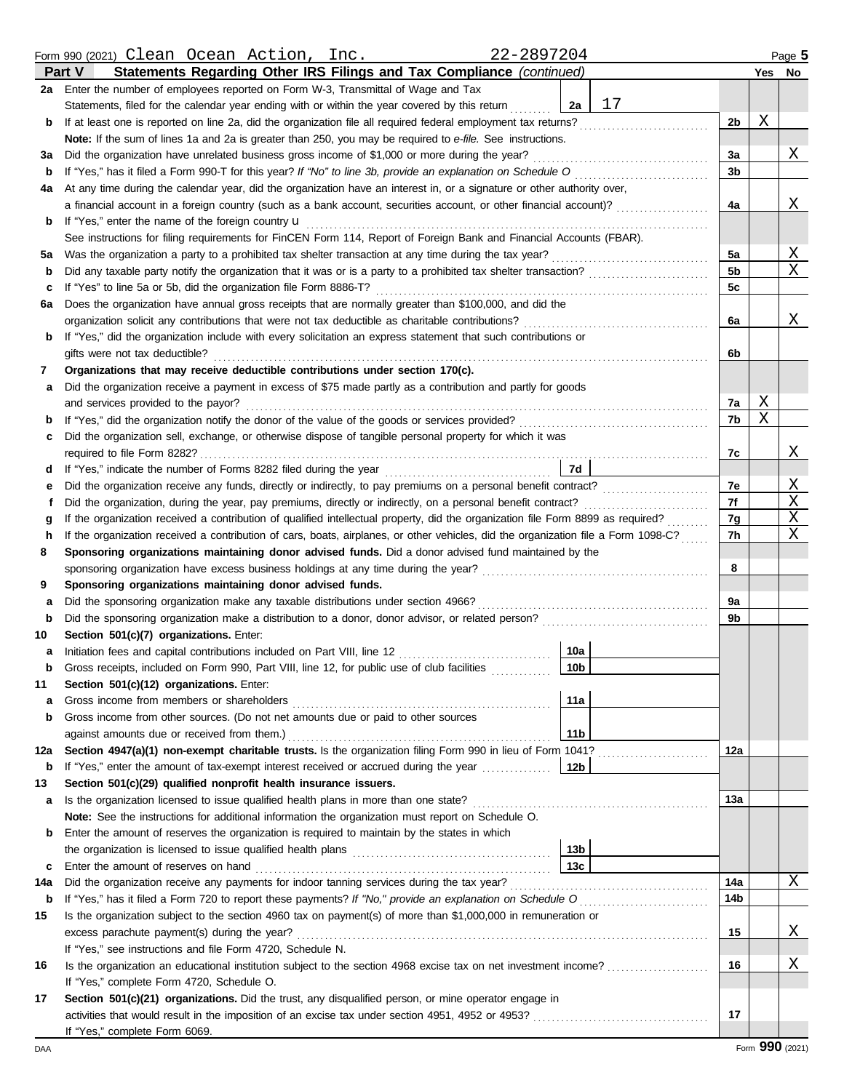|              | 22-2897204<br>Form 990 (2021) Clean Ocean Action, Inc.                                                                             |                |   | Page 5 |
|--------------|------------------------------------------------------------------------------------------------------------------------------------|----------------|---|--------|
|              | Statements Regarding Other IRS Filings and Tax Compliance (continued)<br><b>Part V</b>                                             |                |   | Yes No |
|              | 2a Enter the number of employees reported on Form W-3, Transmittal of Wage and Tax                                                 |                |   |        |
|              | 17<br>Statements, filed for the calendar year ending with or within the year covered by this return<br>2a                          |                |   |        |
| b            | If at least one is reported on line 2a, did the organization file all required federal employment tax returns?                     | 2 <sub>b</sub> | Χ |        |
|              | Note: If the sum of lines 1a and 2a is greater than 250, you may be required to e-file. See instructions.                          |                |   |        |
| за           | Did the organization have unrelated business gross income of \$1,000 or more during the year?                                      | За             |   | Χ      |
| b            | If "Yes," has it filed a Form 990-T for this year? If "No" to line 3b, provide an explanation on Schedule O                        | 3b             |   |        |
| 4a           | At any time during the calendar year, did the organization have an interest in, or a signature or other authority over,            |                |   |        |
|              | a financial account in a foreign country (such as a bank account, securities account, or other financial account)?                 | 4a             |   | Χ      |
| b            | If "Yes," enter the name of the foreign country <b>u</b>                                                                           |                |   |        |
|              | See instructions for filing requirements for FinCEN Form 114, Report of Foreign Bank and Financial Accounts (FBAR).                |                |   |        |
| 5а           | Was the organization a party to a prohibited tax shelter transaction at any time during the tax year?                              | 5a             |   | Χ      |
| b            |                                                                                                                                    | 5b             |   | Χ      |
| c            | If "Yes" to line 5a or 5b, did the organization file Form 8886-T?                                                                  | 5c             |   |        |
| 6а           | Does the organization have annual gross receipts that are normally greater than \$100,000, and did the                             |                |   |        |
|              | organization solicit any contributions that were not tax deductible as charitable contributions?                                   | 6a             |   | Χ      |
| b            | If "Yes," did the organization include with every solicitation an express statement that such contributions or                     |                |   |        |
|              | gifts were not tax deductible?                                                                                                     | 6b             |   |        |
| 7            | Organizations that may receive deductible contributions under section 170(c).                                                      |                |   |        |
| а            | Did the organization receive a payment in excess of \$75 made partly as a contribution and partly for goods                        |                |   |        |
|              | and services provided to the payor?                                                                                                | 7a             | Χ |        |
| b            |                                                                                                                                    | 7b             | Χ |        |
| c            | Did the organization sell, exchange, or otherwise dispose of tangible personal property for which it was                           |                |   |        |
|              | required to file Form 8282?                                                                                                        | 7c             |   | Χ      |
| d            | 7d                                                                                                                                 |                |   |        |
| е            |                                                                                                                                    | 7e             |   | Χ      |
| f            | Did the organization, during the year, pay premiums, directly or indirectly, on a personal benefit contract?                       | 7f             |   | Χ      |
| g            | If the organization received a contribution of qualified intellectual property, did the organization file Form 8899 as required?   | 7g             |   | Χ      |
| h            | If the organization received a contribution of cars, boats, airplanes, or other vehicles, did the organization file a Form 1098-C? | 7h             |   | Χ      |
| 8            | Sponsoring organizations maintaining donor advised funds. Did a donor advised fund maintained by the                               |                |   |        |
|              | sponsoring organization have excess business holdings at any time during the year?                                                 | 8              |   |        |
| 9            | Sponsoring organizations maintaining donor advised funds.                                                                          |                |   |        |
| а            | Did the sponsoring organization make any taxable distributions under section 4966?                                                 | 9a             |   |        |
| b            |                                                                                                                                    | 9b             |   |        |
| 10           | Section 501(c)(7) organizations. Enter:                                                                                            |                |   |        |
| a            | 10a<br>Initiation fees and capital contributions included on Part VIII, line 12 [11] [11] [12] [11] [12] [11] [12] [1              |                |   |        |
|              | 10 <sub>b</sub><br>Gross receipts, included on Form 990, Part VIII, line 12, for public use of club facilities                     |                |   |        |
| 11           | Section 501(c)(12) organizations. Enter:                                                                                           |                |   |        |
| а            | 11a<br>Gross income from members or shareholders                                                                                   |                |   |        |
| b            | Gross income from other sources. (Do not net amounts due or paid to other sources                                                  |                |   |        |
|              | against amounts due or received from them.)<br>11 <sub>b</sub>                                                                     |                |   |        |
| 12a          | Section 4947(a)(1) non-exempt charitable trusts. Is the organization filing Form 990 in lieu of Form 1041?                         | 12a            |   |        |
|              | <b>b</b> If "Yes," enter the amount of tax-exempt interest received or accrued during the year<br>12b                              |                |   |        |
| 13           | Section 501(c)(29) qualified nonprofit health insurance issuers.                                                                   |                |   |        |
| a            | Is the organization licensed to issue qualified health plans in more than one state?                                               | 13а            |   |        |
|              | Note: See the instructions for additional information the organization must report on Schedule O.                                  |                |   |        |
| b            | Enter the amount of reserves the organization is required to maintain by the states in which                                       |                |   |        |
|              | 13 <sub>b</sub>                                                                                                                    |                |   |        |
| $\mathbf{c}$ | 13 <sub>c</sub><br>Enter the amount of reserves on hand                                                                            |                |   |        |
| 14a          | Did the organization receive any payments for indoor tanning services during the tax year?                                         | 14a            |   | Χ      |
| b            | If "Yes," has it filed a Form 720 to report these payments? If "No," provide an explanation on Schedule O                          | 14b            |   |        |
| 15           | Is the organization subject to the section 4960 tax on payment(s) of more than \$1,000,000 in remuneration or                      |                |   |        |
|              | excess parachute payment(s) during the year?                                                                                       | 15             |   | Χ      |
|              | If "Yes," see instructions and file Form 4720, Schedule N.                                                                         |                |   |        |
| 16           | Is the organization an educational institution subject to the section 4968 excise tax on net investment income?                    | 16             |   | Χ      |
|              | If "Yes," complete Form 4720, Schedule O.                                                                                          |                |   |        |
| 17           | Section 501(c)(21) organizations. Did the trust, any disqualified person, or mine operator engage in                               |                |   |        |
|              |                                                                                                                                    | 17             |   |        |
|              | If "Yes," complete Form 6069.                                                                                                      |                |   |        |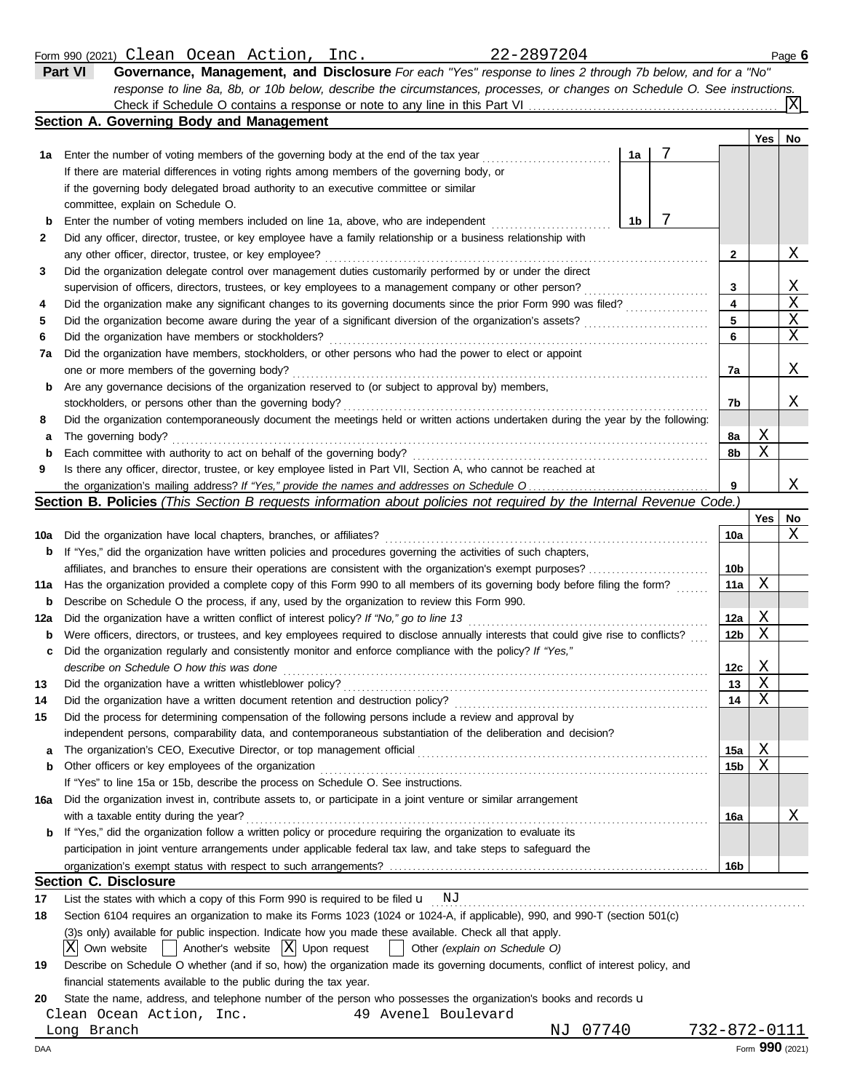| Form 990<br>(2021) | Clean | Ocean | Action | $\bar{m}$<br>ᅩ⊥⊥◡ | ∠∠ | Page <b>b</b> |
|--------------------|-------|-------|--------|-------------------|----|---------------|
|                    |       |       |        |                   |    |               |

| Part VI | Governance, Management, and Disclosure For each "Yes" response to lines 2 through 7b below, and for a "No"                |
|---------|---------------------------------------------------------------------------------------------------------------------------|
|         | response to line 8a, 8b, or 10b below, describe the circumstances, processes, or changes on Schedule O. See instructions. |
|         | $\boxed{\text{X}}$<br>Check if Schedule O contains a response or note to any line in this Part VI                         |

|     | <b>Section A. Governing Body and Management</b>                                                                                     |                         |     |         |  |  |  |
|-----|-------------------------------------------------------------------------------------------------------------------------------------|-------------------------|-----|---------|--|--|--|
|     |                                                                                                                                     |                         | Yes | No      |  |  |  |
|     | 7<br>1a<br>1a Enter the number of voting members of the governing body at the end of the tax year                                   |                         |     |         |  |  |  |
|     | If there are material differences in voting rights among members of the governing body, or                                          |                         |     |         |  |  |  |
|     | if the governing body delegated broad authority to an executive committee or similar                                                |                         |     |         |  |  |  |
|     | committee, explain on Schedule O.                                                                                                   |                         |     |         |  |  |  |
| b   | 7<br>1b<br>Enter the number of voting members included on line 1a, above, who are independent                                       |                         |     |         |  |  |  |
| 2   | Did any officer, director, trustee, or key employee have a family relationship or a business relationship with                      |                         |     |         |  |  |  |
|     | any other officer, director, trustee, or key employee?                                                                              | 2                       |     | Χ       |  |  |  |
| 3   | Did the organization delegate control over management duties customarily performed by or under the direct                           |                         |     |         |  |  |  |
|     | supervision of officers, directors, trustees, or key employees to a management company or other person?                             | 3                       |     | Χ       |  |  |  |
| 4   | Did the organization make any significant changes to its governing documents since the prior Form 990 was filed?                    | $\overline{\mathbf{4}}$ |     | X       |  |  |  |
| 5   |                                                                                                                                     | 5                       |     | X       |  |  |  |
| 6   |                                                                                                                                     | 6                       |     | X       |  |  |  |
| 7a  | Did the organization have members, stockholders, or other persons who had the power to elect or appoint                             |                         |     |         |  |  |  |
|     | one or more members of the governing body?                                                                                          | 7a                      |     | Χ       |  |  |  |
| b   | Are any governance decisions of the organization reserved to (or subject to approval by) members,                                   |                         |     |         |  |  |  |
|     | stockholders, or persons other than the governing body?                                                                             | 7b                      |     | Χ       |  |  |  |
| 8   | Did the organization contemporaneously document the meetings held or written actions undertaken during the year by the following:   |                         |     |         |  |  |  |
| а   | The governing body?                                                                                                                 | 8a                      | Χ   |         |  |  |  |
| b   | Each committee with authority to act on behalf of the governing body?                                                               | 8b                      | X   |         |  |  |  |
| 9   | Is there any officer, director, trustee, or key employee listed in Part VII, Section A, who cannot be reached at                    |                         |     | Χ       |  |  |  |
| 9   |                                                                                                                                     |                         |     |         |  |  |  |
|     | Section B. Policies (This Section B requests information about policies not required by the Internal Revenue Code.)                 |                         |     |         |  |  |  |
|     |                                                                                                                                     | <b>10a</b>              | Yes | No<br>X |  |  |  |
| 10a | If "Yes," did the organization have written policies and procedures governing the activities of such chapters,                      |                         |     |         |  |  |  |
| b   | affiliates, and branches to ensure their operations are consistent with the organization's exempt purposes?                         | 10 <sub>b</sub>         |     |         |  |  |  |
| 11a | Has the organization provided a complete copy of this Form 990 to all members of its governing body before filing the form?         | 11a                     | Χ   |         |  |  |  |
| b   | Describe on Schedule O the process, if any, used by the organization to review this Form 990.                                       |                         |     |         |  |  |  |
| 12a |                                                                                                                                     | 12a                     | Χ   |         |  |  |  |
| b   | Were officers, directors, or trustees, and key employees required to disclose annually interests that could give rise to conflicts? | 12 <sub>b</sub>         | Χ   |         |  |  |  |
| c   | Did the organization regularly and consistently monitor and enforce compliance with the policy? If "Yes,"                           |                         |     |         |  |  |  |
|     | describe on Schedule O how this was done                                                                                            | 12c                     | Χ   |         |  |  |  |
| 13  | Did the organization have a written whistleblower policy?                                                                           | 13                      | Χ   |         |  |  |  |
| 14  |                                                                                                                                     | 14                      | X   |         |  |  |  |
| 15  | Did the process for determining compensation of the following persons include a review and approval by                              |                         |     |         |  |  |  |
|     | independent persons, comparability data, and contemporaneous substantiation of the deliberation and decision?                       |                         |     |         |  |  |  |
| a   | The organization's CEO, Executive Director, or top management official                                                              | 15a                     | Χ   |         |  |  |  |
| b   | Other officers or key employees of the organization                                                                                 | 15b                     | Χ   |         |  |  |  |
|     | If "Yes" to line 15a or 15b, describe the process on Schedule O. See instructions.                                                  |                         |     |         |  |  |  |
| 16a | Did the organization invest in, contribute assets to, or participate in a joint venture or similar arrangement                      |                         |     |         |  |  |  |
|     | with a taxable entity during the year?                                                                                              | 16a                     |     | Χ       |  |  |  |
| b   | If "Yes," did the organization follow a written policy or procedure requiring the organization to evaluate its                      |                         |     |         |  |  |  |
|     | participation in joint venture arrangements under applicable federal tax law, and take steps to safeguard the                       |                         |     |         |  |  |  |
|     |                                                                                                                                     | 16b                     |     |         |  |  |  |
|     | <b>Section C. Disclosure</b>                                                                                                        |                         |     |         |  |  |  |
| 17  | List the states with which a copy of this Form 990 is required to be filed $\mathbf{u}$ NJ                                          |                         |     |         |  |  |  |
| 18  | Section 6104 requires an organization to make its Forms 1023 (1024 or 1024-A, if applicable), 990, and 990-T (section 501(c)        |                         |     |         |  |  |  |
|     | (3)s only) available for public inspection. Indicate how you made these available. Check all that apply.                            |                         |     |         |  |  |  |
|     | Χ<br>$ X $ Upon request<br>Own website<br>Another's website<br>Other (explain on Schedule O)                                        |                         |     |         |  |  |  |
| 19  | Describe on Schedule O whether (and if so, how) the organization made its governing documents, conflict of interest policy, and     |                         |     |         |  |  |  |

financial statements available to the public during the tax year.

**20** State the name, address, and telephone number of the person who possesses the organization's books and records u

Clean Ocean Action, Inc. 49 Avenel Boulevard

DAA Form **990** (2021)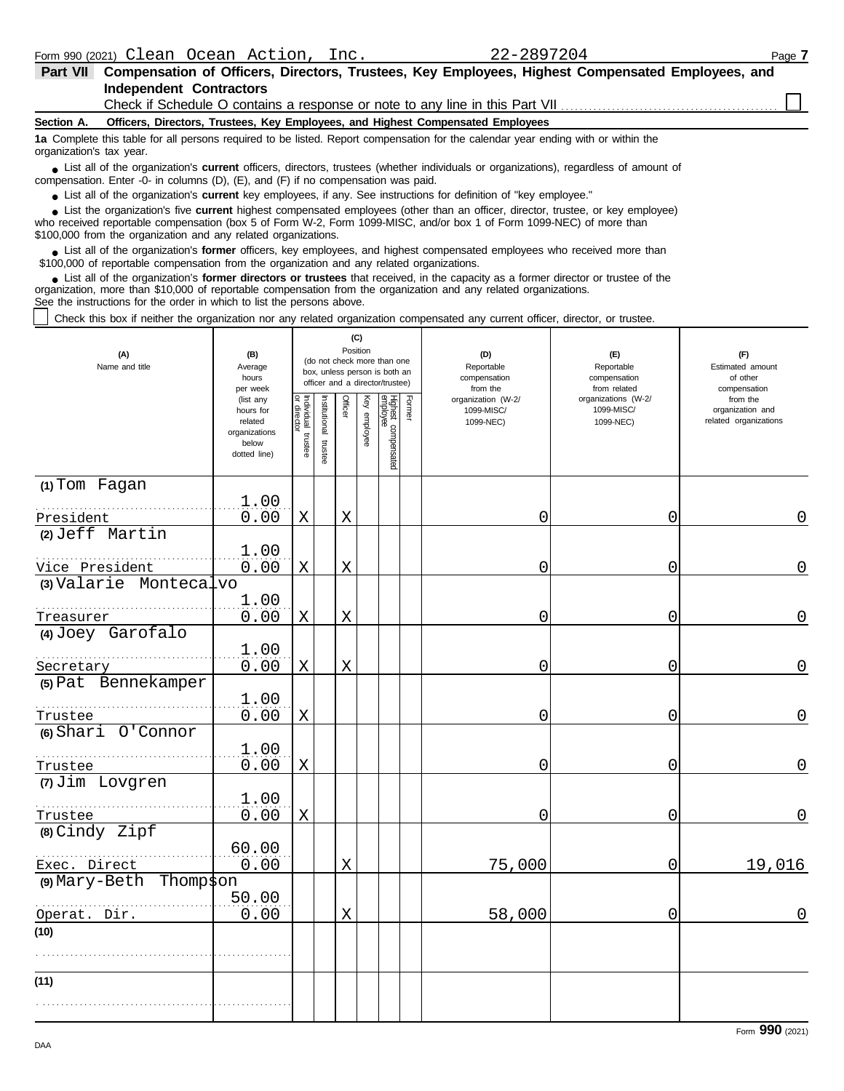| <b>Part VII</b>          | Compensation of Officers, Directors, Trustees, Key Employees, Highest Compensated Employees, and                                                                                                                                                                                                                           |
|--------------------------|----------------------------------------------------------------------------------------------------------------------------------------------------------------------------------------------------------------------------------------------------------------------------------------------------------------------------|
|                          | <b>Independent Contractors</b>                                                                                                                                                                                                                                                                                             |
|                          | Check if Schedule O contains a response or note to any line in this Part VII                                                                                                                                                                                                                                               |
| Section A.               | Officers, Directors, Trustees, Key Employees, and Highest Compensated Employees                                                                                                                                                                                                                                            |
| organization's tax year. | 1a Complete this table for all persons required to be listed. Report compensation for the calendar year ending with or within the                                                                                                                                                                                          |
|                          | • List all of the organization's <b>current</b> officers, directors, trustees (whether individuals or organizations), regardless of amount of<br>compensation. Enter -0- in columns (D), (E), and (F) if no compensation was paid.                                                                                         |
|                          | • List all of the organization's <b>current</b> key employees, if any. See instructions for definition of "key employee."                                                                                                                                                                                                  |
|                          | • List the organization's five current highest compensated employees (other than an officer, director, trustee, or key employee)<br>who received reportable compensation (box 5 of Form W-2, Form 1099-MISC, and/or box 1 of Form 1099-NEC) of more than<br>\$100,000 from the organization and any related organizations. |
|                          | • List all of the organization's former officers, key employees, and highest compensated employees who received more than<br>\$100,000 of reportable compensation from the organization and any related organizations.                                                                                                     |
|                          | • List all of the organization's <b>former directors or trustees</b> that received, in the capacity as a former director or trustee of the<br>organization, more than \$10,000 of reportable compensation from the organization and any related organizations.                                                             |

See the instructions for the order in which to list the persons above.

Check this box if neither the organization nor any related organization compensated any current officer, director, or trustee.

| (A)<br>Name and title          | (B)<br>Average<br>hours<br>per week                                         | (C)<br>Position<br>(do not check more than one<br>box, unless person is both an<br>officer and a director/trustee) |                       |             |              |                                 |        | (D)<br>Reportable<br>compensation<br>from the | (E)<br>Reportable<br>compensation<br>from related | (F)<br>Estimated amount<br>of other<br>compensation   |
|--------------------------------|-----------------------------------------------------------------------------|--------------------------------------------------------------------------------------------------------------------|-----------------------|-------------|--------------|---------------------------------|--------|-----------------------------------------------|---------------------------------------------------|-------------------------------------------------------|
|                                | (list any<br>hours for<br>related<br>organizations<br>below<br>dotted line) | Individual<br>or director<br>trustee                                                                               | Institutional trustee | Officer     | Key employee | Highest compensated<br>employee | Former | organization (W-2/<br>1099-MISC/<br>1099-NEC) | organizations (W-2/<br>1099-MISC/<br>1099-NEC)    | from the<br>organization and<br>related organizations |
| (1) Tom Fagan<br>President     | 1.00<br>0.00                                                                | $\mathbf X$                                                                                                        |                       | $\mathbf X$ |              |                                 |        | 0                                             | 0                                                 | 0                                                     |
| (2) Jeff Martin                |                                                                             |                                                                                                                    |                       |             |              |                                 |        |                                               |                                                   |                                                       |
| Vice President                 | 1.00<br>0.00                                                                | $\mathbf X$                                                                                                        |                       | $\mathbf X$ |              |                                 |        | 0                                             | 0                                                 | $\Omega$                                              |
| $(3)$ Valarie Montecalvo       | 1.00                                                                        |                                                                                                                    |                       |             |              |                                 |        |                                               |                                                   |                                                       |
| Treasurer<br>(4) Joey Garofalo | 0.00                                                                        | X                                                                                                                  |                       | X           |              |                                 |        | 0                                             | 0                                                 | 0                                                     |
|                                | 1.00                                                                        |                                                                                                                    |                       |             |              |                                 |        |                                               |                                                   |                                                       |
| Secretary                      | 0.00                                                                        | $\mathbf X$                                                                                                        |                       | X           |              |                                 |        | 0                                             | 0                                                 | $\overline{0}$                                        |
| (5) Pat Bennekamper            | 1.00                                                                        |                                                                                                                    |                       |             |              |                                 |        |                                               |                                                   |                                                       |
| Trustee<br>(6) Shari O'Connor  | 0.00                                                                        | $\mathbf X$                                                                                                        |                       |             |              |                                 |        | 0                                             | 0                                                 | $\overline{0}$                                        |
| Trustee                        | 1.00<br>0.00                                                                | X                                                                                                                  |                       |             |              |                                 |        | 0                                             | 0                                                 | 0                                                     |
| (7) Jim Lovgren                |                                                                             |                                                                                                                    |                       |             |              |                                 |        |                                               |                                                   |                                                       |
| Trustee                        | 1.00<br>0.00                                                                | Χ                                                                                                                  |                       |             |              |                                 |        | 0                                             | 0                                                 | $\Omega$                                              |
| (8) Cindy Zipf                 | 60.00                                                                       |                                                                                                                    |                       |             |              |                                 |        |                                               |                                                   |                                                       |
| Exec. Direct                   | 0.00                                                                        |                                                                                                                    |                       | $\mathbf X$ |              |                                 |        | 75,000                                        | 0                                                 | 19,016                                                |
| (9) Mary-Beth Thompson         |                                                                             |                                                                                                                    |                       |             |              |                                 |        |                                               |                                                   |                                                       |
| Operat. Dir.                   | 50.00<br>0.00                                                               |                                                                                                                    |                       | $\mathbf X$ |              |                                 |        | 58,000                                        | 0                                                 | 0                                                     |
| (10)                           |                                                                             |                                                                                                                    |                       |             |              |                                 |        |                                               |                                                   |                                                       |
|                                |                                                                             |                                                                                                                    |                       |             |              |                                 |        |                                               |                                                   |                                                       |
| (11)                           |                                                                             |                                                                                                                    |                       |             |              |                                 |        |                                               |                                                   |                                                       |
|                                |                                                                             |                                                                                                                    |                       |             |              |                                 |        |                                               |                                                   |                                                       |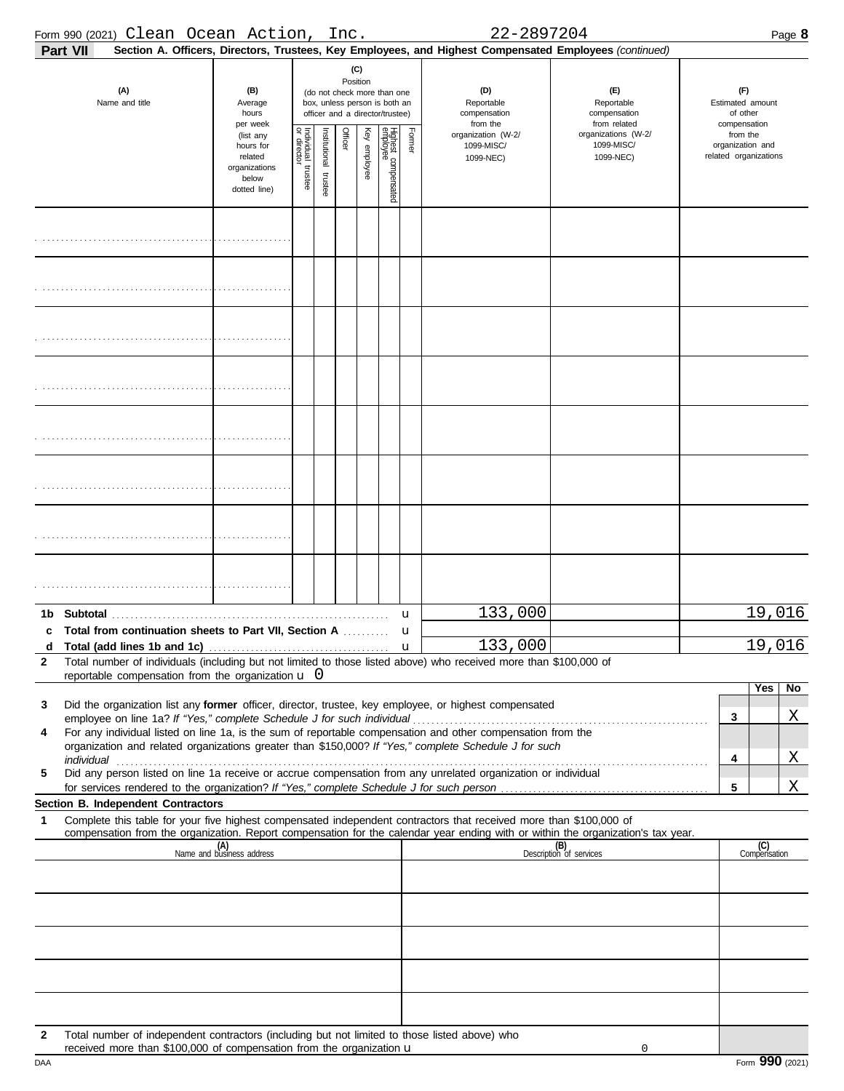|              | Form 990 (2021) Clean Ocean Action,                                                                                                                                                                                                                    |                                                                             |                                        |                       | Inc.    |                 |                                                                                                 |        | 22-2897204                                                                                             |                                                   |                                                       |                                                     | Page 8              |  |
|--------------|--------------------------------------------------------------------------------------------------------------------------------------------------------------------------------------------------------------------------------------------------------|-----------------------------------------------------------------------------|----------------------------------------|-----------------------|---------|-----------------|-------------------------------------------------------------------------------------------------|--------|--------------------------------------------------------------------------------------------------------|---------------------------------------------------|-------------------------------------------------------|-----------------------------------------------------|---------------------|--|
|              | Part VII                                                                                                                                                                                                                                               |                                                                             |                                        |                       |         |                 |                                                                                                 |        | Section A. Officers, Directors, Trustees, Key Employees, and Highest Compensated Employees (continued) |                                                   |                                                       |                                                     |                     |  |
|              | (A)<br>Name and title                                                                                                                                                                                                                                  | (B)<br>Average<br>hours<br>per week                                         |                                        |                       |         | (C)<br>Position | (do not check more than one<br>box, unless person is both an<br>officer and a director/trustee) |        | (D)<br>Reportable<br>compensation<br>from the                                                          | (E)<br>Reportable<br>compensation<br>from related |                                                       | (F)<br>Estimated amount<br>of other<br>compensation |                     |  |
|              |                                                                                                                                                                                                                                                        | (list any<br>hours for<br>related<br>organizations<br>below<br>dotted line) | Individual 1<br>or director<br>trustee | Institutional trustee | Officer | Key employee    | Highest compensated<br>employee                                                                 | Former | organization (W-2/<br>1099-MISC/<br>1099-NEC)                                                          | organizations (W-2/<br>1099-MISC/<br>1099-NEC)    | from the<br>organization and<br>related organizations |                                                     |                     |  |
|              |                                                                                                                                                                                                                                                        |                                                                             |                                        |                       |         |                 |                                                                                                 |        |                                                                                                        |                                                   |                                                       |                                                     |                     |  |
|              |                                                                                                                                                                                                                                                        |                                                                             |                                        |                       |         |                 |                                                                                                 |        |                                                                                                        |                                                   |                                                       |                                                     |                     |  |
|              |                                                                                                                                                                                                                                                        |                                                                             |                                        |                       |         |                 |                                                                                                 |        |                                                                                                        |                                                   |                                                       |                                                     |                     |  |
|              |                                                                                                                                                                                                                                                        |                                                                             |                                        |                       |         |                 |                                                                                                 |        |                                                                                                        |                                                   |                                                       |                                                     |                     |  |
|              |                                                                                                                                                                                                                                                        |                                                                             |                                        |                       |         |                 |                                                                                                 |        |                                                                                                        |                                                   |                                                       |                                                     |                     |  |
|              |                                                                                                                                                                                                                                                        |                                                                             |                                        |                       |         |                 |                                                                                                 |        |                                                                                                        |                                                   |                                                       |                                                     |                     |  |
|              |                                                                                                                                                                                                                                                        |                                                                             |                                        |                       |         |                 |                                                                                                 |        |                                                                                                        |                                                   |                                                       |                                                     |                     |  |
|              |                                                                                                                                                                                                                                                        |                                                                             |                                        |                       |         |                 |                                                                                                 |        |                                                                                                        |                                                   |                                                       |                                                     |                     |  |
|              | Total from continuation sheets to Part VII, Section A                                                                                                                                                                                                  |                                                                             |                                        |                       |         |                 |                                                                                                 | u<br>u | 133,000                                                                                                |                                                   |                                                       |                                                     | 19,016              |  |
| $\mathbf{2}$ | Total number of individuals (including but not limited to those listed above) who received more than \$100,000 of<br>reportable compensation from the organization $\mathbf u$ 0                                                                       |                                                                             |                                        |                       |         |                 |                                                                                                 |        | 133,000                                                                                                |                                                   |                                                       |                                                     | 19,016              |  |
|              |                                                                                                                                                                                                                                                        |                                                                             |                                        |                       |         |                 |                                                                                                 |        |                                                                                                        |                                                   |                                                       |                                                     | <b>Yes</b><br>No    |  |
| 3            | Did the organization list any former officer, director, trustee, key employee, or highest compensated                                                                                                                                                  |                                                                             |                                        |                       |         |                 |                                                                                                 |        |                                                                                                        |                                                   |                                                       | 3                                                   | Χ                   |  |
| 4            | For any individual listed on line 1a, is the sum of reportable compensation and other compensation from the<br>organization and related organizations greater than \$150,000? If "Yes," complete Schedule J for such                                   |                                                                             |                                        |                       |         |                 |                                                                                                 |        |                                                                                                        |                                                   |                                                       |                                                     |                     |  |
|              |                                                                                                                                                                                                                                                        |                                                                             |                                        |                       |         |                 |                                                                                                 |        |                                                                                                        |                                                   |                                                       | 4                                                   | X                   |  |
| 5            | Did any person listed on line 1a receive or accrue compensation from any unrelated organization or individual                                                                                                                                          |                                                                             |                                        |                       |         |                 |                                                                                                 |        |                                                                                                        |                                                   |                                                       | 5                                                   | Χ                   |  |
|              | Section B. Independent Contractors                                                                                                                                                                                                                     |                                                                             |                                        |                       |         |                 |                                                                                                 |        |                                                                                                        |                                                   |                                                       |                                                     |                     |  |
| 1            | Complete this table for your five highest compensated independent contractors that received more than \$100,000 of<br>compensation from the organization. Report compensation for the calendar year ending with or within the organization's tax year. |                                                                             |                                        |                       |         |                 |                                                                                                 |        |                                                                                                        |                                                   |                                                       |                                                     |                     |  |
|              |                                                                                                                                                                                                                                                        | (A)<br>Name and business address                                            |                                        |                       |         |                 |                                                                                                 |        |                                                                                                        | (B)<br>Description of services                    |                                                       |                                                     | (C)<br>Compensation |  |
|              |                                                                                                                                                                                                                                                        |                                                                             |                                        |                       |         |                 |                                                                                                 |        |                                                                                                        |                                                   |                                                       |                                                     |                     |  |
|              |                                                                                                                                                                                                                                                        |                                                                             |                                        |                       |         |                 |                                                                                                 |        |                                                                                                        |                                                   |                                                       |                                                     |                     |  |
|              |                                                                                                                                                                                                                                                        |                                                                             |                                        |                       |         |                 |                                                                                                 |        |                                                                                                        |                                                   |                                                       |                                                     |                     |  |
|              |                                                                                                                                                                                                                                                        |                                                                             |                                        |                       |         |                 |                                                                                                 |        |                                                                                                        |                                                   |                                                       |                                                     |                     |  |
|              |                                                                                                                                                                                                                                                        |                                                                             |                                        |                       |         |                 |                                                                                                 |        |                                                                                                        |                                                   |                                                       |                                                     |                     |  |
| 2            | Total number of independent contractors (including but not limited to those listed above) who                                                                                                                                                          |                                                                             |                                        |                       |         |                 |                                                                                                 |        |                                                                                                        |                                                   |                                                       |                                                     |                     |  |
|              | received more than $$100,000$ of compensation from the organization $\mathbf u$                                                                                                                                                                        |                                                                             |                                        |                       |         |                 |                                                                                                 |        |                                                                                                        | 0                                                 |                                                       |                                                     |                     |  |

|  |  | Form 990 (2021) |
|--|--|-----------------|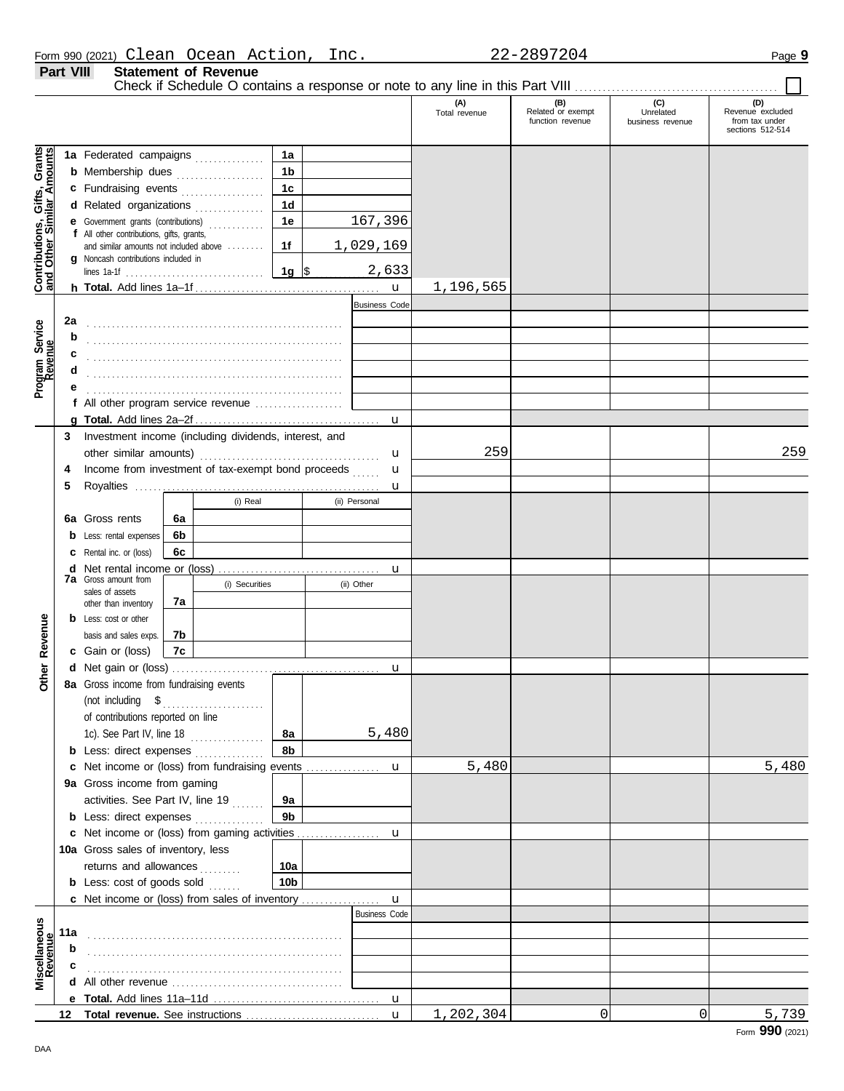| Form 990 (2021) Clean Ocean Action, |                             |  | 22-2897204 | Page $\bm{9}$ |
|-------------------------------------|-----------------------------|--|------------|---------------|
| <b>Part VIII</b>                    | <b>Statement of Revenue</b> |  |            |               |

Clean Ocean Action, Inc. 22-2897204

Check if Schedule O contains a response or note to any line in this Part VIII . . . . . . . . . . . . . . . . . . . . . . . . . . . . . . . . . . . . . . . . . . . .

|                                                                  |        |                                                                                                               |    |                |                        |                      | (A)<br>Total revenue | (B)<br>Related or exempt<br>function revenue | (C)<br>Unrelated<br>business revenue | (D)<br>Revenue excluded<br>from tax under |
|------------------------------------------------------------------|--------|---------------------------------------------------------------------------------------------------------------|----|----------------|------------------------|----------------------|----------------------|----------------------------------------------|--------------------------------------|-------------------------------------------|
|                                                                  |        |                                                                                                               |    |                |                        |                      |                      |                                              |                                      | sections 512-514                          |
|                                                                  |        | 1a Federated campaigns                                                                                        |    |                | 1a                     |                      |                      |                                              |                                      |                                           |
| <b>Contributions, Gifts, Grants</b><br>and Other Similar Amounts |        | <b>b</b> Membership dues <i></i>                                                                              |    |                | 1 <sub>b</sub>         |                      |                      |                                              |                                      |                                           |
|                                                                  |        | c Fundraising events                                                                                          |    |                | 1 <sub>c</sub>         |                      |                      |                                              |                                      |                                           |
|                                                                  |        | d Related organizations                                                                                       |    |                | 1 <sub>d</sub>         |                      |                      |                                              |                                      |                                           |
|                                                                  |        | <b>e</b> Government grants (contributions)                                                                    |    | .              | 1e                     | 167,396              |                      |                                              |                                      |                                           |
|                                                                  |        | f All other contributions, gifts, grants,<br>and similar amounts not included above                           |    |                | 1f                     | 1,029,169            |                      |                                              |                                      |                                           |
|                                                                  |        | g Noncash contributions included in                                                                           |    |                |                        |                      |                      |                                              |                                      |                                           |
|                                                                  |        |                                                                                                               |    |                | 1g $ $ \$              | 2,633                |                      |                                              |                                      |                                           |
|                                                                  |        |                                                                                                               |    |                |                        | $\mathbf u$          | 1,196,565            |                                              |                                      |                                           |
|                                                                  |        |                                                                                                               |    |                |                        | <b>Business Code</b> |                      |                                              |                                      |                                           |
|                                                                  | 2a     |                                                                                                               |    |                |                        |                      |                      |                                              |                                      |                                           |
|                                                                  | b      |                                                                                                               |    |                |                        |                      |                      |                                              |                                      |                                           |
| Program Service<br>Revenue                                       | с<br>d |                                                                                                               |    |                |                        |                      |                      |                                              |                                      |                                           |
|                                                                  |        |                                                                                                               |    |                |                        |                      |                      |                                              |                                      |                                           |
|                                                                  |        | f All other program service revenue                                                                           |    |                |                        |                      |                      |                                              |                                      |                                           |
|                                                                  |        |                                                                                                               |    |                |                        | u                    |                      |                                              |                                      |                                           |
|                                                                  | 3      | Investment income (including dividends, interest, and                                                         |    |                |                        |                      |                      |                                              |                                      |                                           |
|                                                                  |        |                                                                                                               |    |                |                        | u                    | 259                  |                                              |                                      | 259                                       |
|                                                                  | 4      | Income from investment of tax-exempt bond proceeds                                                            |    |                |                        | u                    |                      |                                              |                                      |                                           |
|                                                                  | 5      |                                                                                                               |    |                |                        | u                    |                      |                                              |                                      |                                           |
|                                                                  |        |                                                                                                               |    | (i) Real       |                        | (ii) Personal        |                      |                                              |                                      |                                           |
|                                                                  | 6а     | Gross rents                                                                                                   | 6а |                |                        |                      |                      |                                              |                                      |                                           |
|                                                                  |        | Less: rental expenses                                                                                         | 6b |                |                        |                      |                      |                                              |                                      |                                           |
|                                                                  |        | Rental inc. or (loss)                                                                                         | 6c |                |                        |                      |                      |                                              |                                      |                                           |
|                                                                  | d      | <b>7a</b> Gross amount from                                                                                   |    |                |                        | u                    |                      |                                              |                                      |                                           |
|                                                                  |        | sales of assets                                                                                               |    | (i) Securities |                        | (ii) Other           |                      |                                              |                                      |                                           |
|                                                                  |        | other than inventory                                                                                          | 7a |                |                        |                      |                      |                                              |                                      |                                           |
|                                                                  |        | <b>b</b> Less: cost or other                                                                                  | 7b |                |                        |                      |                      |                                              |                                      |                                           |
| Revenue                                                          |        | basis and sales exps.<br>c Gain or (loss)                                                                     | 7c |                |                        |                      |                      |                                              |                                      |                                           |
|                                                                  |        |                                                                                                               |    |                |                        | u                    |                      |                                              |                                      |                                           |
| Other                                                            |        | 8a Gross income from fundraising events                                                                       |    |                |                        |                      |                      |                                              |                                      |                                           |
|                                                                  |        | (not including $\quad \quad \text{\$} \quad \quad \ldots \quad \ldots \quad \ldots \quad \ldots \quad \ldots$ |    |                |                        |                      |                      |                                              |                                      |                                           |
|                                                                  |        | of contributions reported on line                                                                             |    |                |                        |                      |                      |                                              |                                      |                                           |
|                                                                  |        | 1c). See Part IV, line 18                                                                                     |    |                | 8а                     | 5,480                |                      |                                              |                                      |                                           |
|                                                                  |        | <b>b</b> Less: direct expenses                                                                                |    |                | 8b                     |                      |                      |                                              |                                      |                                           |
|                                                                  |        | c Net income or (loss) from fundraising events                                                                |    |                |                        | u                    | 5,480                |                                              |                                      | 5,480                                     |
|                                                                  |        | 9a Gross income from gaming                                                                                   |    |                |                        |                      |                      |                                              |                                      |                                           |
|                                                                  |        | activities. See Part IV, line 19                                                                              |    |                | 9а                     |                      |                      |                                              |                                      |                                           |
|                                                                  |        | <b>b</b> Less: direct expenses                                                                                |    |                | 9 <sub>b</sub>         |                      |                      |                                              |                                      |                                           |
|                                                                  |        | c Net income or (loss) from gaming activities                                                                 |    |                |                        | u                    |                      |                                              |                                      |                                           |
|                                                                  |        | 10a Gross sales of inventory, less<br>returns and allowances                                                  |    |                |                        |                      |                      |                                              |                                      |                                           |
|                                                                  |        | <b>b</b> Less: cost of goods sold                                                                             |    | .              | 10a<br>10 <sub>b</sub> |                      |                      |                                              |                                      |                                           |
|                                                                  |        | <b>c</b> Net income or (loss) from sales of inventory                                                         |    |                |                        | $\mathbf{u}$         |                      |                                              |                                      |                                           |
|                                                                  |        |                                                                                                               |    |                |                        | <b>Business Code</b> |                      |                                              |                                      |                                           |
|                                                                  | 11a    |                                                                                                               |    |                |                        |                      |                      |                                              |                                      |                                           |
|                                                                  | b      |                                                                                                               |    |                |                        |                      |                      |                                              |                                      |                                           |
| Miscellaneous<br>Revenue                                         |        |                                                                                                               |    |                |                        |                      |                      |                                              |                                      |                                           |
|                                                                  |        |                                                                                                               |    |                |                        |                      |                      |                                              |                                      |                                           |
|                                                                  |        |                                                                                                               |    |                |                        | u                    |                      |                                              |                                      |                                           |
|                                                                  |        |                                                                                                               |    |                |                        | $\mathbf{u}$         | 1,202,304            | 0                                            | 0                                    | 5,739                                     |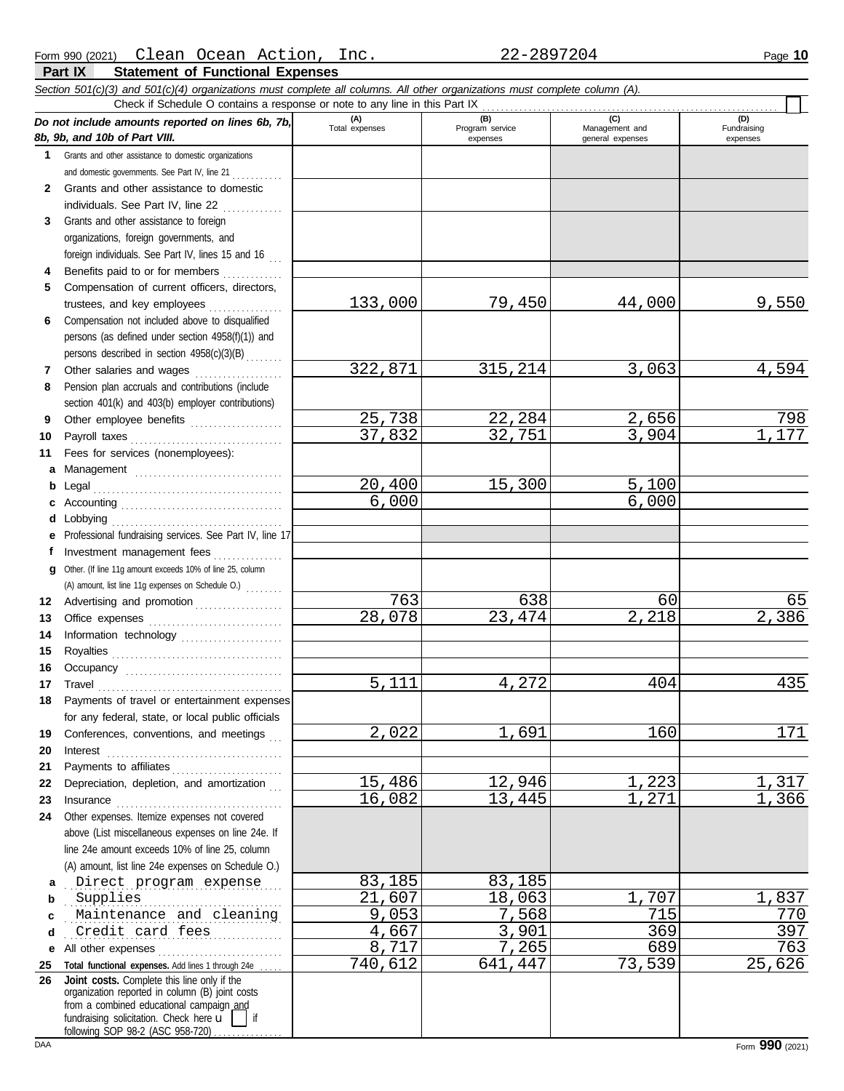|              | Section 501(c)(3) and 501(c)(4) organizations must complete all columns. All other organizations must complete column (A).<br>Check if Schedule O contains a response or note to any line in this Part IX                                                                                                                                                                                                                                                                                                                 |                       |                        |                       |                    |
|--------------|---------------------------------------------------------------------------------------------------------------------------------------------------------------------------------------------------------------------------------------------------------------------------------------------------------------------------------------------------------------------------------------------------------------------------------------------------------------------------------------------------------------------------|-----------------------|------------------------|-----------------------|--------------------|
|              | Do not include amounts reported on lines 6b, 7b,                                                                                                                                                                                                                                                                                                                                                                                                                                                                          | (A)<br>Total expenses | (B)<br>Program service | (C)<br>Management and | (D)<br>Fundraising |
|              | 8b, 9b, and 10b of Part VIII.                                                                                                                                                                                                                                                                                                                                                                                                                                                                                             |                       | expenses               | general expenses      | expenses           |
| 1            | Grants and other assistance to domestic organizations                                                                                                                                                                                                                                                                                                                                                                                                                                                                     |                       |                        |                       |                    |
|              | and domestic governments. See Part IV, line 21                                                                                                                                                                                                                                                                                                                                                                                                                                                                            |                       |                        |                       |                    |
| $\mathbf{2}$ | Grants and other assistance to domestic                                                                                                                                                                                                                                                                                                                                                                                                                                                                                   |                       |                        |                       |                    |
|              | individuals. See Part IV, line 22                                                                                                                                                                                                                                                                                                                                                                                                                                                                                         |                       |                        |                       |                    |
| 3            | Grants and other assistance to foreign                                                                                                                                                                                                                                                                                                                                                                                                                                                                                    |                       |                        |                       |                    |
|              | organizations, foreign governments, and                                                                                                                                                                                                                                                                                                                                                                                                                                                                                   |                       |                        |                       |                    |
|              | foreign individuals. See Part IV, lines 15 and 16                                                                                                                                                                                                                                                                                                                                                                                                                                                                         |                       |                        |                       |                    |
| 4            | Benefits paid to or for members                                                                                                                                                                                                                                                                                                                                                                                                                                                                                           |                       |                        |                       |                    |
| 5            | Compensation of current officers, directors,                                                                                                                                                                                                                                                                                                                                                                                                                                                                              |                       |                        |                       |                    |
|              |                                                                                                                                                                                                                                                                                                                                                                                                                                                                                                                           | 133,000               | 79,450                 | 44,000                | 9,550              |
| 6            | Compensation not included above to disqualified                                                                                                                                                                                                                                                                                                                                                                                                                                                                           |                       |                        |                       |                    |
|              | persons (as defined under section 4958(f)(1)) and                                                                                                                                                                                                                                                                                                                                                                                                                                                                         |                       |                        |                       |                    |
|              | persons described in section 4958(c)(3)(B)                                                                                                                                                                                                                                                                                                                                                                                                                                                                                |                       |                        |                       |                    |
| 7            | Other salaries and wages                                                                                                                                                                                                                                                                                                                                                                                                                                                                                                  | 322,871               | 315,214                | 3,063                 | 4,594              |
| 8            | Pension plan accruals and contributions (include                                                                                                                                                                                                                                                                                                                                                                                                                                                                          |                       |                        |                       |                    |
|              | section 401(k) and 403(b) employer contributions)                                                                                                                                                                                                                                                                                                                                                                                                                                                                         |                       |                        |                       |                    |
| 9            | Other employee benefits                                                                                                                                                                                                                                                                                                                                                                                                                                                                                                   | 25,738                | 22,284                 | 2,656                 | 798                |
| 10           | Payroll taxes<br>.                                                                                                                                                                                                                                                                                                                                                                                                                                                                                                        | 37,832                | 32,751                 | 3,904                 | 1,177              |
| 11           | Fees for services (nonemployees):                                                                                                                                                                                                                                                                                                                                                                                                                                                                                         |                       |                        |                       |                    |
| a            | Management                                                                                                                                                                                                                                                                                                                                                                                                                                                                                                                |                       |                        |                       |                    |
| b            | Legal                                                                                                                                                                                                                                                                                                                                                                                                                                                                                                                     | 20,400                | 15,300                 | 5,100                 |                    |
| c            |                                                                                                                                                                                                                                                                                                                                                                                                                                                                                                                           | 6,000                 |                        | 6,000                 |                    |
| d            |                                                                                                                                                                                                                                                                                                                                                                                                                                                                                                                           |                       |                        |                       |                    |
| е            | Professional fundraising services. See Part IV, line 17                                                                                                                                                                                                                                                                                                                                                                                                                                                                   |                       |                        |                       |                    |
| f            | Investment management fees                                                                                                                                                                                                                                                                                                                                                                                                                                                                                                |                       |                        |                       |                    |
| g            | Other. (If line 11g amount exceeds 10% of line 25, column                                                                                                                                                                                                                                                                                                                                                                                                                                                                 |                       |                        |                       |                    |
|              | (A) amount, list line 11g expenses on Schedule O.)                                                                                                                                                                                                                                                                                                                                                                                                                                                                        |                       |                        |                       |                    |
| 12           | Advertising and promotion                                                                                                                                                                                                                                                                                                                                                                                                                                                                                                 | 763                   | 638                    | 60                    | 65                 |
| 13           |                                                                                                                                                                                                                                                                                                                                                                                                                                                                                                                           | 28,078                | 23,474                 | 2,218                 | 2,386              |
| 14           | Information technology                                                                                                                                                                                                                                                                                                                                                                                                                                                                                                    |                       |                        |                       |                    |
| 15           |                                                                                                                                                                                                                                                                                                                                                                                                                                                                                                                           |                       |                        |                       |                    |
| 16           |                                                                                                                                                                                                                                                                                                                                                                                                                                                                                                                           |                       |                        |                       |                    |
| 17           | Travel                                                                                                                                                                                                                                                                                                                                                                                                                                                                                                                    | 5,111                 | 4,272                  | 404                   | 435                |
|              | Payments of travel or entertainment expenses                                                                                                                                                                                                                                                                                                                                                                                                                                                                              |                       |                        |                       |                    |
|              | for any federal, state, or local public officials                                                                                                                                                                                                                                                                                                                                                                                                                                                                         |                       |                        |                       |                    |
| 19           | Conferences, conventions, and meetings                                                                                                                                                                                                                                                                                                                                                                                                                                                                                    | 2,022                 | 1,691                  | 160                   | 171                |
| 20           | $Interest$                                                                                                                                                                                                                                                                                                                                                                                                                                                                                                                |                       |                        |                       |                    |
| 21           |                                                                                                                                                                                                                                                                                                                                                                                                                                                                                                                           |                       |                        |                       |                    |
| 22           | Depreciation, depletion, and amortization                                                                                                                                                                                                                                                                                                                                                                                                                                                                                 | 15,486                | 12,946                 | 1,223                 | 1,317              |
| 23           | $In surface \begin{tabular}{@{}l@{}} \hline \multicolumn{3}{c}{\textbf{Insurance}} \\ \hline \multicolumn{3}{c}{\textbf{Insurance}} \\ \hline \multicolumn{3}{c}{\textbf{Insurance}} \\ \hline \multicolumn{3}{c}{\textbf{Insurance}} \\ \hline \multicolumn{3}{c}{\textbf{Insurce}} \\ \hline \multicolumn{3}{c}{\textbf{Insurce}} \\ \hline \multicolumn{3}{c}{\textbf{Insurce}} \\ \hline \multicolumn{3}{c}{\textbf{Insurce}} \\ \hline \multicolumn{3}{c}{\textbf{Insurce}} \\ \hline \multicolumn{3}{c}{\textbf{In$ | 16,082                | 13,445                 | 1,271                 | 1,366              |
| 24           | Other expenses. Itemize expenses not covered                                                                                                                                                                                                                                                                                                                                                                                                                                                                              |                       |                        |                       |                    |
|              | above (List miscellaneous expenses on line 24e. If                                                                                                                                                                                                                                                                                                                                                                                                                                                                        |                       |                        |                       |                    |
|              | line 24e amount exceeds 10% of line 25, column                                                                                                                                                                                                                                                                                                                                                                                                                                                                            |                       |                        |                       |                    |
|              | (A) amount, list line 24e expenses on Schedule O.)                                                                                                                                                                                                                                                                                                                                                                                                                                                                        |                       |                        |                       |                    |
| a            | Direct program expense                                                                                                                                                                                                                                                                                                                                                                                                                                                                                                    | 83,185                | 83,185                 |                       |                    |
| b            | Supplies                                                                                                                                                                                                                                                                                                                                                                                                                                                                                                                  | 21,607                | 18,063                 | 1,707                 | 1,837              |
| c            | Maintenance and cleaning                                                                                                                                                                                                                                                                                                                                                                                                                                                                                                  | 9,053                 | 7,568                  | 715                   | 770                |
| d            | Credit card fees                                                                                                                                                                                                                                                                                                                                                                                                                                                                                                          | 4,667                 | 3,901                  | 369                   | 397                |
|              | e All other expenses                                                                                                                                                                                                                                                                                                                                                                                                                                                                                                      | 8,717                 | 7,265                  | 689                   | 763                |
| 25           | Total functional expenses. Add lines 1 through 24e                                                                                                                                                                                                                                                                                                                                                                                                                                                                        | 740,612               | 641,447                | 73,539                | 25,626             |
| 26           | Joint costs. Complete this line only if the<br>organization reported in column (B) joint costs<br>from a combined educational campaign and<br>fundraising solicitation. Check here u<br>following SOP 98-2 (ASC 958-720)                                                                                                                                                                                                                                                                                                  |                       |                        |                       |                    |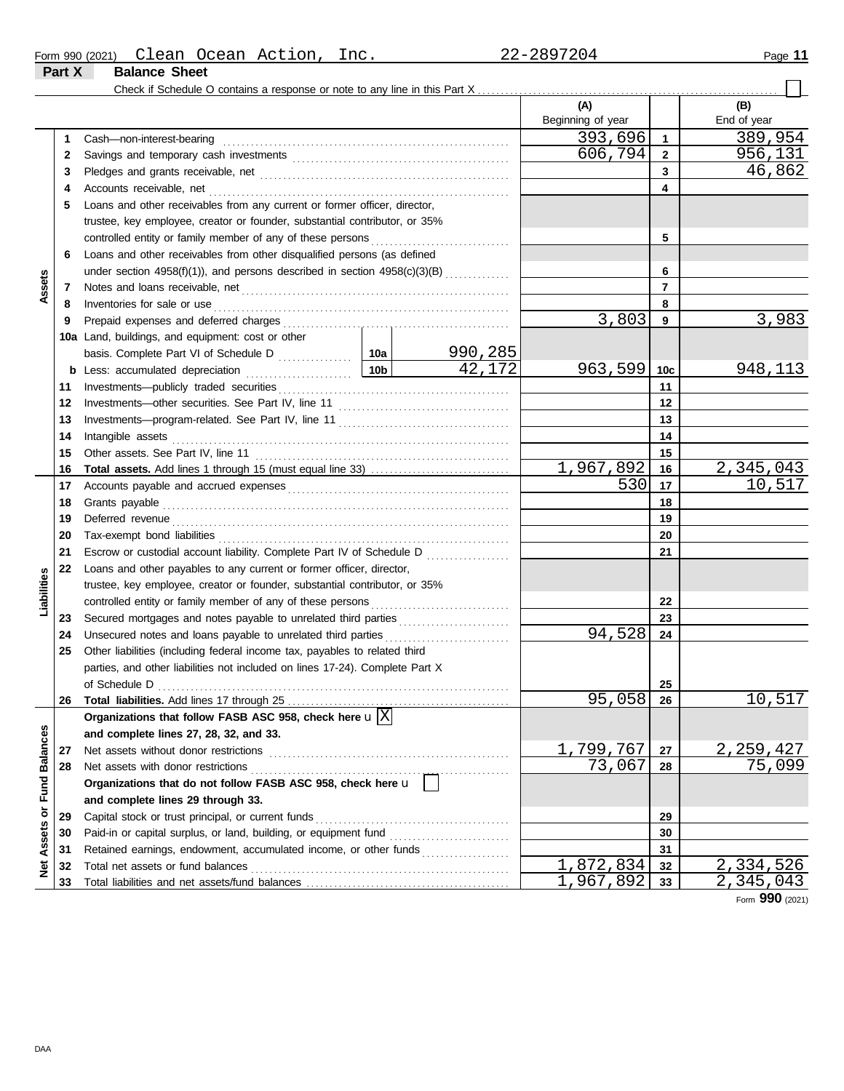| Form 990 (2021) | Clean                | Ocean | Action | Inc. | 2897204<br>$\triangle$ $\angle$ $-$ | Page |
|-----------------|----------------------|-------|--------|------|-------------------------------------|------|
| Part X          | <b>Balance Sheet</b> |       |        |      |                                     |      |

|                      |    |                                                                                                                                                                                                                                     |  |         | (A)               |                 | (B)         |
|----------------------|----|-------------------------------------------------------------------------------------------------------------------------------------------------------------------------------------------------------------------------------------|--|---------|-------------------|-----------------|-------------|
|                      |    |                                                                                                                                                                                                                                     |  |         | Beginning of year |                 | End of year |
|                      | 1  | Cash-non-interest-bearing                                                                                                                                                                                                           |  |         | 393,696           | 1               | 389,954     |
|                      | 2  |                                                                                                                                                                                                                                     |  |         | 606,794           | $\overline{2}$  | 956,131     |
|                      | 3  |                                                                                                                                                                                                                                     |  |         |                   | 3               | 46,862      |
|                      | 4  |                                                                                                                                                                                                                                     |  |         |                   | 4               |             |
|                      | 5  | Loans and other receivables from any current or former officer, director,                                                                                                                                                           |  |         |                   |                 |             |
|                      |    | trustee, key employee, creator or founder, substantial contributor, or 35%                                                                                                                                                          |  |         |                   |                 |             |
|                      |    |                                                                                                                                                                                                                                     |  |         |                   | 5               |             |
|                      | 6  | Loans and other receivables from other disqualified persons (as defined                                                                                                                                                             |  |         |                   |                 |             |
|                      |    | under section 4958(f)(1)), and persons described in section 4958(c)(3)(B)                                                                                                                                                           |  |         |                   | 6               |             |
|                      | 7  |                                                                                                                                                                                                                                     |  |         |                   | 7               |             |
| Assets               |    |                                                                                                                                                                                                                                     |  |         |                   | 8               |             |
|                      | 8  | Inventories for sale or use <i>communication</i> and the state of the state or use of the state of the state of the state of the state of the state of the state of the state of the state of the state of the state of the state o |  |         | 3,803             |                 | 3,983       |
|                      | 9  |                                                                                                                                                                                                                                     |  |         |                   | 9               |             |
|                      |    | 10a Land, buildings, and equipment: cost or other                                                                                                                                                                                   |  |         |                   |                 |             |
|                      |    |                                                                                                                                                                                                                                     |  | 990,285 |                   |                 |             |
|                      |    |                                                                                                                                                                                                                                     |  | 42,172  | 963,599           | 10 <sub>c</sub> | 948,113     |
|                      | 11 |                                                                                                                                                                                                                                     |  |         |                   | 11              |             |
|                      | 12 |                                                                                                                                                                                                                                     |  |         |                   | 12              |             |
|                      | 13 |                                                                                                                                                                                                                                     |  |         |                   | 13              |             |
|                      | 14 |                                                                                                                                                                                                                                     |  |         |                   | 14              |             |
|                      | 15 |                                                                                                                                                                                                                                     |  |         |                   | 15              |             |
|                      | 16 |                                                                                                                                                                                                                                     |  |         | 1,967,892         | 16              | 2,345,043   |
|                      | 17 |                                                                                                                                                                                                                                     |  | 530     | 17                | 10,517          |             |
|                      | 18 | Grants payable <i>communication</i> and all the contract of the contract of the contract of the contract of the contract of the contract of the contract of the contract of the contract of the contract of the contract of the con |  |         |                   | 18              |             |
|                      | 19 | Deferred revenue contains and all the container and all the container and all the container and all the containing of the containing of the containing of the containing of the containing of the containing of the containing      |  |         |                   | 19              |             |
|                      | 20 |                                                                                                                                                                                                                                     |  |         |                   | 20              |             |
|                      | 21 | Escrow or custodial account liability. Complete Part IV of Schedule D                                                                                                                                                               |  |         |                   | 21              |             |
|                      | 22 | Loans and other payables to any current or former officer, director,                                                                                                                                                                |  |         |                   |                 |             |
| Liabilities          |    | trustee, key employee, creator or founder, substantial contributor, or 35%                                                                                                                                                          |  |         |                   |                 |             |
|                      |    |                                                                                                                                                                                                                                     |  |         |                   | 22              |             |
|                      | 23 | Secured mortgages and notes payable to unrelated third parties                                                                                                                                                                      |  |         |                   | 23              |             |
|                      | 24 | Unsecured notes and loans payable to unrelated third parties                                                                                                                                                                        |  |         | 94,528            | 24              |             |
|                      | 25 | Other liabilities (including federal income tax, payables to related third                                                                                                                                                          |  |         |                   |                 |             |
|                      |    | parties, and other liabilities not included on lines 17-24). Complete Part X                                                                                                                                                        |  |         |                   |                 |             |
|                      |    |                                                                                                                                                                                                                                     |  |         |                   | 25              |             |
|                      | 26 |                                                                                                                                                                                                                                     |  |         | 95,058            | -26             | 10,517      |
|                      |    | Organizations that follow FASB ASC 958, check here $\mathbf{u}[\overline{X}]$                                                                                                                                                       |  |         |                   |                 |             |
|                      |    | and complete lines 27, 28, 32, and 33.                                                                                                                                                                                              |  |         |                   |                 |             |
|                      | 27 | Net assets without donor restrictions                                                                                                                                                                                               |  |         | 1,799,767         | 27              | 2, 259, 427 |
| <b>Fund Balances</b> | 28 | Net assets with donor restrictions                                                                                                                                                                                                  |  |         | 73,067            | 28              | 75,099      |
|                      |    | Organizations that do not follow FASB ASC 958, check here u                                                                                                                                                                         |  |         |                   |                 |             |
|                      |    | and complete lines 29 through 33.                                                                                                                                                                                                   |  |         |                   |                 |             |
| ŏ                    | 29 | Capital stock or trust principal, or current funds                                                                                                                                                                                  |  |         |                   | 29              |             |
|                      | 30 |                                                                                                                                                                                                                                     |  |         |                   | 30              |             |
| Assets               | 31 | Retained earnings, endowment, accumulated income, or other funds                                                                                                                                                                    |  |         |                   | 31              |             |
| ğ                    | 32 | Total net assets or fund balances                                                                                                                                                                                                   |  |         | 1,872,834         | 32              | 2,334,526   |
|                      |    |                                                                                                                                                                                                                                     |  |         | 1,967,892         | 33              | 2,345,043   |

Form **990** (2021)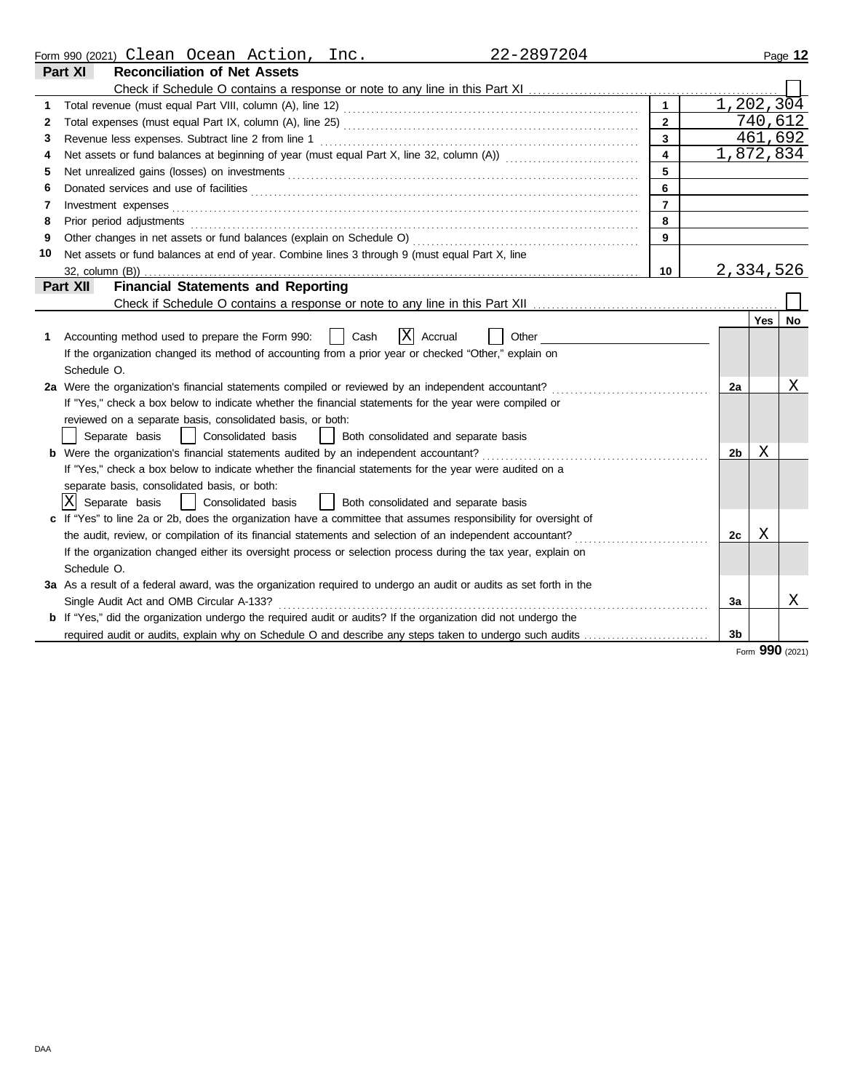|    | 22-2897204<br>Form 990 (2021) Clean Ocean Action, Inc.                                                                       |                         |                |     | Page 12 |
|----|------------------------------------------------------------------------------------------------------------------------------|-------------------------|----------------|-----|---------|
|    | Part XI<br><b>Reconciliation of Net Assets</b>                                                                               |                         |                |     |         |
|    |                                                                                                                              |                         |                |     |         |
|    |                                                                                                                              | $\mathbf{1}$            | 1,202,304      |     |         |
| 2  |                                                                                                                              | $\overline{2}$          |                |     | 740,612 |
| 3  |                                                                                                                              | $\overline{\mathbf{3}}$ |                |     | 461,692 |
| 4  |                                                                                                                              | $\overline{\mathbf{4}}$ | 1,872,834      |     |         |
| 5  |                                                                                                                              | 5                       |                |     |         |
| 6  | Donated services and use of facilities <b>constructs</b> and the construction of the service of facilities <b>constructs</b> | 6                       |                |     |         |
| 7  | Investment expenses                                                                                                          | $\overline{7}$          |                |     |         |
| 8  | Prior period adjustments                                                                                                     | 8                       |                |     |         |
| 9  | Other changes in net assets or fund balances (explain on Schedule O)                                                         | 9                       |                |     |         |
| 10 | Net assets or fund balances at end of year. Combine lines 3 through 9 (must equal Part X, line                               |                         |                |     |         |
|    | 32, column (B))                                                                                                              | 10                      | 2,334,526      |     |         |
|    | <b>Financial Statements and Reporting</b><br>Part XII                                                                        |                         |                |     |         |
|    |                                                                                                                              |                         |                |     |         |
|    |                                                                                                                              |                         |                | Yes | No      |
| 1  | <b>X</b><br>Accrual<br>Accounting method used to prepare the Form 990:<br>Cash<br>Other                                      |                         |                |     |         |
|    | If the organization changed its method of accounting from a prior year or checked "Other," explain on                        |                         |                |     |         |
|    | Schedule O.                                                                                                                  |                         |                |     |         |
|    | 2a Were the organization's financial statements compiled or reviewed by an independent accountant?                           |                         | 2a             |     | Χ       |
|    | If "Yes," check a box below to indicate whether the financial statements for the year were compiled or                       |                         |                |     |         |
|    | reviewed on a separate basis, consolidated basis, or both:                                                                   |                         |                |     |         |
|    | Separate basis<br>  Consolidated basis<br>  Both consolidated and separate basis                                             |                         |                |     |         |
|    | <b>b</b> Were the organization's financial statements audited by an independent accountant?                                  |                         | 2 <sub>b</sub> | Χ   |         |
|    | If "Yes," check a box below to indicate whether the financial statements for the year were audited on a                      |                         |                |     |         |
|    | separate basis, consolidated basis, or both:                                                                                 |                         |                |     |         |
|    | IXI<br>  Consolidated basis<br>  Both consolidated and separate basis<br>Separate basis                                      |                         |                |     |         |
|    | c If "Yes" to line 2a or 2b, does the organization have a committee that assumes responsibility for oversight of             |                         |                |     |         |
|    | the audit, review, or compilation of its financial statements and selection of an independent accountant?                    |                         | 2c             | Χ   |         |
|    | If the organization changed either its oversight process or selection process during the tax year, explain on                |                         |                |     |         |
|    | Schedule O.                                                                                                                  |                         |                |     |         |
|    | 3a As a result of a federal award, was the organization required to undergo an audit or audits as set forth in the           |                         |                |     |         |
|    | Single Audit Act and OMB Circular A-133?                                                                                     |                         | За             |     | Χ       |
|    | <b>b</b> If "Yes," did the organization undergo the required audit or audits? If the organization did not undergo the        |                         |                |     |         |
|    | required audit or audits, explain why on Schedule O and describe any steps taken to undergo such audits                      |                         | 3b             |     |         |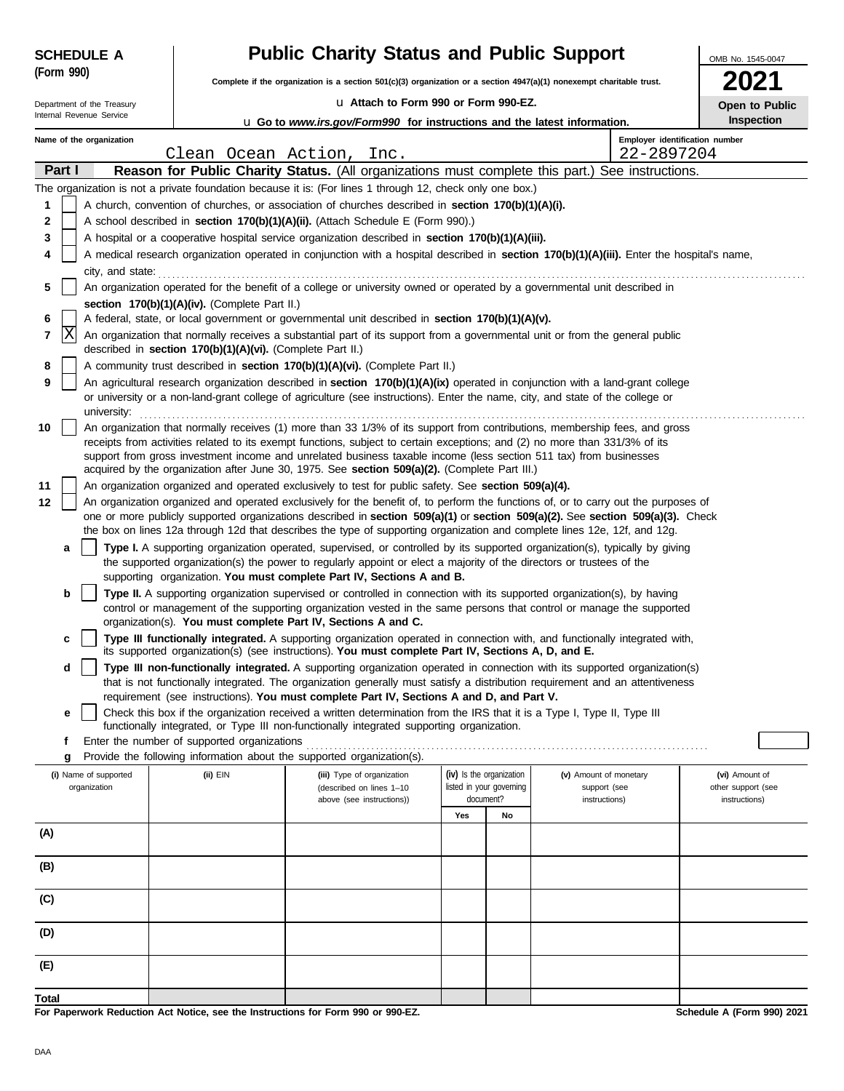| <b>SCHEDULE A</b>                                                                                     |                                                                                                                                                                                                      |                                               | <b>Public Charity Status and Public Support</b>                                                                                                                                                                                                                 |     |                                       |                               | OMB No. 1545-0047                   |  |  |
|-------------------------------------------------------------------------------------------------------|------------------------------------------------------------------------------------------------------------------------------------------------------------------------------------------------------|-----------------------------------------------|-----------------------------------------------------------------------------------------------------------------------------------------------------------------------------------------------------------------------------------------------------------------|-----|---------------------------------------|-------------------------------|-------------------------------------|--|--|
| (Form 990)                                                                                            |                                                                                                                                                                                                      |                                               | Complete if the organization is a section 501(c)(3) organization or a section 4947(a)(1) nonexempt charitable trust.                                                                                                                                            |     |                                       |                               |                                     |  |  |
| Department of the Treasury                                                                            |                                                                                                                                                                                                      |                                               | La Attach to Form 990 or Form 990-EZ.                                                                                                                                                                                                                           |     |                                       |                               | Open to Public                      |  |  |
| Internal Revenue Service                                                                              |                                                                                                                                                                                                      |                                               | <b>u</b> Go to www.irs.gov/Form990 for instructions and the latest information.                                                                                                                                                                                 |     |                                       |                               | <b>Inspection</b>                   |  |  |
| Name of the organization                                                                              |                                                                                                                                                                                                      | Clean Ocean Action,                           | Inc.                                                                                                                                                                                                                                                            |     |                                       | 22-2897204                    | Employer identification number      |  |  |
| Part I                                                                                                |                                                                                                                                                                                                      |                                               | Reason for Public Charity Status. (All organizations must complete this part.)                                                                                                                                                                                  |     |                                       | See instructions.             |                                     |  |  |
|                                                                                                       |                                                                                                                                                                                                      |                                               | The organization is not a private foundation because it is: (For lines 1 through 12, check only one box.)                                                                                                                                                       |     |                                       |                               |                                     |  |  |
| 1                                                                                                     |                                                                                                                                                                                                      |                                               | A church, convention of churches, or association of churches described in section 170(b)(1)(A)(i).                                                                                                                                                              |     |                                       |                               |                                     |  |  |
| 2                                                                                                     |                                                                                                                                                                                                      |                                               | A school described in section 170(b)(1)(A)(ii). (Attach Schedule E (Form 990).)                                                                                                                                                                                 |     |                                       |                               |                                     |  |  |
| 3                                                                                                     |                                                                                                                                                                                                      |                                               | A hospital or a cooperative hospital service organization described in section 170(b)(1)(A)(iii).                                                                                                                                                               |     |                                       |                               |                                     |  |  |
| 4                                                                                                     |                                                                                                                                                                                                      |                                               | A medical research organization operated in conjunction with a hospital described in section 170(b)(1)(A)(iii). Enter the hospital's name,                                                                                                                      |     |                                       |                               |                                     |  |  |
| city, and state:<br>5                                                                                 |                                                                                                                                                                                                      |                                               | An organization operated for the benefit of a college or university owned or operated by a governmental unit described in                                                                                                                                       |     |                                       |                               |                                     |  |  |
|                                                                                                       |                                                                                                                                                                                                      | section 170(b)(1)(A)(iv). (Complete Part II.) |                                                                                                                                                                                                                                                                 |     |                                       |                               |                                     |  |  |
| A federal, state, or local government or governmental unit described in section 170(b)(1)(A)(v).<br>6 |                                                                                                                                                                                                      |                                               |                                                                                                                                                                                                                                                                 |     |                                       |                               |                                     |  |  |
|                                                                                                       | X<br>7<br>An organization that normally receives a substantial part of its support from a governmental unit or from the general public<br>described in section 170(b)(1)(A)(vi). (Complete Part II.) |                                               |                                                                                                                                                                                                                                                                 |     |                                       |                               |                                     |  |  |
| 8                                                                                                     |                                                                                                                                                                                                      |                                               | A community trust described in section 170(b)(1)(A)(vi). (Complete Part II.)                                                                                                                                                                                    |     |                                       |                               |                                     |  |  |
| 9                                                                                                     |                                                                                                                                                                                                      |                                               | An agricultural research organization described in section 170(b)(1)(A)(ix) operated in conjunction with a land-grant college<br>or university or a non-land-grant college of agriculture (see instructions). Enter the name, city, and state of the college or |     |                                       |                               |                                     |  |  |
| university:<br>10                                                                                     |                                                                                                                                                                                                      |                                               | An organization that normally receives (1) more than 33 1/3% of its support from contributions, membership fees, and gross                                                                                                                                      |     |                                       |                               |                                     |  |  |
|                                                                                                       |                                                                                                                                                                                                      |                                               | receipts from activities related to its exempt functions, subject to certain exceptions; and (2) no more than 331/3% of its                                                                                                                                     |     |                                       |                               |                                     |  |  |
|                                                                                                       |                                                                                                                                                                                                      |                                               | support from gross investment income and unrelated business taxable income (less section 511 tax) from businesses<br>acquired by the organization after June 30, 1975. See section 509(a)(2). (Complete Part III.)                                              |     |                                       |                               |                                     |  |  |
| 11                                                                                                    |                                                                                                                                                                                                      |                                               | An organization organized and operated exclusively to test for public safety. See section 509(a)(4).                                                                                                                                                            |     |                                       |                               |                                     |  |  |
| 12                                                                                                    |                                                                                                                                                                                                      |                                               | An organization organized and operated exclusively for the benefit of, to perform the functions of, or to carry out the purposes of                                                                                                                             |     |                                       |                               |                                     |  |  |
|                                                                                                       |                                                                                                                                                                                                      |                                               | one or more publicly supported organizations described in section 509(a)(1) or section 509(a)(2). See section 509(a)(3). Check                                                                                                                                  |     |                                       |                               |                                     |  |  |
| a                                                                                                     |                                                                                                                                                                                                      |                                               | the box on lines 12a through 12d that describes the type of supporting organization and complete lines 12e, 12f, and 12g.<br>Type I. A supporting organization operated, supervised, or controlled by its supported organization(s), typically by giving        |     |                                       |                               |                                     |  |  |
|                                                                                                       |                                                                                                                                                                                                      |                                               | the supported organization(s) the power to regularly appoint or elect a majority of the directors or trustees of the                                                                                                                                            |     |                                       |                               |                                     |  |  |
| b                                                                                                     |                                                                                                                                                                                                      |                                               | supporting organization. You must complete Part IV, Sections A and B.<br><b>Type II.</b> A supporting organization supervised or controlled in connection with its supported organization(s), by having                                                         |     |                                       |                               |                                     |  |  |
|                                                                                                       |                                                                                                                                                                                                      |                                               | control or management of the supporting organization vested in the same persons that control or manage the supported                                                                                                                                            |     |                                       |                               |                                     |  |  |
|                                                                                                       |                                                                                                                                                                                                      |                                               | organization(s). You must complete Part IV, Sections A and C.                                                                                                                                                                                                   |     |                                       |                               |                                     |  |  |
| c                                                                                                     |                                                                                                                                                                                                      |                                               | Type III functionally integrated. A supporting organization operated in connection with, and functionally integrated with,<br>its supported organization(s) (see instructions). You must complete Part IV, Sections A, D, and E.                                |     |                                       |                               |                                     |  |  |
| d                                                                                                     |                                                                                                                                                                                                      |                                               | Type III non-functionally integrated. A supporting organization operated in connection with its supported organization(s)<br>that is not functionally integrated. The organization generally must satisfy a distribution requirement and an attentiveness       |     |                                       |                               |                                     |  |  |
|                                                                                                       |                                                                                                                                                                                                      |                                               | requirement (see instructions). You must complete Part IV, Sections A and D, and Part V.                                                                                                                                                                        |     |                                       |                               |                                     |  |  |
| е                                                                                                     |                                                                                                                                                                                                      |                                               | Check this box if the organization received a written determination from the IRS that it is a Type I, Type II, Type III                                                                                                                                         |     |                                       |                               |                                     |  |  |
| f                                                                                                     |                                                                                                                                                                                                      | Enter the number of supported organizations   | functionally integrated, or Type III non-functionally integrated supporting organization.                                                                                                                                                                       |     |                                       |                               |                                     |  |  |
| g                                                                                                     |                                                                                                                                                                                                      |                                               | Provide the following information about the supported organization(s).                                                                                                                                                                                          |     |                                       |                               |                                     |  |  |
| (i) Name of supported                                                                                 |                                                                                                                                                                                                      | (ii) EIN                                      | (iii) Type of organization                                                                                                                                                                                                                                      |     | (iv) Is the organization              | (v) Amount of monetary        | (vi) Amount of                      |  |  |
| organization                                                                                          |                                                                                                                                                                                                      |                                               | (described on lines 1-10<br>above (see instructions))                                                                                                                                                                                                           |     | listed in your governing<br>document? | support (see<br>instructions) | other support (see<br>instructions) |  |  |
|                                                                                                       |                                                                                                                                                                                                      |                                               |                                                                                                                                                                                                                                                                 | Yes | No                                    |                               |                                     |  |  |
| (A)                                                                                                   |                                                                                                                                                                                                      |                                               |                                                                                                                                                                                                                                                                 |     |                                       |                               |                                     |  |  |
| (B)                                                                                                   |                                                                                                                                                                                                      |                                               |                                                                                                                                                                                                                                                                 |     |                                       |                               |                                     |  |  |
|                                                                                                       |                                                                                                                                                                                                      |                                               |                                                                                                                                                                                                                                                                 |     |                                       |                               |                                     |  |  |
| (C)                                                                                                   |                                                                                                                                                                                                      |                                               |                                                                                                                                                                                                                                                                 |     |                                       |                               |                                     |  |  |
| (D)                                                                                                   |                                                                                                                                                                                                      |                                               |                                                                                                                                                                                                                                                                 |     |                                       |                               |                                     |  |  |
| (E)                                                                                                   |                                                                                                                                                                                                      |                                               |                                                                                                                                                                                                                                                                 |     |                                       |                               |                                     |  |  |
| Total                                                                                                 |                                                                                                                                                                                                      |                                               |                                                                                                                                                                                                                                                                 |     |                                       |                               |                                     |  |  |
|                                                                                                       |                                                                                                                                                                                                      |                                               |                                                                                                                                                                                                                                                                 |     |                                       |                               |                                     |  |  |

**For Paperwork Reduction Act Notice, see the Instructions for Form 990 or 990-EZ.**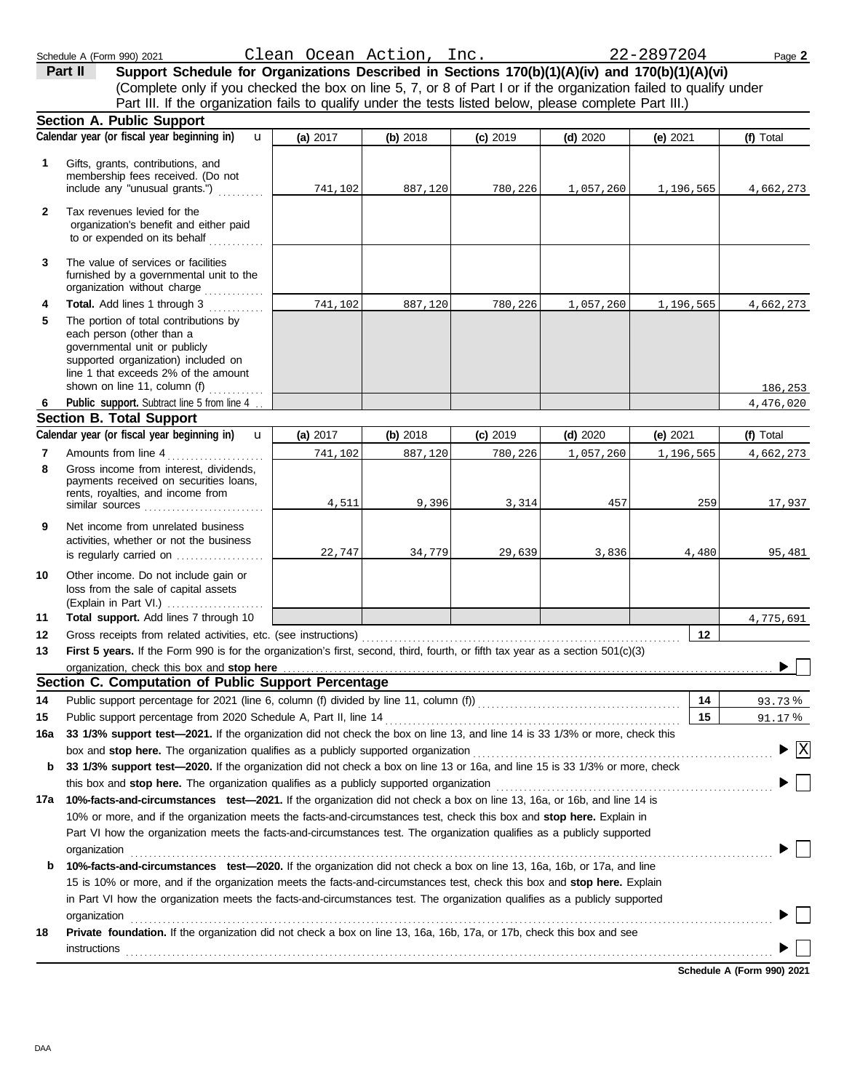|     | is regularly carried on $\ldots$ , $\ldots$                                                                    | 22,747 | 34,779 | 29,639 |
|-----|----------------------------------------------------------------------------------------------------------------|--------|--------|--------|
| 10  | Other income. Do not include gain or<br>loss from the sale of capital assets                                   |        |        |        |
| 11  | Total support. Add lines 7 through 10                                                                          |        |        |        |
| 12  |                                                                                                                |        |        |        |
| 13  | First 5 years. If the Form 990 is for the organization's first, second, third, fourth, or fifth tax year as    |        |        |        |
|     | organization, check this box and stop here Martham Martham Martham Martham Martham Martham Martham Martham Mar |        |        |        |
|     | Section C. Computation of Public Support Percentage                                                            |        |        |        |
| 14  | Public support percentage for 2021 (line 6, column (f) divided by line 11, column (f))                         |        |        |        |
| 15  | Public support percentage from 2020 Schedule A, Part II, line 14 [                                             |        |        |        |
| 16a | 33 1/3% support test-2021. If the organization did not check the box on line 13, and line 14 is 33             |        |        |        |
|     | box and stop here. The organization qualifies as a publicly supported organization                             |        |        |        |
| b   | 33 1/3% support test-2020. If the organization did not check a box on line 13 or 16a, and line 15              |        |        |        |
|     | this box and stop here. The organization qualifies as a publicly supported organization                        |        |        |        |
| 17a | 10%-facts-and-circumstances test-2021. If the organization did not check a box on line 13, 16a,                |        |        |        |
|     | 10% or more, and if the organization meets the facts-and-circumstances test, check this box and st             |        |        |        |
|     | Part VI how the organization meets the facts-and-circumstances test. The organization qualifies as             |        |        |        |
|     | organization                                                                                                   |        |        |        |
| b   | 10%-facts-and-circumstances test-2020. If the organization did not check a box on line 13, 16a,                |        |        |        |
|     | 15 is 10% or more, and if the organization meets the facts-and-circumstances test, check this box a            |        |        |        |
|     | in Part VI how the organization meets the facts-and-circumstances test. The organization qualifies a           |        |        |        |
|     | organization                                                                                                   |        |        |        |
| 18  | Private foundation. If the organization did not check a box on line 13, 16a, 16b, 17a, or 17b, check           |        |        |        |
|     |                                                                                                                |        |        |        |

| 1              | Gifts, grants, contributions, and<br>membership fees received. (Do not<br>include any "unusual grants.")                                                                                                                      | 741,102    | 887,120  | 780,226    | 1,057,260  | 1,196,565 | 4,662,273                                     |
|----------------|-------------------------------------------------------------------------------------------------------------------------------------------------------------------------------------------------------------------------------|------------|----------|------------|------------|-----------|-----------------------------------------------|
| $\mathbf{2}$   | Tax revenues levied for the<br>organization's benefit and either paid<br>to or expended on its behalf                                                                                                                         |            |          |            |            |           |                                               |
| 3              | The value of services or facilities<br>furnished by a governmental unit to the<br>organization without charge                                                                                                                 |            |          |            |            |           |                                               |
| 4              | Total. Add lines 1 through 3                                                                                                                                                                                                  | 741,102    | 887,120  | 780,226    | 1,057,260  | 1,196,565 | 4,662,273                                     |
| 5              | The portion of total contributions by<br>each person (other than a<br>governmental unit or publicly<br>supported organization) included on<br>line 1 that exceeds 2% of the amount<br>shown on line 11, column (f)            |            |          |            |            |           |                                               |
| 6              | <u> 1996 - Jan Barbara III, ma</u><br>Public support. Subtract line 5 from line 4                                                                                                                                             |            |          |            |            |           | 186,253                                       |
|                | <b>Section B. Total Support</b>                                                                                                                                                                                               |            |          |            |            |           | 4,476,020                                     |
|                | Calendar year (or fiscal year beginning in)<br>$\mathbf{u}$                                                                                                                                                                   | (a) $2017$ | (b) 2018 | $(c)$ 2019 | $(d)$ 2020 | (e) 2021  | (f) Total                                     |
| $\overline{7}$ | Amounts from line 4                                                                                                                                                                                                           | 741,102    | 887,120  | 780,226    | 1,057,260  | 1,196,565 | 4,662,273                                     |
| 8              | Gross income from interest, dividends,<br>payments received on securities loans,<br>rents, royalties, and income from                                                                                                         |            |          |            |            |           |                                               |
|                | similar sources and the state of the state of the state of the state of the state of the state of the state of                                                                                                                | 4,511      | 9,396    | 3,314      | 457        | 259       | 17,937                                        |
| 9              | Net income from unrelated business<br>activities, whether or not the business<br>is regularly carried on                                                                                                                      | 22,747     | 34,779   | 29,639     | 3,836      | 4,480     | 95,481                                        |
| 10             | Other income. Do not include gain or<br>loss from the sale of capital assets                                                                                                                                                  |            |          |            |            |           |                                               |
| 11             | Total support. Add lines 7 through 10                                                                                                                                                                                         |            |          |            |            |           | 4,775,691                                     |
| 12             | Gross receipts from related activities, etc. (see instructions)                                                                                                                                                               |            |          |            |            | $12 \,$   |                                               |
| 13             | First 5 years. If the Form 990 is for the organization's first, second, third, fourth, or fifth tax year as a section 501(c)(3)                                                                                               |            |          |            |            |           |                                               |
|                | organization, check this box and stop here                                                                                                                                                                                    |            |          |            |            |           |                                               |
|                | Section C. Computation of Public Support Percentage                                                                                                                                                                           |            |          |            |            |           |                                               |
| 14<br>15       |                                                                                                                                                                                                                               |            |          |            |            | 14<br>15  | 93.73%<br>91.17%                              |
| 16a            | 33 1/3% support test-2021. If the organization did not check the box on line 13, and line 14 is 33 1/3% or more, check this                                                                                                   |            |          |            |            |           |                                               |
|                | box and stop here. The organization qualifies as a publicly supported organization [11] content content content content or set of the state of the state of the state or state or set of the state or state or state or state |            |          |            |            |           | $\blacktriangleright$ $\overline{\mathbb{X}}$ |
| b              | 33 1/3% support test-2020. If the organization did not check a box on line 13 or 16a, and line 15 is 33 1/3% or more, check                                                                                                   |            |          |            |            |           |                                               |
|                | this box and stop here. The organization qualifies as a publicly supported organization                                                                                                                                       |            |          |            |            |           | ▶                                             |
| 17а            | 10%-facts-and-circumstances test-2021. If the organization did not check a box on line 13, 16a, or 16b, and line 14 is                                                                                                        |            |          |            |            |           |                                               |
|                | 10% or more, and if the organization meets the facts-and-circumstances test, check this box and stop here. Explain in                                                                                                         |            |          |            |            |           |                                               |
|                | Part VI how the organization meets the facts-and-circumstances test. The organization qualifies as a publicly supported                                                                                                       |            |          |            |            |           |                                               |
|                | organization                                                                                                                                                                                                                  |            |          |            |            |           |                                               |
| b              | 10%-facts-and-circumstances test-2020. If the organization did not check a box on line 13, 16a, 16b, or 17a, and line                                                                                                         |            |          |            |            |           |                                               |
|                | 15 is 10% or more, and if the organization meets the facts-and-circumstances test, check this box and stop here. Explain                                                                                                      |            |          |            |            |           |                                               |
|                | in Part VI how the organization meets the facts-and-circumstances test. The organization qualifies as a publicly supported                                                                                                    |            |          |            |            |           |                                               |
| 18             | <b>Private foundation.</b> If the organization did not check a box on line 13, 16a, 16b, 17a, or 17b, check this box and see                                                                                                  |            |          |            |            |           |                                               |
|                | <b>instructions</b>                                                                                                                                                                                                           |            |          |            |            |           |                                               |

**Schedule A (Form 990) 2021**

**Calendar year (or fiscal year beginning in) (f)** Total

Part III. If the organization fails to qualify under the tests listed below, please complete Part III.)

(Complete only if you checked the box on line 5, 7, or 8 of Part I or if the organization failed to qualify under

**(a)** 2017 **(b)** 2018 **(c)** 2019 **(d)** 2020 **(e)** 2021

| chedule A (Form 990) 20: |  |  |
|--------------------------|--|--|
|                          |  |  |

**Section A. Public Support**

u

Schedule A (Form 990) 2021 Page **2** Clean Ocean Action, Inc. 22-2897204 **Part II Support Schedule for Organizations Described in Sections 170(b)(1)(A)(iv) and 170(b)(1)(A)(vi)**<br>**Part II Support Schedule for Organizations Described in Sections 170(b)(1)(A)(iv) and 170(b)(1)(A)(vi)**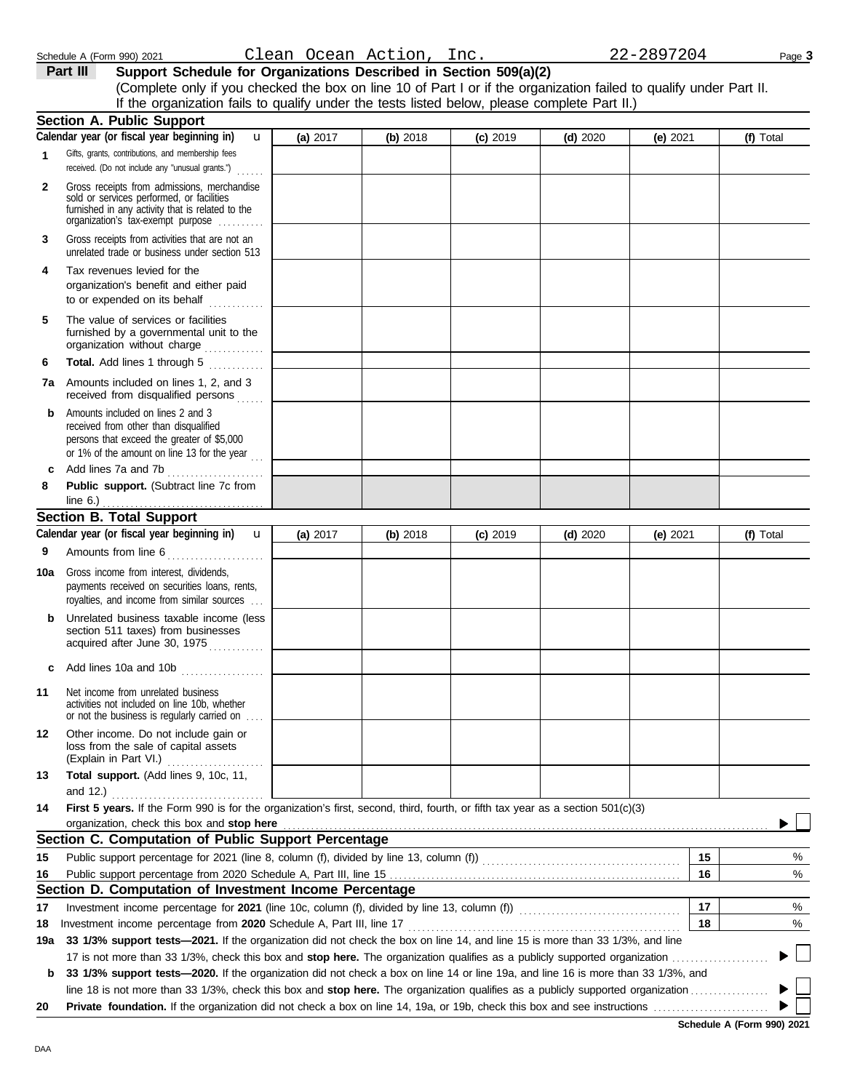DAA

| 1            | Gifts, grants, contributions, and membership fees<br>received. (Do not include any "unusual grants.")                                                                             |          |          |            |            |            |           |
|--------------|-----------------------------------------------------------------------------------------------------------------------------------------------------------------------------------|----------|----------|------------|------------|------------|-----------|
| $\mathbf{2}$ | Gross receipts from admissions, merchandise<br>sold or services performed, or facilities<br>furnished in any activity that is related to the<br>organization's fax-exempt purpose |          |          |            |            |            |           |
| 3            | Gross receipts from activities that are not an<br>unrelated trade or business under section 513                                                                                   |          |          |            |            |            |           |
| 4            | Tax revenues levied for the<br>organization's benefit and either paid<br>to or expended on its behalf<br>.                                                                        |          |          |            |            |            |           |
| 5            | The value of services or facilities<br>furnished by a governmental unit to the<br>organization without charge                                                                     |          |          |            |            |            |           |
| 6            | Total. Add lines 1 through 5                                                                                                                                                      |          |          |            |            |            |           |
|              | <b>7a</b> Amounts included on lines 1, 2, and 3<br>received from disqualified persons<br>.                                                                                        |          |          |            |            |            |           |
| b            | Amounts included on lines 2 and 3<br>received from other than disqualified<br>persons that exceed the greater of \$5,000<br>or 1% of the amount on line 13 for the year $\ldots$  |          |          |            |            |            |           |
| c            | Add lines 7a and 7b<br>.                                                                                                                                                          |          |          |            |            |            |           |
| 8            | Public support. (Subtract line 7c from<br>line $6.$ )                                                                                                                             |          |          |            |            |            |           |
|              | <b>Section B. Total Support</b>                                                                                                                                                   |          |          |            |            |            |           |
|              | Calendar year (or fiscal year beginning in)<br>$\mathbf{u}$                                                                                                                       | (a) 2017 | (b) 2018 | $(c)$ 2019 | $(d)$ 2020 | (e) $2021$ | (f) Total |
| 9            | Amounts from line 6                                                                                                                                                               |          |          |            |            |            |           |
| 10a          | Gross income from interest, dividends,<br>payments received on securities loans, rents,<br>royalties, and income from similar sources                                             |          |          |            |            |            |           |
| b            | Unrelated business taxable income (less<br>section 511 taxes) from businesses<br>acquired after June 30, 1975                                                                     |          |          |            |            |            |           |
| c            | Add lines 10a and 10b                                                                                                                                                             |          |          |            |            |            |           |
| 11           | Net income from unrelated business<br>activities not included on line 10b, whether<br>or not the business is regularly carried on                                                 |          |          |            |            |            |           |
| 12           | Other income. Do not include gain or<br>loss from the sale of capital assets<br>(Explain in Part VI.)                                                                             |          |          |            |            |            |           |
| 13           | Total support. (Add lines 9, 10c, 11,                                                                                                                                             |          |          |            |            |            |           |
| 14           | and $12.$ )<br>First 5 years. If the Form 990 is for the organization's first, second, third, fourth, or fifth tax year as a section 501(c)(3)                                    |          |          |            |            |            |           |
|              | organization, check this box and stop here                                                                                                                                        |          |          |            |            |            |           |
|              | Section C. Computation of Public Support Percentage                                                                                                                               |          |          |            |            |            |           |
| 15           |                                                                                                                                                                                   |          |          |            |            | 15         | %         |
| 16           |                                                                                                                                                                                   |          |          |            |            | 16         | %         |
|              | Section D. Computation of Investment Income Percentage                                                                                                                            |          |          |            |            |            |           |
| 17           | Investment income percentage for 2021 (line 10c, column (f), divided by line 13, column (f)) [[[[[[[[[[[[[[[[[                                                                    |          |          |            |            | 17         | %         |
| 18           | Investment income percentage from 2020 Schedule A, Part III, line 17                                                                                                              |          |          |            |            | 18         | %         |
| 19a          | 33 1/3% support tests-2021. If the organization did not check the box on line 14, and line 15 is more than 33 1/3%, and line                                                      |          |          |            |            |            |           |
|              |                                                                                                                                                                                   |          |          |            |            |            |           |
| b            | 33 1/3% support tests-2020. If the organization did not check a box on line 14 or line 19a, and line 16 is more than 33 1/3%, and                                                 |          |          |            |            |            |           |
|              |                                                                                                                                                                                   |          |          |            |            |            |           |
| 20           |                                                                                                                                                                                   |          |          |            |            |            |           |

## **Part III Support Schedule for Organizations Described in Section 509(a)(2)**

 $\overline{\mathbf{u}}$ 

(Complete only if you checked the box on line 10 of Part I or if the organization failed to qualify under Part II. If the organization fails to qualify under the tests listed below, please complete Part II.)

**(a)** 2017 **(b)** 2018 **(c)** 2019 **(d)** 2020 **(e)** 2021 **(f)** Total

**Section A. Public Support**

**Calendar year (or fiscal year beginning in)**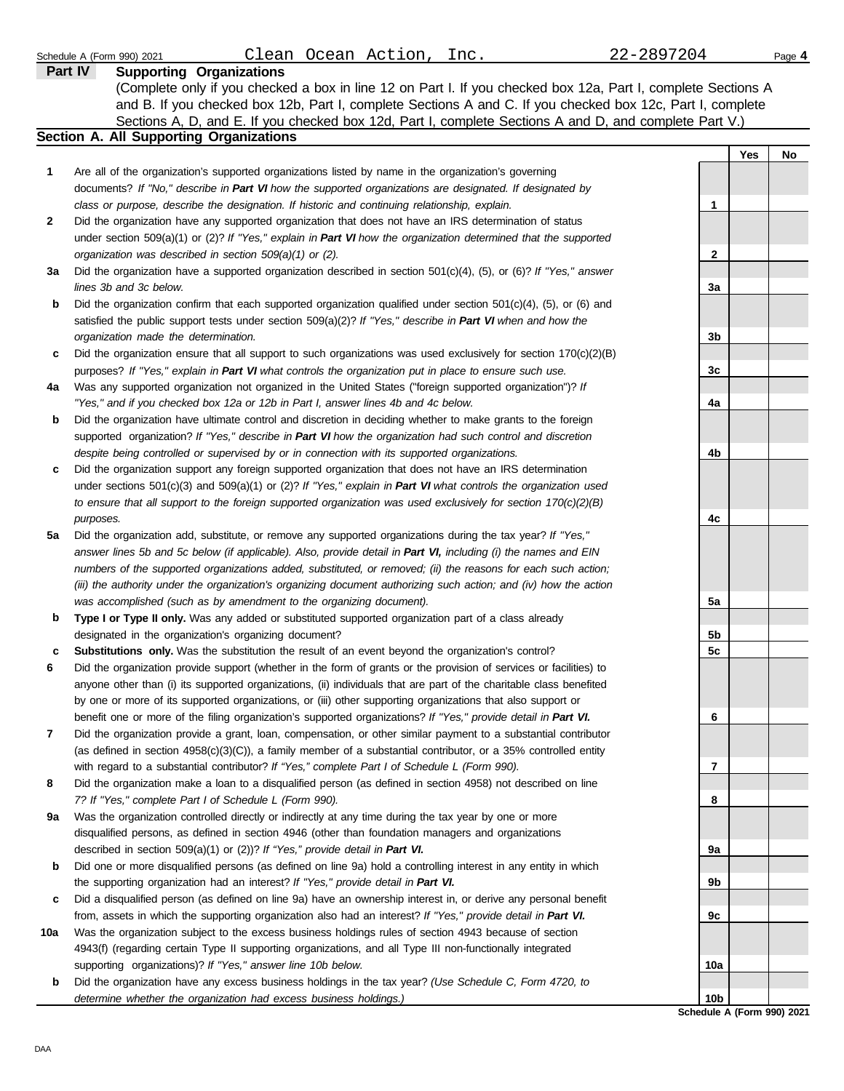|     | Clean Ocean Action, Inc.<br>Schedule A (Form 990) 2021                                                                   | 22-2897204                 |     | Page 4 |
|-----|--------------------------------------------------------------------------------------------------------------------------|----------------------------|-----|--------|
|     | <b>Supporting Organizations</b><br>Part IV                                                                               |                            |     |        |
|     | (Complete only if you checked a box in line 12 on Part I. If you checked box 12a, Part I, complete Sections A            |                            |     |        |
|     | and B. If you checked box 12b, Part I, complete Sections A and C. If you checked box 12c, Part I, complete               |                            |     |        |
|     | Sections A, D, and E. If you checked box 12d, Part I, complete Sections A and D, and complete Part V.)                   |                            |     |        |
|     | <b>Section A. All Supporting Organizations</b>                                                                           |                            |     |        |
|     |                                                                                                                          |                            | Yes | No.    |
| 1   | Are all of the organization's supported organizations listed by name in the organization's governing                     |                            |     |        |
|     | documents? If "No," describe in Part VI how the supported organizations are designated. If designated by                 |                            |     |        |
|     | class or purpose, describe the designation. If historic and continuing relationship, explain.                            | 1                          |     |        |
| 2   | Did the organization have any supported organization that does not have an IRS determination of status                   |                            |     |        |
|     | under section 509(a)(1) or (2)? If "Yes," explain in Part VI how the organization determined that the supported          |                            |     |        |
|     | organization was described in section 509(a)(1) or (2).                                                                  | 2                          |     |        |
| За  | Did the organization have a supported organization described in section $501(c)(4)$ , (5), or (6)? If "Yes," answer      |                            |     |        |
|     | lines 3b and 3c below.                                                                                                   | 3a                         |     |        |
| b   | Did the organization confirm that each supported organization qualified under section $501(c)(4)$ , $(5)$ , or $(6)$ and |                            |     |        |
|     | satisfied the public support tests under section 509(a)(2)? If "Yes," describe in Part VI when and how the               |                            |     |        |
|     | organization made the determination.                                                                                     | 3b                         |     |        |
| c   | Did the organization ensure that all support to such organizations was used exclusively for section 170(c)(2)(B)         |                            |     |        |
|     | purposes? If "Yes," explain in Part VI what controls the organization put in place to ensure such use.                   | 3c                         |     |        |
| 4a  | Was any supported organization not organized in the United States ("foreign supported organization")? If                 |                            |     |        |
|     | "Yes," and if you checked box 12a or 12b in Part I, answer lines 4b and 4c below.                                        | 4a                         |     |        |
| b   | Did the organization have ultimate control and discretion in deciding whether to make grants to the foreign              |                            |     |        |
|     | supported organization? If "Yes," describe in Part VI how the organization had such control and discretion               |                            |     |        |
|     | despite being controlled or supervised by or in connection with its supported organizations.                             | 4b                         |     |        |
| c   | Did the organization support any foreign supported organization that does not have an IRS determination                  |                            |     |        |
|     | under sections $501(c)(3)$ and $509(a)(1)$ or (2)? If "Yes," explain in Part VI what controls the organization used      |                            |     |        |
|     | to ensure that all support to the foreign supported organization was used exclusively for section $170(c)(2)(B)$         |                            |     |        |
|     | purposes.                                                                                                                | 4c                         |     |        |
| 5a  | Did the organization add, substitute, or remove any supported organizations during the tax year? If "Yes,"               |                            |     |        |
|     | answer lines 5b and 5c below (if applicable). Also, provide detail in Part VI, including (i) the names and EIN           |                            |     |        |
|     | numbers of the supported organizations added, substituted, or removed; (ii) the reasons for each such action;            |                            |     |        |
|     | (iii) the authority under the organization's organizing document authorizing such action; and (iv) how the action        |                            |     |        |
|     | was accomplished (such as by amendment to the organizing document).                                                      | 5а                         |     |        |
| b   | Type I or Type II only. Was any added or substituted supported organization part of a class already                      |                            |     |        |
|     | designated in the organization's organizing document?                                                                    | 5 <sub>b</sub>             |     |        |
| с   | Substitutions only. Was the substitution the result of an event beyond the organization's control?                       | 5c                         |     |        |
|     | Did the organization provide support (whether in the form of grants or the provision of services or facilities) to       |                            |     |        |
|     | anyone other than (i) its supported organizations, (ii) individuals that are part of the charitable class benefited      |                            |     |        |
|     | by one or more of its supported organizations, or (iii) other supporting organizations that also support or              |                            |     |        |
|     | benefit one or more of the filing organization's supported organizations? If "Yes," provide detail in Part VI.           | 6                          |     |        |
| 7   | Did the organization provide a grant, loan, compensation, or other similar payment to a substantial contributor          |                            |     |        |
|     | (as defined in section $4958(c)(3)(C)$ ), a family member of a substantial contributor, or a 35% controlled entity       |                            |     |        |
|     | with regard to a substantial contributor? If "Yes," complete Part I of Schedule L (Form 990).                            | 7                          |     |        |
| 8   | Did the organization make a loan to a disqualified person (as defined in section 4958) not described on line             |                            |     |        |
|     | 7? If "Yes," complete Part I of Schedule L (Form 990).                                                                   | 8                          |     |        |
| 9a  | Was the organization controlled directly or indirectly at any time during the tax year by one or more                    |                            |     |        |
|     | disqualified persons, as defined in section 4946 (other than foundation managers and organizations                       |                            |     |        |
|     | described in section 509(a)(1) or (2))? If "Yes," provide detail in Part VI.                                             | 9а                         |     |        |
| b   | Did one or more disqualified persons (as defined on line 9a) hold a controlling interest in any entity in which          |                            |     |        |
|     | the supporting organization had an interest? If "Yes," provide detail in Part VI.                                        | 9b                         |     |        |
| c   | Did a disqualified person (as defined on line 9a) have an ownership interest in, or derive any personal benefit          |                            |     |        |
|     | from, assets in which the supporting organization also had an interest? If "Yes," provide detail in Part VI.             | 9с                         |     |        |
| 10a | Was the organization subject to the excess business holdings rules of section 4943 because of section                    |                            |     |        |
|     | 4943(f) (regarding certain Type II supporting organizations, and all Type III non-functionally integrated                |                            |     |        |
|     | supporting organizations)? If "Yes," answer line 10b below.                                                              | 10a                        |     |        |
| b   | Did the organization have any excess business holdings in the tax year? (Use Schedule C, Form 4720, to                   |                            |     |        |
|     | determine whether the organization had excess business holdings.)                                                        | 10b                        |     |        |
|     |                                                                                                                          | Schodule A (Form 000) 2021 |     |        |

**Schedule A (Form 990) 2021**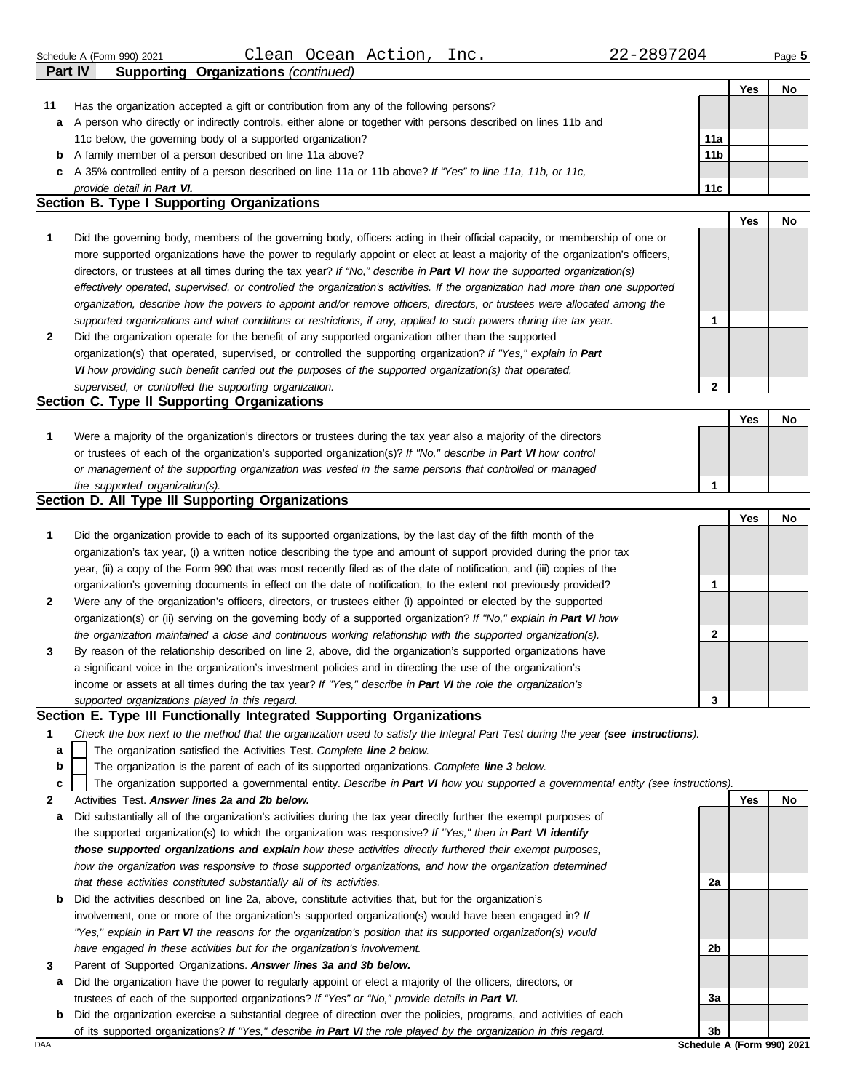|    | Clean Ocean Action,<br>Inc.<br>Schedule A (Form 990) 2021                                                                         | 22-2897204      |     | Page 5 |
|----|-----------------------------------------------------------------------------------------------------------------------------------|-----------------|-----|--------|
|    | <b>Supporting Organizations (continued)</b><br><b>Part IV</b>                                                                     |                 |     |        |
|    |                                                                                                                                   |                 | Yes | No     |
| 11 | Has the organization accepted a gift or contribution from any of the following persons?                                           |                 |     |        |
| а  | A person who directly or indirectly controls, either alone or together with persons described on lines 11b and                    |                 |     |        |
|    | 11c below, the governing body of a supported organization?                                                                        | 11a             |     |        |
| b  | A family member of a person described on line 11a above?                                                                          | 11 <sub>b</sub> |     |        |
| c  | A 35% controlled entity of a person described on line 11a or 11b above? If "Yes" to line 11a, 11b, or 11c,                        |                 |     |        |
|    | provide detail in Part VI.                                                                                                        | 11c             |     |        |
|    | <b>Section B. Type I Supporting Organizations</b>                                                                                 |                 |     |        |
|    |                                                                                                                                   |                 | Yes | No     |
| 1  | Did the governing body, members of the governing body, officers acting in their official capacity, or membership of one or        |                 |     |        |
|    | more supported organizations have the power to regularly appoint or elect at least a majority of the organization's officers,     |                 |     |        |
|    | directors, or trustees at all times during the tax year? If "No," describe in Part VI how the supported organization(s)           |                 |     |        |
|    | effectively operated, supervised, or controlled the organization's activities. If the organization had more than one supported    |                 |     |        |
|    | organization, describe how the powers to appoint and/or remove officers, directors, or trustees were allocated among the          |                 |     |        |
|    | supported organizations and what conditions or restrictions, if any, applied to such powers during the tax year.                  | 1               |     |        |
| 2  | Did the organization operate for the benefit of any supported organization other than the supported                               |                 |     |        |
|    | organization(s) that operated, supervised, or controlled the supporting organization? If "Yes," explain in Part                   |                 |     |        |
|    | VI how providing such benefit carried out the purposes of the supported organization(s) that operated,                            |                 |     |        |
|    | supervised, or controlled the supporting organization.                                                                            | 2               |     |        |
|    | Section C. Type II Supporting Organizations                                                                                       |                 |     |        |
|    |                                                                                                                                   |                 | Yes | No     |
| 1  | Were a majority of the organization's directors or trustees during the tax year also a majority of the directors                  |                 |     |        |
|    | or trustees of each of the organization's supported organization(s)? If "No," describe in Part VI how control                     |                 |     |        |
|    | or management of the supporting organization was vested in the same persons that controlled or managed                            |                 |     |        |
|    | the supported organization(s).                                                                                                    | $\mathbf 1$     |     |        |
|    | Section D. All Type III Supporting Organizations                                                                                  |                 |     |        |
|    |                                                                                                                                   |                 | Yes | No     |
| 1  | Did the organization provide to each of its supported organizations, by the last day of the fifth month of the                    |                 |     |        |
|    | organization's tax year, (i) a written notice describing the type and amount of support provided during the prior tax             |                 |     |        |
|    | year, (ii) a copy of the Form 990 that was most recently filed as of the date of notification, and (iii) copies of the            |                 |     |        |
|    | organization's governing documents in effect on the date of notification, to the extent not previously provided?                  | 1               |     |        |
| 2  | Were any of the organization's officers, directors, or trustees either (i) appointed or elected by the supported                  |                 |     |        |
|    | organization(s) or (ii) serving on the governing body of a supported organization? If "No," explain in Part VI how                |                 |     |        |
|    |                                                                                                                                   |                 |     |        |
|    | the organization maintained a close and continuous working relationship with the supported organization(s).                       | 2               |     |        |
|    | By reason of the relationship described on line 2, above, did the organization's supported organizations have                     |                 |     |        |
|    | a significant voice in the organization's investment policies and in directing the use of the organization's                      |                 |     |        |
|    | income or assets at all times during the tax year? If "Yes," describe in Part VI the role the organization's                      |                 |     |        |
|    | supported organizations played in this regard.<br>Section E. Type III Functionally Integrated Supporting Organizations            | 3               |     |        |
|    |                                                                                                                                   |                 |     |        |
| 1  | Check the box next to the method that the organization used to satisfy the Integral Part Test during the year (see instructions). |                 |     |        |
| a  | The organization satisfied the Activities Test. Complete line 2 below.                                                            |                 |     |        |
| b  | The organization is the parent of each of its supported organizations. Complete line 3 below.                                     |                 |     |        |
| c  | The organization supported a governmental entity. Describe in Part VI how you supported a governmental entity (see instructions). |                 |     |        |
| 2  | Activities Test. Answer lines 2a and 2b below.                                                                                    |                 | Yes | No     |
| а  | Did substantially all of the organization's activities during the tax year directly further the exempt purposes of                |                 |     |        |
|    | the supported organization(s) to which the organization was responsive? If "Yes," then in Part VI identify                        |                 |     |        |
|    | those supported organizations and explain how these activities directly furthered their exempt purposes,                          |                 |     |        |
|    | how the organization was responsive to those supported organizations, and how the organization determined                         |                 |     |        |
|    | that these activities constituted substantially all of its activities.                                                            | 2a              |     |        |
| b  | Did the activities described on line 2a, above, constitute activities that, but for the organization's                            |                 |     |        |

- involvement, one or more of the organization's supported organization(s) would have been engaged in? *If "Yes," explain in Part VI the reasons for the organization's position that its supported organization(s) would have engaged in these activities but for the organization's involvement.*
- **3** Parent of Supported Organizations. *Answer lines 3a and 3b below.*
- **a** Did the organization have the power to regularly appoint or elect a majority of the officers, directors, or trustees of each of the supported organizations? *If "Yes" or "No," provide details in Part VI.*
- **b** Did the organization exercise a substantial degree of direction over the policies, programs, and activities of each of its supported organizations? *If "Yes," describe in Part VI the role played by the organization in this regard.*

**2b**

**3a**

**3b**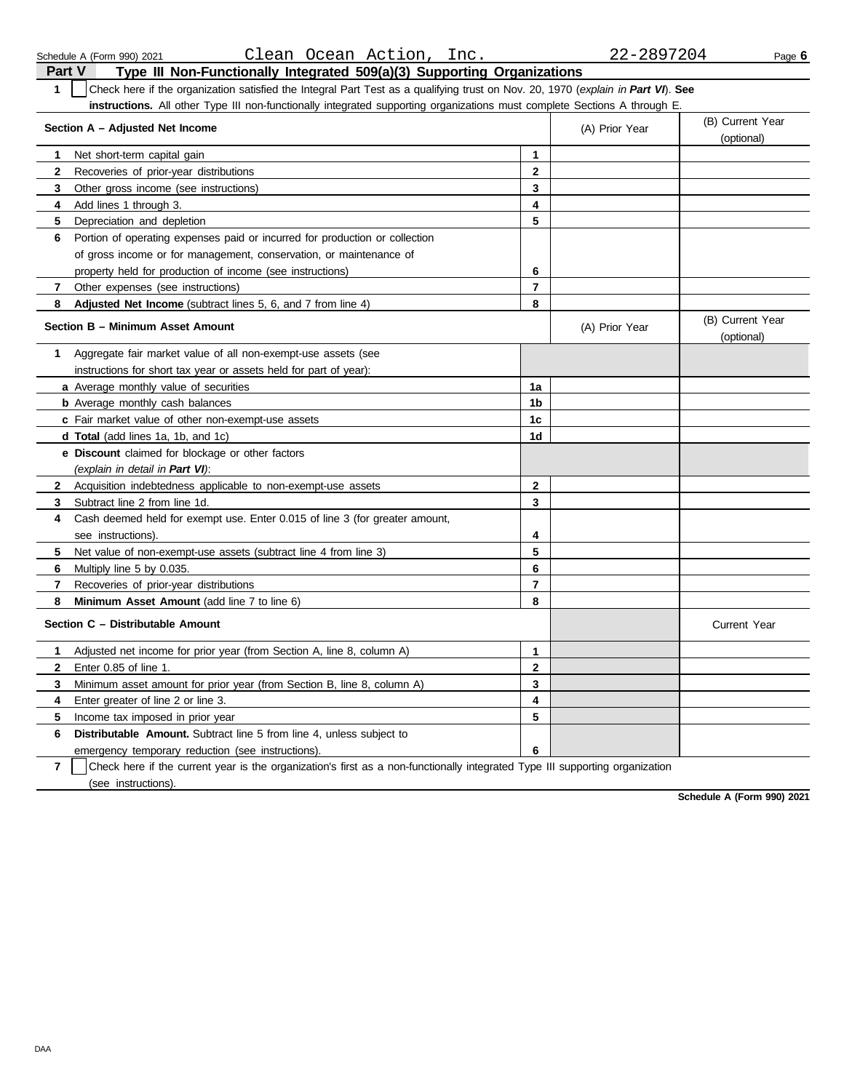Schedule A (Form 990) 2021 Page **6** Clean Ocean Action, Inc. 22-2897204

| Part V       | Type III Non-Functionally Integrated 509(a)(3) Supporting Organizations                                                          |                         |                |                                |
|--------------|----------------------------------------------------------------------------------------------------------------------------------|-------------------------|----------------|--------------------------------|
| $\mathbf{1}$ | Check here if the organization satisfied the Integral Part Test as a qualifying trust on Nov. 20, 1970 (explain in Part VI). See |                         |                |                                |
|              | instructions. All other Type III non-functionally integrated supporting organizations must complete Sections A through E.        |                         |                |                                |
|              | Section A - Adjusted Net Income                                                                                                  |                         | (A) Prior Year | (B) Current Year               |
|              |                                                                                                                                  |                         |                | (optional)                     |
| $\mathbf{1}$ | Net short-term capital gain                                                                                                      | 1                       |                |                                |
| $\mathbf{2}$ | Recoveries of prior-year distributions                                                                                           | $\mathbf{2}$            |                |                                |
| 3            | Other gross income (see instructions)                                                                                            | 3                       |                |                                |
| 4            | Add lines 1 through 3.                                                                                                           | $\overline{\mathbf{4}}$ |                |                                |
| 5            | Depreciation and depletion                                                                                                       | 5                       |                |                                |
| 6            | Portion of operating expenses paid or incurred for production or collection                                                      |                         |                |                                |
|              | of gross income or for management, conservation, or maintenance of                                                               |                         |                |                                |
|              | property held for production of income (see instructions)                                                                        | 6                       |                |                                |
| 7            | Other expenses (see instructions)                                                                                                | $\overline{\mathbf{r}}$ |                |                                |
| 8            | Adjusted Net Income (subtract lines 5, 6, and 7 from line 4)                                                                     | 8                       |                |                                |
|              | Section B - Minimum Asset Amount                                                                                                 |                         | (A) Prior Year | (B) Current Year<br>(optional) |
| 1            | Aggregate fair market value of all non-exempt-use assets (see                                                                    |                         |                |                                |
|              | instructions for short tax year or assets held for part of year):                                                                |                         |                |                                |
|              | a Average monthly value of securities                                                                                            | 1a                      |                |                                |
|              | <b>b</b> Average monthly cash balances                                                                                           | 1 <sub>b</sub>          |                |                                |
|              | c Fair market value of other non-exempt-use assets                                                                               | 1 <sub>c</sub>          |                |                                |
|              | <b>d Total</b> (add lines 1a, 1b, and 1c)                                                                                        | 1d                      |                |                                |
|              | e Discount claimed for blockage or other factors                                                                                 |                         |                |                                |
|              | (explain in detail in Part VI):                                                                                                  |                         |                |                                |
| 2            | Acquisition indebtedness applicable to non-exempt-use assets                                                                     | $\mathbf{2}$            |                |                                |
| 3            | Subtract line 2 from line 1d.                                                                                                    | 3                       |                |                                |
| 4            | Cash deemed held for exempt use. Enter 0.015 of line 3 (for greater amount,                                                      |                         |                |                                |
|              | see instructions).                                                                                                               | 4                       |                |                                |
| 5            | Net value of non-exempt-use assets (subtract line 4 from line 3)                                                                 | 5                       |                |                                |
| 6            | Multiply line 5 by 0.035.                                                                                                        | 6                       |                |                                |
| 7            | Recoveries of prior-year distributions                                                                                           | $\overline{7}$          |                |                                |
| 8            | Minimum Asset Amount (add line 7 to line 6)                                                                                      | 8                       |                |                                |
|              | Section C - Distributable Amount                                                                                                 |                         |                | <b>Current Year</b>            |
| 1            | Adjusted net income for prior year (from Section A, line 8, column A)                                                            | $\mathbf{1}$            |                |                                |
| $\mathbf{2}$ | Enter 0.85 of line 1.                                                                                                            | $\mathbf{2}$            |                |                                |
| 3            | Minimum asset amount for prior year (from Section B, line 8, column A)                                                           | 3                       |                |                                |
| 4            | Enter greater of line 2 or line 3.                                                                                               | $\overline{\mathbf{4}}$ |                |                                |
| 5            | Income tax imposed in prior year                                                                                                 | 5                       |                |                                |
| 6            | <b>Distributable Amount.</b> Subtract line 5 from line 4, unless subject to                                                      |                         |                |                                |
|              | emergency temporary reduction (see instructions).                                                                                | 6                       |                |                                |
|              | نجل                                                                                                                              |                         |                |                                |

**7** | Check here if the current year is the organization's first as a non-functionally integrated Type III supporting organization (see instructions).

**Schedule A (Form 990) 2021**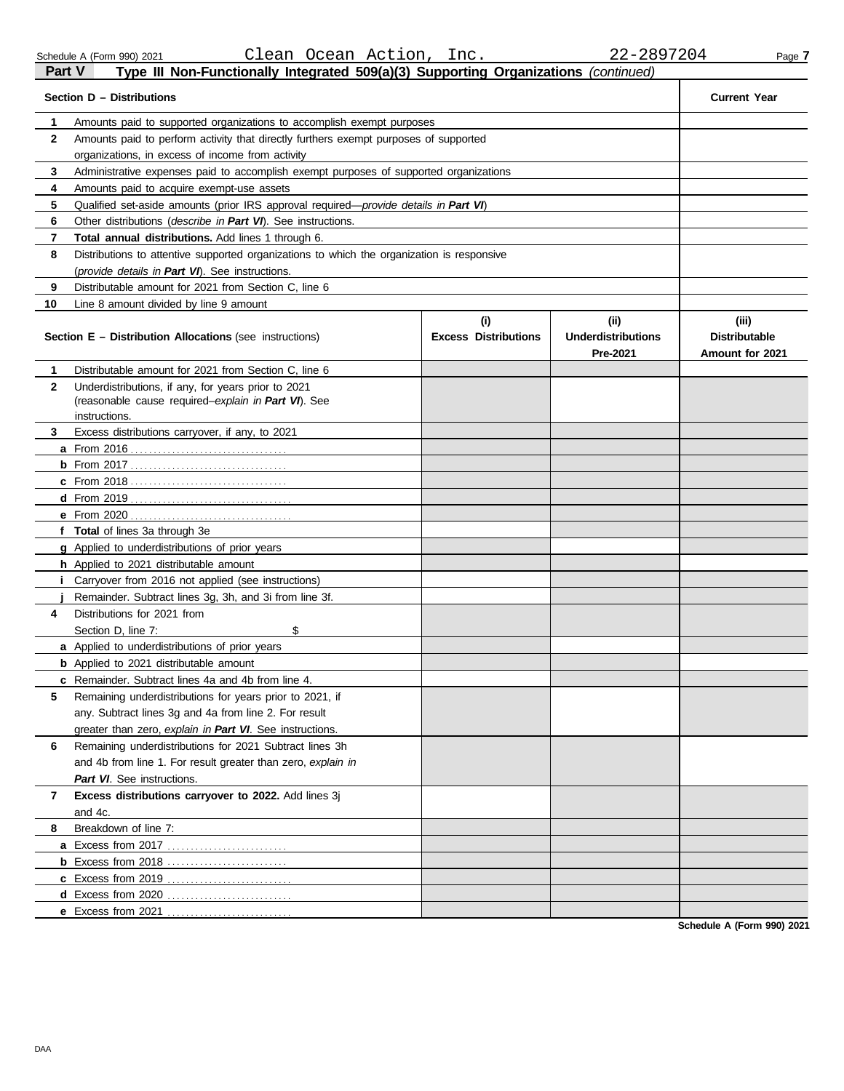| I GIL V      | $\frac{1}{2}$ in Non-Tunctionary integrated $\frac{1}{2}$ $\frac{1}{2}$ $\frac{1}{2}$ oupporting Organizations (committed) |                             |                                       |                                         |  |  |  |
|--------------|----------------------------------------------------------------------------------------------------------------------------|-----------------------------|---------------------------------------|-----------------------------------------|--|--|--|
|              | Section D - Distributions                                                                                                  |                             |                                       | <b>Current Year</b>                     |  |  |  |
| 1            | Amounts paid to supported organizations to accomplish exempt purposes                                                      |                             |                                       |                                         |  |  |  |
| $\mathbf{2}$ | Amounts paid to perform activity that directly furthers exempt purposes of supported                                       |                             |                                       |                                         |  |  |  |
|              | organizations, in excess of income from activity                                                                           |                             |                                       |                                         |  |  |  |
| 3            | Administrative expenses paid to accomplish exempt purposes of supported organizations                                      |                             |                                       |                                         |  |  |  |
| 4            | Amounts paid to acquire exempt-use assets                                                                                  |                             |                                       |                                         |  |  |  |
| 5            | Qualified set-aside amounts (prior IRS approval required-provide details in Part VI)                                       |                             |                                       |                                         |  |  |  |
| 6            | Other distributions (describe in Part VI). See instructions.                                                               |                             |                                       |                                         |  |  |  |
| 7            | Total annual distributions. Add lines 1 through 6.                                                                         |                             |                                       |                                         |  |  |  |
| 8            | Distributions to attentive supported organizations to which the organization is responsive                                 |                             |                                       |                                         |  |  |  |
|              | (provide details in Part VI). See instructions.                                                                            |                             |                                       |                                         |  |  |  |
| 9            | Distributable amount for 2021 from Section C, line 6                                                                       |                             |                                       |                                         |  |  |  |
| 10           | Line 8 amount divided by line 9 amount                                                                                     |                             |                                       |                                         |  |  |  |
|              |                                                                                                                            | (i)                         | (ii)                                  | (iii)                                   |  |  |  |
|              | <b>Section E - Distribution Allocations (see instructions)</b>                                                             | <b>Excess Distributions</b> | <b>Underdistributions</b><br>Pre-2021 | <b>Distributable</b><br>Amount for 2021 |  |  |  |
| 1            | Distributable amount for 2021 from Section C, line 6                                                                       |                             |                                       |                                         |  |  |  |
| $\mathbf{2}$ | Underdistributions, if any, for years prior to 2021                                                                        |                             |                                       |                                         |  |  |  |
|              | (reasonable cause required-explain in Part VI). See                                                                        |                             |                                       |                                         |  |  |  |
|              | instructions.                                                                                                              |                             |                                       |                                         |  |  |  |
| 3            | Excess distributions carryover, if any, to 2021                                                                            |                             |                                       |                                         |  |  |  |
|              |                                                                                                                            |                             |                                       |                                         |  |  |  |
|              |                                                                                                                            |                             |                                       |                                         |  |  |  |
|              |                                                                                                                            |                             |                                       |                                         |  |  |  |
|              |                                                                                                                            |                             |                                       |                                         |  |  |  |
|              |                                                                                                                            |                             |                                       |                                         |  |  |  |
|              | f Total of lines 3a through 3e                                                                                             |                             |                                       |                                         |  |  |  |
|              | g Applied to underdistributions of prior years                                                                             |                             |                                       |                                         |  |  |  |
|              | h Applied to 2021 distributable amount                                                                                     |                             |                                       |                                         |  |  |  |
|              | Carryover from 2016 not applied (see instructions)                                                                         |                             |                                       |                                         |  |  |  |
|              | Remainder. Subtract lines 3g, 3h, and 3i from line 3f.                                                                     |                             |                                       |                                         |  |  |  |
| 4            | Distributions for 2021 from                                                                                                |                             |                                       |                                         |  |  |  |
|              | \$<br>Section D, line 7:                                                                                                   |                             |                                       |                                         |  |  |  |
|              | a Applied to underdistributions of prior years                                                                             |                             |                                       |                                         |  |  |  |
|              | <b>b</b> Applied to 2021 distributable amount                                                                              |                             |                                       |                                         |  |  |  |
|              | c Remainder. Subtract lines 4a and 4b from line 4.                                                                         |                             |                                       |                                         |  |  |  |
| 5            | Remaining underdistributions for years prior to 2021, if                                                                   |                             |                                       |                                         |  |  |  |
|              | any. Subtract lines 3g and 4a from line 2. For result                                                                      |                             |                                       |                                         |  |  |  |
|              | greater than zero, explain in Part VI. See instructions.                                                                   |                             |                                       |                                         |  |  |  |
| 6            | Remaining underdistributions for 2021 Subtract lines 3h                                                                    |                             |                                       |                                         |  |  |  |
|              | and 4b from line 1. For result greater than zero, explain in                                                               |                             |                                       |                                         |  |  |  |
|              | Part VI. See instructions.                                                                                                 |                             |                                       |                                         |  |  |  |
| 7            | Excess distributions carryover to 2022. Add lines 3j                                                                       |                             |                                       |                                         |  |  |  |
|              | and 4c.                                                                                                                    |                             |                                       |                                         |  |  |  |
| 8            | Breakdown of line 7:                                                                                                       |                             |                                       |                                         |  |  |  |
|              |                                                                                                                            |                             |                                       |                                         |  |  |  |
|              | <b>b</b> Excess from 2018                                                                                                  |                             |                                       |                                         |  |  |  |
|              |                                                                                                                            |                             |                                       |                                         |  |  |  |
|              |                                                                                                                            |                             |                                       |                                         |  |  |  |
|              | e Excess from 2021                                                                                                         |                             |                                       |                                         |  |  |  |

**Schedule A (Form 990) 2021**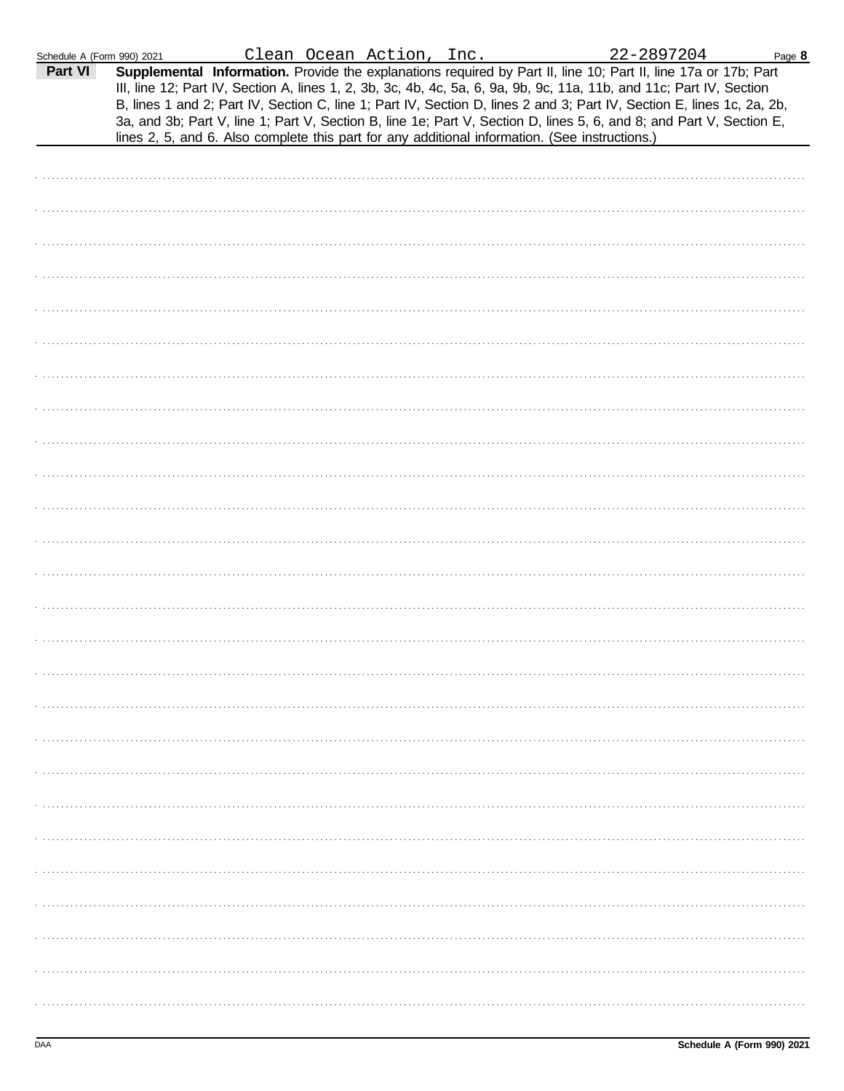| Schedule A (Form 990) 2021 |                                                                                                |  | Clean Ocean Action, Inc. |  | 22-2897204                                                                                                                                                                                                                                                                                                                                                                                                                                                                                | Page 8 |
|----------------------------|------------------------------------------------------------------------------------------------|--|--------------------------|--|-------------------------------------------------------------------------------------------------------------------------------------------------------------------------------------------------------------------------------------------------------------------------------------------------------------------------------------------------------------------------------------------------------------------------------------------------------------------------------------------|--------|
| Part VI                    | lines 2, 5, and 6. Also complete this part for any additional information. (See instructions.) |  |                          |  | Supplemental Information. Provide the explanations required by Part II, line 10; Part II, line 17a or 17b; Part<br>III, line 12; Part IV, Section A, lines 1, 2, 3b, 3c, 4b, 4c, 5a, 6, 9a, 9b, 9c, 11a, 11b, and 11c; Part IV, Section<br>B, lines 1 and 2; Part IV, Section C, line 1; Part IV, Section D, lines 2 and 3; Part IV, Section E, lines 1c, 2a, 2b,<br>3a, and 3b; Part V, line 1; Part V, Section B, line 1e; Part V, Section D, lines 5, 6, and 8; and Part V, Section E, |        |
|                            |                                                                                                |  |                          |  |                                                                                                                                                                                                                                                                                                                                                                                                                                                                                           |        |
|                            |                                                                                                |  |                          |  |                                                                                                                                                                                                                                                                                                                                                                                                                                                                                           |        |
|                            |                                                                                                |  |                          |  |                                                                                                                                                                                                                                                                                                                                                                                                                                                                                           |        |
|                            |                                                                                                |  |                          |  |                                                                                                                                                                                                                                                                                                                                                                                                                                                                                           |        |
|                            |                                                                                                |  |                          |  |                                                                                                                                                                                                                                                                                                                                                                                                                                                                                           |        |
|                            |                                                                                                |  |                          |  |                                                                                                                                                                                                                                                                                                                                                                                                                                                                                           |        |
|                            |                                                                                                |  |                          |  |                                                                                                                                                                                                                                                                                                                                                                                                                                                                                           |        |
|                            |                                                                                                |  |                          |  |                                                                                                                                                                                                                                                                                                                                                                                                                                                                                           |        |
|                            |                                                                                                |  |                          |  |                                                                                                                                                                                                                                                                                                                                                                                                                                                                                           |        |
|                            |                                                                                                |  |                          |  |                                                                                                                                                                                                                                                                                                                                                                                                                                                                                           |        |
|                            |                                                                                                |  |                          |  |                                                                                                                                                                                                                                                                                                                                                                                                                                                                                           |        |
|                            |                                                                                                |  |                          |  |                                                                                                                                                                                                                                                                                                                                                                                                                                                                                           |        |
|                            |                                                                                                |  |                          |  |                                                                                                                                                                                                                                                                                                                                                                                                                                                                                           |        |
|                            |                                                                                                |  |                          |  |                                                                                                                                                                                                                                                                                                                                                                                                                                                                                           |        |
|                            |                                                                                                |  |                          |  |                                                                                                                                                                                                                                                                                                                                                                                                                                                                                           |        |
|                            |                                                                                                |  |                          |  |                                                                                                                                                                                                                                                                                                                                                                                                                                                                                           |        |
|                            |                                                                                                |  |                          |  |                                                                                                                                                                                                                                                                                                                                                                                                                                                                                           |        |
|                            |                                                                                                |  |                          |  |                                                                                                                                                                                                                                                                                                                                                                                                                                                                                           |        |
|                            |                                                                                                |  |                          |  |                                                                                                                                                                                                                                                                                                                                                                                                                                                                                           |        |
|                            |                                                                                                |  |                          |  |                                                                                                                                                                                                                                                                                                                                                                                                                                                                                           |        |
|                            |                                                                                                |  |                          |  |                                                                                                                                                                                                                                                                                                                                                                                                                                                                                           |        |
|                            |                                                                                                |  |                          |  |                                                                                                                                                                                                                                                                                                                                                                                                                                                                                           |        |
|                            |                                                                                                |  |                          |  |                                                                                                                                                                                                                                                                                                                                                                                                                                                                                           |        |
|                            |                                                                                                |  |                          |  |                                                                                                                                                                                                                                                                                                                                                                                                                                                                                           |        |
|                            |                                                                                                |  |                          |  |                                                                                                                                                                                                                                                                                                                                                                                                                                                                                           |        |
|                            |                                                                                                |  |                          |  |                                                                                                                                                                                                                                                                                                                                                                                                                                                                                           |        |
|                            |                                                                                                |  |                          |  |                                                                                                                                                                                                                                                                                                                                                                                                                                                                                           |        |
|                            |                                                                                                |  |                          |  |                                                                                                                                                                                                                                                                                                                                                                                                                                                                                           |        |
|                            |                                                                                                |  |                          |  |                                                                                                                                                                                                                                                                                                                                                                                                                                                                                           |        |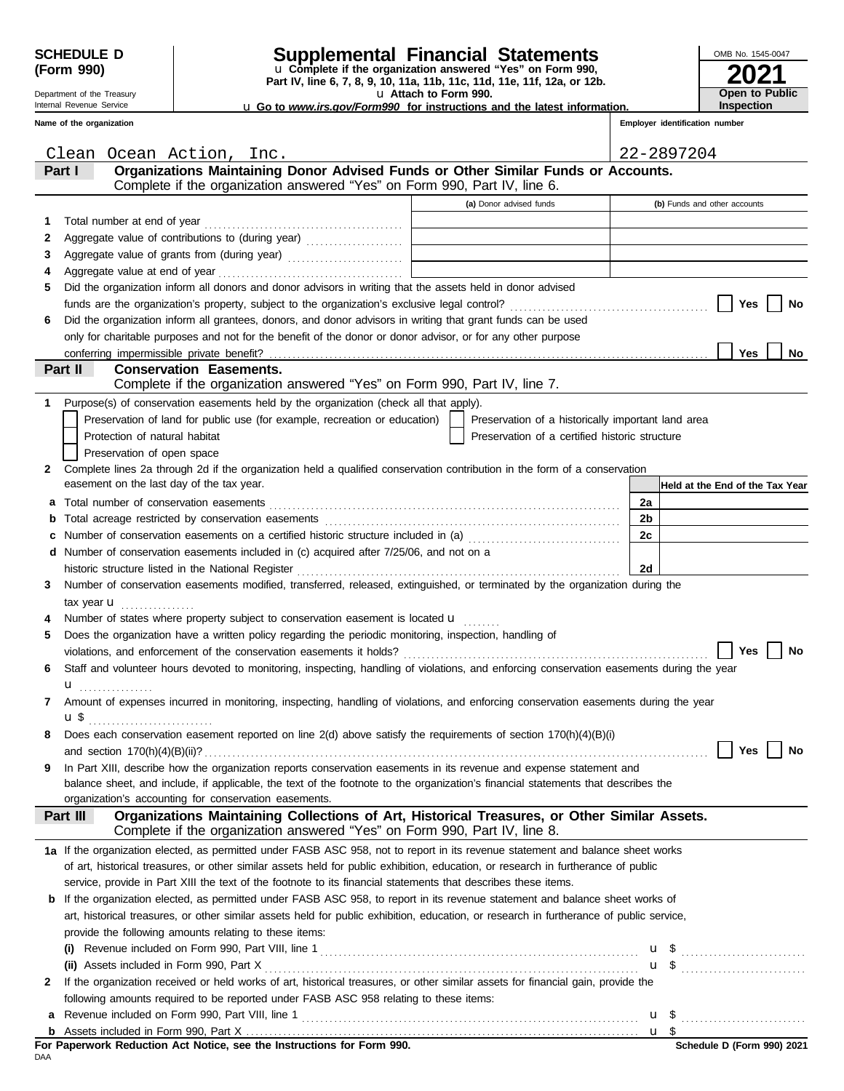| <b>SCHEDULE D</b> |  |
|-------------------|--|
| (Form 990)        |  |

Department of the Treasury Internal Revenue Service **Name of the organization**

DAA

**2**

**1**

**6**

**Part II**

## **Supplemental Financial Statements**

**Part IV, line 6, 7, 8, 9, 10, 11a, 11b, 11c, 11d, 11e, 11f, 12a, or 12b.** u **Complete if the organization answered "Yes" on Form 990,**

u **Attach to Form 990.**  u **Go to** *www.irs.gov/Form990* **for instructions and the latest information.**

| OMB No. 1545-0047                          |
|--------------------------------------------|
| 2021                                       |
| <b>Open to Public</b><br><b>Inspection</b> |

**Year** 

**No**

**No**

|                |                                                             |                                |                                                                                                                           | <b>Let us to</b> <i>WWW.ifs.gov/Form990</i> for instructions and the latest information. |                |                                | <b>IIISPECHOLI</b> |     |
|----------------|-------------------------------------------------------------|--------------------------------|---------------------------------------------------------------------------------------------------------------------------|------------------------------------------------------------------------------------------|----------------|--------------------------------|--------------------|-----|
|                | me of the organization                                      |                                |                                                                                                                           |                                                                                          |                | Employer identification number |                    |     |
|                | Clean                                                       | Ocean Action, Inc.             |                                                                                                                           |                                                                                          |                | 22-2897204                     |                    |     |
|                | Part I                                                      |                                | Organizations Maintaining Donor Advised Funds or Other Similar Funds or Accounts.                                         |                                                                                          |                |                                |                    |     |
|                |                                                             |                                | Complete if the organization answered "Yes" on Form 990, Part IV, line 6.                                                 | (a) Donor advised funds                                                                  |                | (b) Funds and other accounts   |                    |     |
| 1              | Total number at end of year                                 |                                |                                                                                                                           |                                                                                          |                |                                |                    |     |
| 2              |                                                             |                                |                                                                                                                           |                                                                                          |                |                                |                    |     |
| 3              |                                                             |                                | Aggregate value of grants from (during year) Mathematical Mathematical Mathematical Mathematical Mathematical M           |                                                                                          |                |                                |                    |     |
| 4              | Aggregate value at end of year                              |                                |                                                                                                                           |                                                                                          |                |                                |                    |     |
| 5.             |                                                             |                                | Did the organization inform all donors and donor advisors in writing that the assets held in donor advised                |                                                                                          |                |                                |                    |     |
|                |                                                             |                                |                                                                                                                           |                                                                                          |                |                                |                    | Yes |
| 6              |                                                             |                                | Did the organization inform all grantees, donors, and donor advisors in writing that grant funds can be used              |                                                                                          |                |                                |                    |     |
|                |                                                             |                                | only for charitable purposes and not for the benefit of the donor or donor advisor, or for any other purpose              |                                                                                          |                |                                |                    |     |
|                |                                                             |                                |                                                                                                                           |                                                                                          |                |                                |                    | Yes |
|                | Part II                                                     | <b>Conservation Easements.</b> |                                                                                                                           |                                                                                          |                |                                |                    |     |
|                |                                                             |                                | Complete if the organization answered "Yes" on Form 990, Part IV, line 7.                                                 |                                                                                          |                |                                |                    |     |
| 1.             |                                                             |                                | Purpose(s) of conservation easements held by the organization (check all that apply).                                     |                                                                                          |                |                                |                    |     |
|                |                                                             |                                | Preservation of land for public use (for example, recreation or education)                                                | Preservation of a historically important land area                                       |                |                                |                    |     |
|                | Protection of natural habitat                               |                                |                                                                                                                           | Preservation of a certified historic structure                                           |                |                                |                    |     |
|                | Preservation of open space                                  |                                |                                                                                                                           |                                                                                          |                |                                |                    |     |
| $\mathbf{2}^-$ |                                                             |                                | Complete lines 2a through 2d if the organization held a qualified conservation contribution in the form of a conservation |                                                                                          |                |                                |                    |     |
|                | easement on the last day of the tax year.                   |                                |                                                                                                                           |                                                                                          |                | Held at the End of the Tax     |                    |     |
|                | a Total number of conservation easements                    |                                |                                                                                                                           |                                                                                          | 2a             |                                |                    |     |
|                | <b>b</b> Total acreage restricted by conservation easements |                                |                                                                                                                           |                                                                                          | 2 <sub>b</sub> |                                |                    |     |
| c              |                                                             |                                | Number of conservation easements on a certified historic structure included in (a) [11] Number of conservation            |                                                                                          | 2c             |                                |                    |     |
|                |                                                             |                                | d Number of conservation easements included in (c) acquired after 7/25/06, and not on a                                   |                                                                                          |                |                                |                    |     |
|                | historic structure listed in the National Register          |                                |                                                                                                                           |                                                                                          | 2d             |                                |                    |     |

tax year  $\mathbf u$  . . . . . . . . . . . . . . . **3** Number of conservation easements modified, transferred, released, extinguished, or terminated by the organization during the

Number of states where property subject to conservation easement is located **u 4**

| 5 Does the organization have a written policy regarding the periodic monitoring, inspection, handling of                                    |
|---------------------------------------------------------------------------------------------------------------------------------------------|
| Yes     No<br>violations, and enforcement of the conservation easements it holds?                                                           |
| 6 Staff and volunteer hours devoted to monitoring, inspecting, handling of violations, and enforcing conservation easements during the year |
|                                                                                                                                             |
| Amount of expenses incurred in monitoring, inspecting, handling of violations, and enforcing conservation easements during the year         |
| u \$                                                                                                                                        |

| 8 Does each conservation easement reported on line 2(d) above satisfy the requirements of section 170(h)(4)(B)(i) |    |
|-------------------------------------------------------------------------------------------------------------------|----|
| and section $170(h)(4)(B)(ii)?$                                                                                   | No |

balance sheet, and include, if applicable, the text of the footnote to the organization's financial statements that describes the **9** In Part XIII, describe how the organization reports conservation easements in its revenue and expense statement and organization's accounting for conservation easements.

| Part III | Organizations Maintaining Collections of Art, Historical Treasures, or Other Similar Assets. |  |
|----------|----------------------------------------------------------------------------------------------|--|
|          | Complete if the organization answered "Yes" on Form 990, Part IV, line 8.                    |  |

| 1a If the organization elected, as permitted under FASB ASC 958, not to report in its revenue statement and balance sheet works      |
|--------------------------------------------------------------------------------------------------------------------------------------|
| of art, historical treasures, or other similar assets held for public exhibition, education, or research in furtherance of public    |
| service, provide in Part XIII the text of the footnote to its financial statements that describes these items.                       |
| <b>b</b> If the organization elected, as permitted under FASB ASC 958, to report in its revenue statement and balance sheet works of |
| art historical treasures or other similar assets held for public exhibition, education or research in furtherance of public sensice  |

| art, historical treasures, or other similar assets held for public exhibition, education, or research in furtherance of public service, |  |  |  |  |  |  |  |
|-----------------------------------------------------------------------------------------------------------------------------------------|--|--|--|--|--|--|--|
| provide the following amounts relating to these items:                                                                                  |  |  |  |  |  |  |  |

| Revenue included on Form 990, Part VIII, line 1<br>(i)                                                                             |     |  |
|------------------------------------------------------------------------------------------------------------------------------------|-----|--|
| (ii) Assets included in Form 990, Part X                                                                                           | u.  |  |
| 2 If the organization received or held works of art, historical treasures, or other similar assets for financial gain, provide the |     |  |
| following amounts required to be reported under FASB ASC 958 relating to these items:                                              |     |  |
| a Revenue included on Form 990, Part VIII, line 1                                                                                  | u : |  |
|                                                                                                                                    |     |  |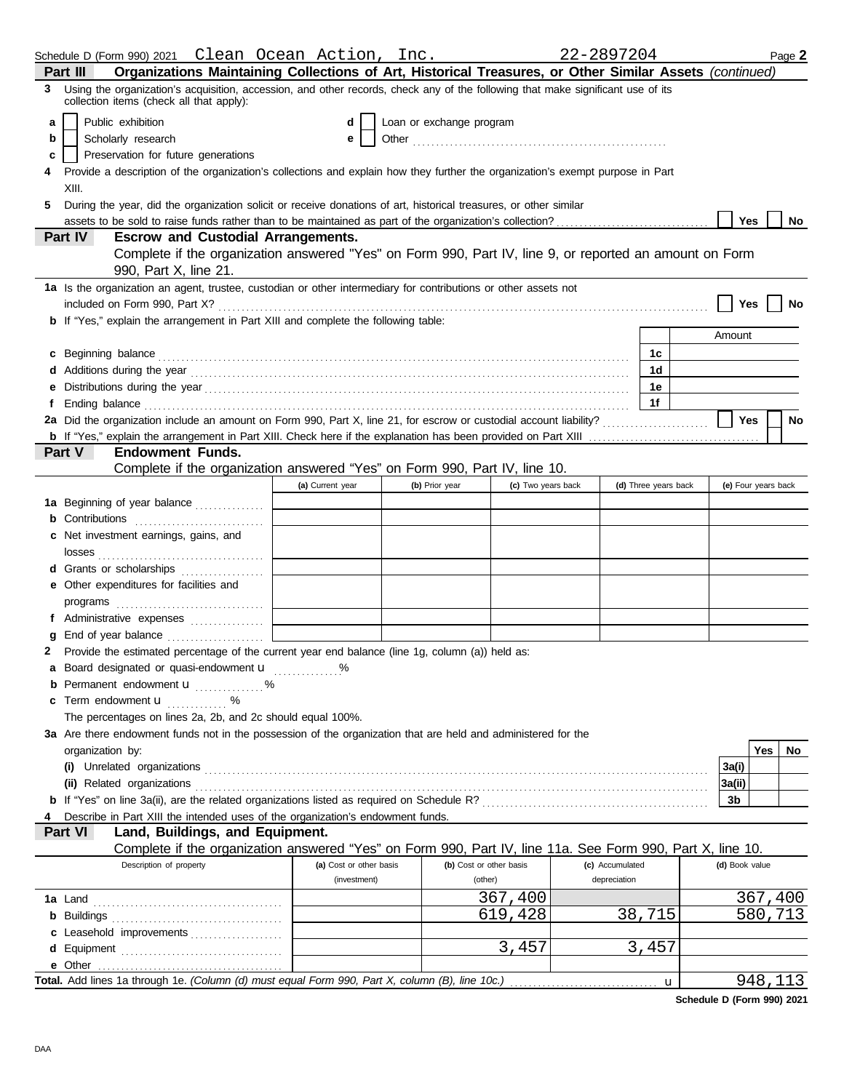|    | Schedule D (Form 990) 2021   Clean  Ocean  Action,  Inc.                                                                                                                                                                             |                         |                          |                         | 22-2897204      |                      |                |                     | Page 2    |
|----|--------------------------------------------------------------------------------------------------------------------------------------------------------------------------------------------------------------------------------------|-------------------------|--------------------------|-------------------------|-----------------|----------------------|----------------|---------------------|-----------|
|    | Organizations Maintaining Collections of Art, Historical Treasures, or Other Similar Assets (continued)<br>Part III                                                                                                                  |                         |                          |                         |                 |                      |                |                     |           |
| 3  | Using the organization's acquisition, accession, and other records, check any of the following that make significant use of its<br>collection items (check all that apply):                                                          |                         |                          |                         |                 |                      |                |                     |           |
| a  | Public exhibition                                                                                                                                                                                                                    | d                       | Loan or exchange program |                         |                 |                      |                |                     |           |
| b  | Scholarly research                                                                                                                                                                                                                   | e                       |                          |                         |                 |                      |                |                     |           |
| c  | Preservation for future generations                                                                                                                                                                                                  |                         |                          |                         |                 |                      |                |                     |           |
|    | Provide a description of the organization's collections and explain how they further the organization's exempt purpose in Part                                                                                                       |                         |                          |                         |                 |                      |                |                     |           |
|    | XIII.                                                                                                                                                                                                                                |                         |                          |                         |                 |                      |                |                     |           |
| 5. | During the year, did the organization solicit or receive donations of art, historical treasures, or other similar                                                                                                                    |                         |                          |                         |                 |                      |                |                     |           |
|    |                                                                                                                                                                                                                                      |                         |                          |                         |                 |                      | Yes            |                     | No        |
|    | Part IV<br><b>Escrow and Custodial Arrangements.</b>                                                                                                                                                                                 |                         |                          |                         |                 |                      |                |                     |           |
|    | Complete if the organization answered "Yes" on Form 990, Part IV, line 9, or reported an amount on Form                                                                                                                              |                         |                          |                         |                 |                      |                |                     |           |
|    | 990, Part X, line 21.                                                                                                                                                                                                                |                         |                          |                         |                 |                      |                |                     |           |
|    | 1a Is the organization an agent, trustee, custodian or other intermediary for contributions or other assets not                                                                                                                      |                         |                          |                         |                 |                      |                |                     |           |
|    |                                                                                                                                                                                                                                      |                         |                          |                         |                 |                      | Yes            |                     | No        |
|    | <b>b</b> If "Yes," explain the arrangement in Part XIII and complete the following table:                                                                                                                                            |                         |                          |                         |                 |                      |                |                     |           |
|    |                                                                                                                                                                                                                                      |                         |                          |                         |                 |                      | Amount         |                     |           |
|    | c Beginning balance <b>contract to the contract of the set of the contract of the contract of the contract of the contract of the contract of the contract of the contract of the contract of the contract of the contract of th</b> |                         |                          |                         |                 | 1с                   |                |                     |           |
|    |                                                                                                                                                                                                                                      |                         |                          |                         |                 | 1d                   |                |                     |           |
|    |                                                                                                                                                                                                                                      |                         |                          |                         |                 | 1е                   |                |                     |           |
| f  |                                                                                                                                                                                                                                      |                         |                          |                         |                 | 1f                   |                |                     |           |
|    | 2a Did the organization include an amount on Form 990, Part X, line 21, for escrow or custodial account liability?                                                                                                                   |                         |                          |                         |                 |                      | Yes            |                     | <b>No</b> |
|    |                                                                                                                                                                                                                                      |                         |                          |                         |                 |                      |                |                     |           |
|    | <b>Endowment Funds.</b><br><b>Part V</b>                                                                                                                                                                                             |                         |                          |                         |                 |                      |                |                     |           |
|    | Complete if the organization answered "Yes" on Form 990, Part IV, line 10.                                                                                                                                                           |                         |                          |                         |                 |                      |                |                     |           |
|    |                                                                                                                                                                                                                                      | (a) Current year        | (b) Prior year           | (c) Two years back      |                 | (d) Three years back |                | (e) Four years back |           |
|    | 1a Beginning of year balance                                                                                                                                                                                                         |                         |                          |                         |                 |                      |                |                     |           |
|    | <b>b</b> Contributions                                                                                                                                                                                                               |                         |                          |                         |                 |                      |                |                     |           |
|    | c Net investment earnings, gains, and                                                                                                                                                                                                |                         |                          |                         |                 |                      |                |                     |           |
|    |                                                                                                                                                                                                                                      |                         |                          |                         |                 |                      |                |                     |           |
|    | d Grants or scholarships                                                                                                                                                                                                             |                         |                          |                         |                 |                      |                |                     |           |
|    | e Other expenditures for facilities and                                                                                                                                                                                              |                         |                          |                         |                 |                      |                |                     |           |
|    |                                                                                                                                                                                                                                      |                         |                          |                         |                 |                      |                |                     |           |
|    | f Administrative expenses                                                                                                                                                                                                            |                         |                          |                         |                 |                      |                |                     |           |
|    | g End of year balance                                                                                                                                                                                                                |                         |                          |                         |                 |                      |                |                     |           |
| 2  | Provide the estimated percentage of the current year end balance (line 1g, column (a)) held as:                                                                                                                                      |                         |                          |                         |                 |                      |                |                     |           |
|    | a Board designated or quasi-endowment u                                                                                                                                                                                              | %                       |                          |                         |                 |                      |                |                     |           |
|    | <b>b</b> Permanent endowment <b>u</b> %                                                                                                                                                                                              |                         |                          |                         |                 |                      |                |                     |           |
|    | <b>c</b> Term endowment $\mathbf{u}$ %                                                                                                                                                                                               |                         |                          |                         |                 |                      |                |                     |           |
|    | The percentages on lines 2a, 2b, and 2c should equal 100%.                                                                                                                                                                           |                         |                          |                         |                 |                      |                |                     |           |
|    | 3a Are there endowment funds not in the possession of the organization that are held and administered for the                                                                                                                        |                         |                          |                         |                 |                      |                |                     |           |
|    | organization by:                                                                                                                                                                                                                     |                         |                          |                         |                 |                      |                | Yes                 | No        |
|    |                                                                                                                                                                                                                                      |                         |                          |                         |                 |                      | 3a(i)          |                     |           |
|    | (ii) Related organizations <b>constants</b> and constant of the constant of the constant of the constant of the constant of the constant of the constant of the constant of the constant of the constant of the constant of the con  |                         |                          |                         |                 |                      | 3a(ii)         |                     |           |
|    |                                                                                                                                                                                                                                      |                         |                          |                         |                 |                      | 3b             |                     |           |
|    | Describe in Part XIII the intended uses of the organization's endowment funds.                                                                                                                                                       |                         |                          |                         |                 |                      |                |                     |           |
|    | Land, Buildings, and Equipment.<br>Part VI                                                                                                                                                                                           |                         |                          |                         |                 |                      |                |                     |           |
|    | Complete if the organization answered "Yes" on Form 990, Part IV, line 11a. See Form 990, Part X, line 10.<br>Description of property                                                                                                | (a) Cost or other basis |                          | (b) Cost or other basis | (c) Accumulated |                      | (d) Book value |                     |           |
|    |                                                                                                                                                                                                                                      | (investment)            |                          | (other)                 | depreciation    |                      |                |                     |           |
|    |                                                                                                                                                                                                                                      |                         |                          | 367,400                 |                 |                      |                |                     |           |
|    |                                                                                                                                                                                                                                      |                         |                          | 619,428                 |                 | 38,715               |                | 367,400<br>580,713  |           |
|    |                                                                                                                                                                                                                                      |                         |                          |                         |                 |                      |                |                     |           |
|    | c Leasehold improvements                                                                                                                                                                                                             |                         |                          | 3,457                   |                 | 3,457                |                |                     |           |
|    |                                                                                                                                                                                                                                      |                         |                          |                         |                 |                      |                |                     |           |
|    | Total. Add lines 1a through 1e. (Column (d) must equal Form 990, Part X, column (B), line 10c.)                                                                                                                                      |                         |                          |                         |                 |                      |                | 948,113             |           |
|    |                                                                                                                                                                                                                                      |                         |                          |                         |                 | u                    |                |                     |           |

**Schedule D (Form 990) 2021**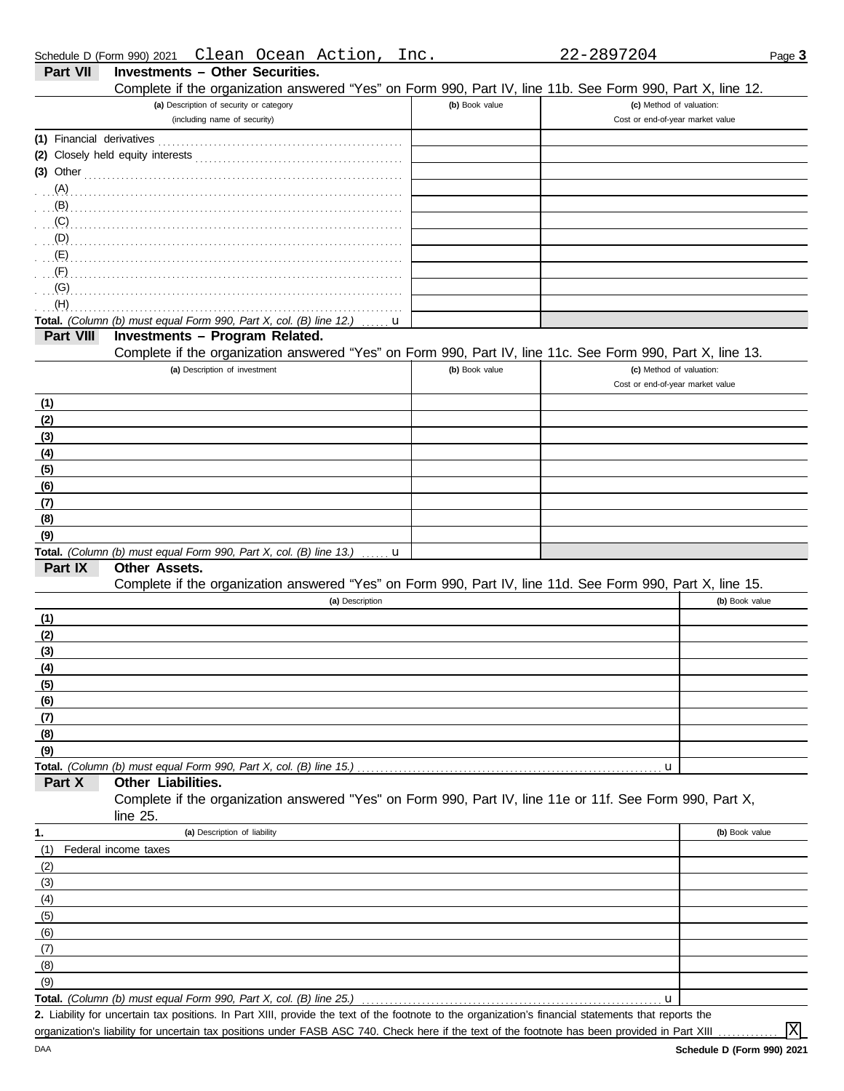| Schedule D (Form 990) 2021 Clean Ocean Action, Inc. |  |  | 22-2897204 |
|-----------------------------------------------------|--|--|------------|
|                                                     |  |  |            |

|--|

|                                                             | (a) Description of security or category                                                                    | (b) Book value | (c) Method of valuation:         |
|-------------------------------------------------------------|------------------------------------------------------------------------------------------------------------|----------------|----------------------------------|
|                                                             | (including name of security)                                                                               |                | Cost or end-of-year market value |
| (1) Financial derivatives                                   |                                                                                                            |                |                                  |
|                                                             |                                                                                                            |                |                                  |
|                                                             | $(3)$ Other                                                                                                |                |                                  |
|                                                             |                                                                                                            |                |                                  |
|                                                             |                                                                                                            |                |                                  |
| (C)                                                         |                                                                                                            |                |                                  |
|                                                             |                                                                                                            |                |                                  |
| (E)                                                         |                                                                                                            |                |                                  |
| (F)<br>(G)                                                  |                                                                                                            |                |                                  |
| (H)                                                         |                                                                                                            |                |                                  |
|                                                             | Total. (Column (b) must equal Form 990, Part X, col. (B) line 12.)                                         | u              |                                  |
| Part VIII                                                   | Investments - Program Related.                                                                             |                |                                  |
|                                                             | Complete if the organization answered "Yes" on Form 990, Part IV, line 11c. See Form 990, Part X, line 13. |                |                                  |
|                                                             | (a) Description of investment                                                                              | (b) Book value | (c) Method of valuation:         |
|                                                             |                                                                                                            |                | Cost or end-of-year market value |
| (1)                                                         |                                                                                                            |                |                                  |
| (2)                                                         |                                                                                                            |                |                                  |
| (3)                                                         |                                                                                                            |                |                                  |
| (4)                                                         |                                                                                                            |                |                                  |
| (5)                                                         |                                                                                                            |                |                                  |
| (6)                                                         |                                                                                                            |                |                                  |
| (7)                                                         |                                                                                                            |                |                                  |
| (8)                                                         |                                                                                                            |                |                                  |
|                                                             |                                                                                                            |                |                                  |
| (9)                                                         |                                                                                                            |                |                                  |
|                                                             | Total. (Column (b) must equal Form 990, Part X, col. (B) line 13.) $\ldots$ <b>u</b>                       |                |                                  |
| Part IX                                                     | <b>Other Assets.</b>                                                                                       |                |                                  |
|                                                             | Complete if the organization answered "Yes" on Form 990, Part IV, line 11d. See Form 990, Part X, line 15. |                |                                  |
|                                                             | (a) Description                                                                                            |                | (b) Book value                   |
|                                                             |                                                                                                            |                |                                  |
|                                                             |                                                                                                            |                |                                  |
|                                                             |                                                                                                            |                |                                  |
|                                                             |                                                                                                            |                |                                  |
|                                                             |                                                                                                            |                |                                  |
| (1)<br>(2)<br>(3)<br>(4)<br>(5)<br>(6)                      |                                                                                                            |                |                                  |
|                                                             |                                                                                                            |                |                                  |
| (7)<br>(8)<br>(9)                                           |                                                                                                            |                |                                  |
|                                                             |                                                                                                            |                | u                                |
| Part X                                                      | Other Liabilities.                                                                                         |                |                                  |
|                                                             | Complete if the organization answered "Yes" on Form 990, Part IV, line 11e or 11f. See Form 990, Part X,   |                |                                  |
|                                                             | line 25.                                                                                                   |                |                                  |
| 1.                                                          | (a) Description of liability                                                                               |                | (b) Book value                   |
|                                                             | Federal income taxes                                                                                       |                |                                  |
|                                                             |                                                                                                            |                |                                  |
|                                                             |                                                                                                            |                |                                  |
|                                                             |                                                                                                            |                |                                  |
|                                                             |                                                                                                            |                |                                  |
|                                                             |                                                                                                            |                |                                  |
|                                                             |                                                                                                            |                |                                  |
|                                                             |                                                                                                            |                |                                  |
| (1)<br>(2)<br>(3)<br>(4)<br>(5)<br>(6)<br>(7)<br>(8)<br>(9) | Total. (Column (b) must equal Form 990, Part X, col. (B) line 25.)                                         |                | u                                |

organization's liability for uncertain tax positions under FASB ASC 740. Check here if the text of the footnote has been provided in Part XIII ......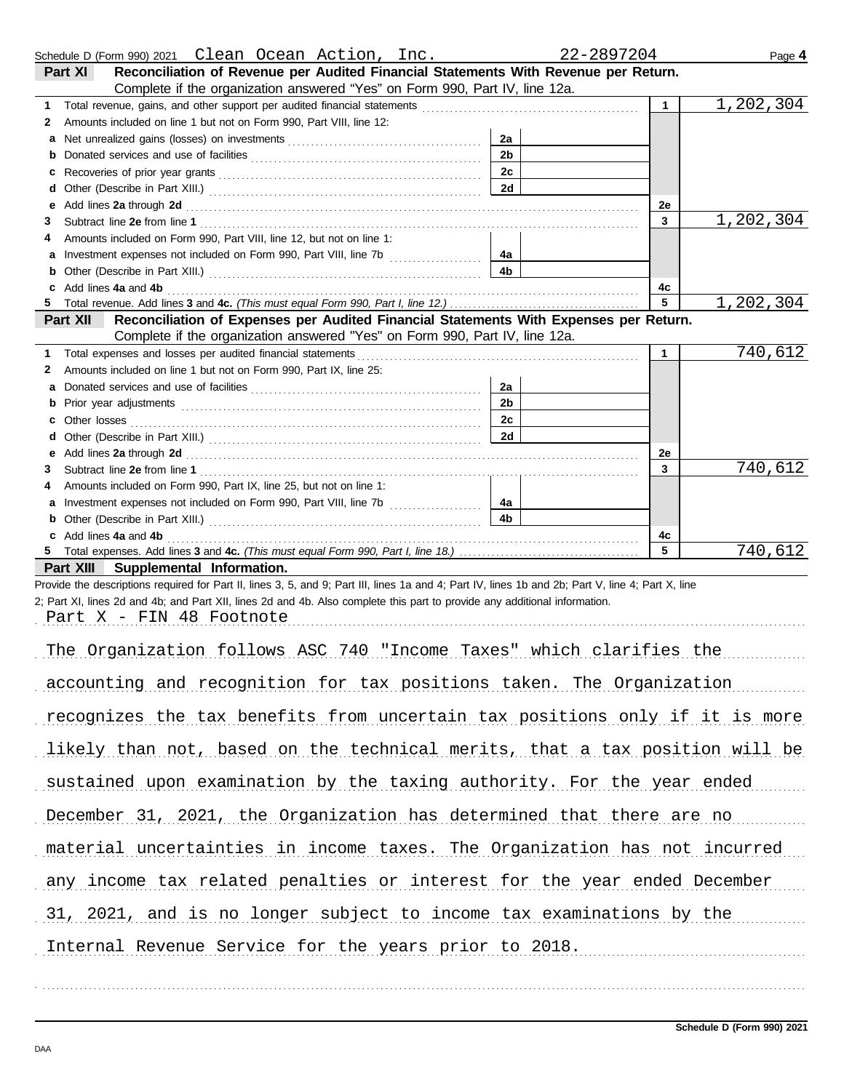|        | Schedule D (Form 990) 2021 Clean Ocean Action, Inc.                                                                                                                                                                                                                              | 22-2897204           |              | Page 4    |
|--------|----------------------------------------------------------------------------------------------------------------------------------------------------------------------------------------------------------------------------------------------------------------------------------|----------------------|--------------|-----------|
|        | Reconciliation of Revenue per Audited Financial Statements With Revenue per Return.<br>Part XI                                                                                                                                                                                   |                      |              |           |
|        | Complete if the organization answered "Yes" on Form 990, Part IV, line 12a.                                                                                                                                                                                                      |                      |              |           |
| 1.     |                                                                                                                                                                                                                                                                                  |                      | $\mathbf{1}$ | 1,202,304 |
| 2      | Amounts included on line 1 but not on Form 990, Part VIII, line 12:                                                                                                                                                                                                              |                      |              |           |
| a<br>b |                                                                                                                                                                                                                                                                                  | 2a<br>2 <sub>b</sub> |              |           |
| с      |                                                                                                                                                                                                                                                                                  | 2c                   |              |           |
| d      |                                                                                                                                                                                                                                                                                  | 2d                   |              |           |
| е      | Add lines 2a through 2d [11] Add [12] Add [12] Add lines 2a through 2d [12] Add lines 2a through 2d [12] Add [12] Add [12] Add [12] Add [12] Add [12] Add [12] Add [12] Add [12] Add [12] Add [12] Add [12] Add [12] Add [12]                                                    |                      | 2e           |           |
| 3      |                                                                                                                                                                                                                                                                                  |                      | 3            | 1,202,304 |
| 4      | Amounts included on Form 990, Part VIII, line 12, but not on line 1:                                                                                                                                                                                                             |                      |              |           |
| а      | Investment expenses not included on Form 990, Part VIII, line 7b [                                                                                                                                                                                                               | 4a                   |              |           |
| b      |                                                                                                                                                                                                                                                                                  | 4b                   |              |           |
| c<br>5 | Add lines 4a and 4b                                                                                                                                                                                                                                                              |                      | 4c<br>5      | 1,202,304 |
|        | Reconciliation of Expenses per Audited Financial Statements With Expenses per Return.<br>Part XII                                                                                                                                                                                |                      |              |           |
|        | Complete if the organization answered "Yes" on Form 990, Part IV, line 12a.                                                                                                                                                                                                      |                      |              |           |
| 1      | Total expenses and losses per audited financial statements                                                                                                                                                                                                                       |                      | 1            | 740,612   |
| 2      | Amounts included on line 1 but not on Form 990, Part IX, line 25:                                                                                                                                                                                                                |                      |              |           |
| а      |                                                                                                                                                                                                                                                                                  | 2a                   |              |           |
| b      |                                                                                                                                                                                                                                                                                  | 2 <sub>b</sub>       |              |           |
| с      |                                                                                                                                                                                                                                                                                  | 2c                   |              |           |
| d      |                                                                                                                                                                                                                                                                                  | 2d                   |              |           |
| е<br>3 | Add lines 2a through 2d [11] Add [11] Add [11] Add lines 2a through 2d [11] Add lines 2a through 2d [11] Add [11] Add [11] Add [11] Add [11] Add [11] Add [11] Add [11] Add [11] Add [11] Add [11] Add [11] Add [11] Add [11]                                                    |                      | 2e<br>3      | 740,612   |
| 4      | Amounts included on Form 990, Part IX, line 25, but not on line 1:                                                                                                                                                                                                               |                      |              |           |
| а      |                                                                                                                                                                                                                                                                                  | 4a                   |              |           |
| b      |                                                                                                                                                                                                                                                                                  | 4b                   |              |           |
| c      | Add lines 4a and 4b                                                                                                                                                                                                                                                              |                      | 4c           |           |
| 5.     |                                                                                                                                                                                                                                                                                  |                      | 5            | 740,612   |
|        | Part XIII Supplemental Information.                                                                                                                                                                                                                                              |                      |              |           |
|        | Provide the descriptions required for Part II, lines 3, 5, and 9; Part III, lines 1a and 4; Part IV, lines 1b and 2b; Part V, line 4; Part X, line<br>2; Part XI, lines 2d and 4b; and Part XII, lines 2d and 4b. Also complete this part to provide any additional information. |                      |              |           |
|        | Part X - FIN 48 Footnote                                                                                                                                                                                                                                                         |                      |              |           |
|        |                                                                                                                                                                                                                                                                                  |                      |              |           |
|        | The Organization follows ASC 740 "Income Taxes" which clarifies the                                                                                                                                                                                                              |                      |              |           |
|        |                                                                                                                                                                                                                                                                                  |                      |              |           |
|        | accounting and recognition for tax positions taken. The Organization                                                                                                                                                                                                             |                      |              |           |
|        |                                                                                                                                                                                                                                                                                  |                      |              |           |
|        | recognizes the tax benefits from uncertain tax positions only if it is more                                                                                                                                                                                                      |                      |              |           |
|        | likely than not, based on the technical merits, that a tax position will be                                                                                                                                                                                                      |                      |              |           |
|        |                                                                                                                                                                                                                                                                                  |                      |              |           |
|        | sustained upon examination by the taxing authority. For the year ended                                                                                                                                                                                                           |                      |              |           |
|        |                                                                                                                                                                                                                                                                                  |                      |              |           |
|        | December 31, 2021, the Organization has determined that there are no                                                                                                                                                                                                             |                      |              |           |
|        |                                                                                                                                                                                                                                                                                  |                      |              |           |
|        | material uncertainties in income taxes. The Organization has not incurred                                                                                                                                                                                                        |                      |              |           |
|        |                                                                                                                                                                                                                                                                                  |                      |              |           |
|        | any income tax related penalties or interest for the year ended December                                                                                                                                                                                                         |                      |              |           |
|        | 31, 2021, and is no longer subject to income tax examinations by the                                                                                                                                                                                                             |                      |              |           |
|        |                                                                                                                                                                                                                                                                                  |                      |              |           |
|        | Internal Revenue Service for the years prior to 2018.                                                                                                                                                                                                                            |                      |              |           |
|        |                                                                                                                                                                                                                                                                                  |                      |              |           |

. . . . . . . . . . . . . . . . . . . . . . . . . . . . . . . . . . . . . . . . . . . . . . . . . . . . . . . . . . . . . . . . . . . . . . . . . . . . . . . . . . . . . . . . . . . . . . . . . . . . . . . . . . . . . . . . . . . . . . . . . . . . . . . . . . . . . . . . . . . . . . . . . . . . . . . . . . . . . . . . . . . . . .

Page **4**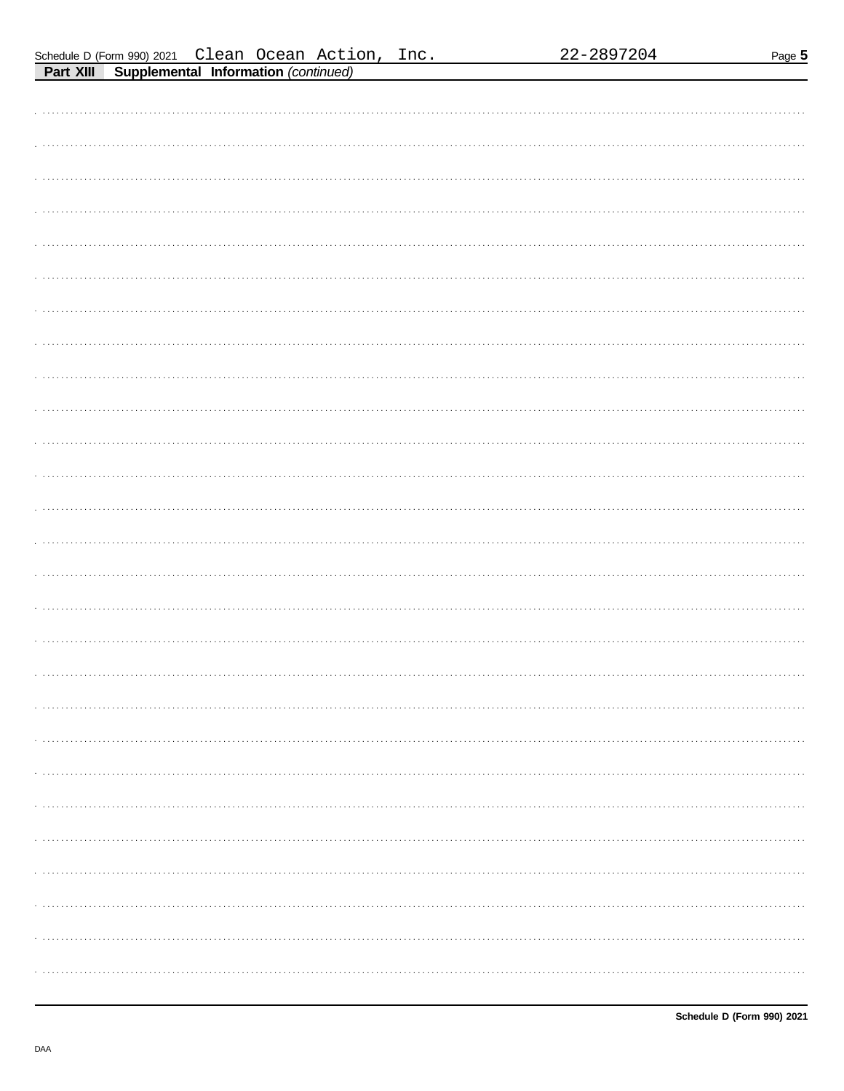Page 5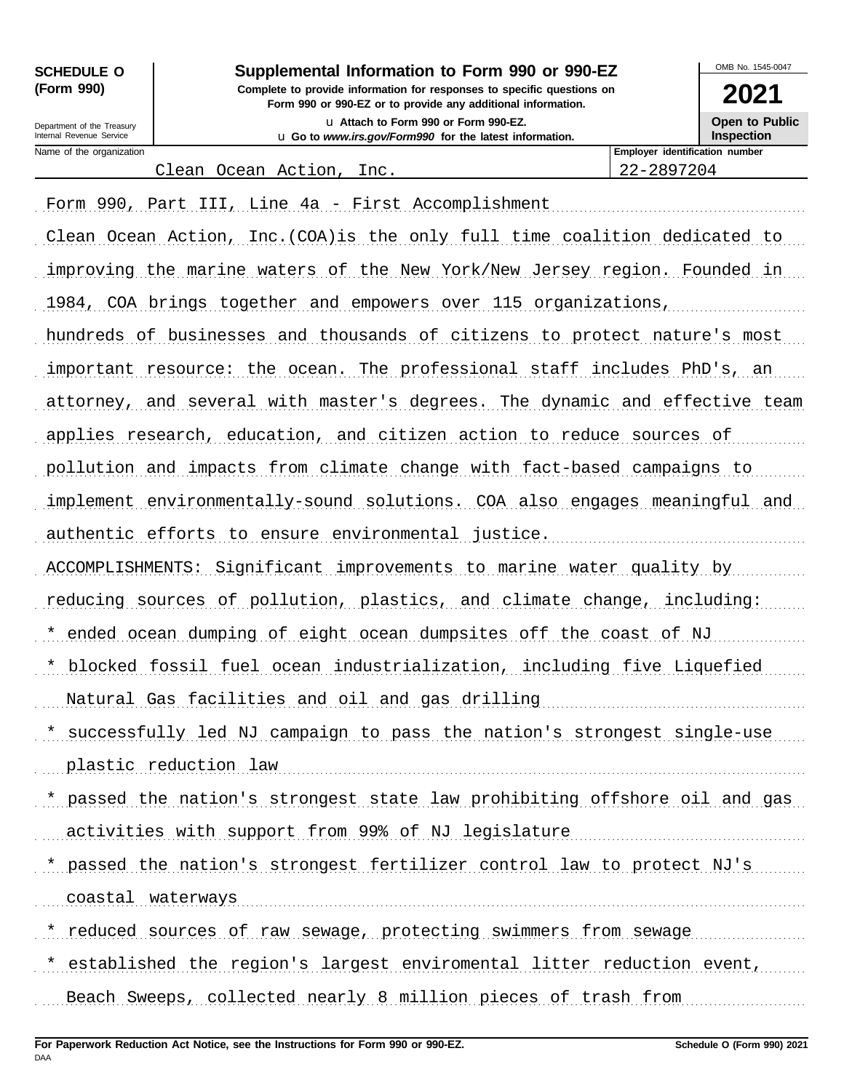| <b>SCHEDULE O</b> |  |
|-------------------|--|
| (Form 990)        |  |

Department of the Treasury Internal Revenue Service

Name of the organization

Supplemental Information to Form 990 or 990-EZ

Complete to provide information for responses to specific questions on Form 990 or 990-EZ or to provide any additional information. u Attach to Form 990 or Form 990-EZ.

u Go to www.irs.gov/Form990 for the latest information.

Open to Public

22-2897204

Clean Ocean Action, Inc.

Form 990, Part III, Line 4a - First Accomplishment Clean Ocean Action, Inc.(COA)is the only full time coalition dedicated to improving the marine waters of the New York/New Jersey region. Founded in 1984, COA brings together and empowers over 115 organizations, hundreds of businesses and thousands of citizens to protect nature's most important resource: the ocean. The professional staff includes PhD's, an attorney, and several with master's degrees. The dynamic and effective team applies research, education, and citizen action to reduce sources of pollution and impacts from climate change with fact-based campaigns to implement environmentally-sound solutions. COA also engages meaningful and authentic efforts to ensure environmental justice. ACCOMPLISHMENTS: Significant improvements to marine water quality by reducing sources of pollution, plastics, and climate change, including: \* ended ocean dumping of eight ocean dumpsites off the coast of NJ \* blocked fossil fuel ocean industrialization, including five Liquefied Natural Gas facilities and oil and gas drilling manuscription of the Natural Gas facilities and oil and gas drilling \* successfully led NJ campaign to pass the nation's strongest single-use plastic reduction law manusures and the plastic reduction of the set of the plastic reduction law \* passed the nation's strongest state law prohibiting offshore oil and gas activities with support from 99% of NJ legislature \* passed the nation's strongest fertilizer control law to protect NJ's coastal waterways continuum contractors and water was constant water was continuum and continuum contractors and continuum contractors and continuum contractors and contractors and contractors and contractors and contracto \* reduced sources of raw sewage, protecting swimmers from sewage \* established the region's largest enviromental litter reduction event, Beach Sweeps, collected nearly 8 million pieces of trash from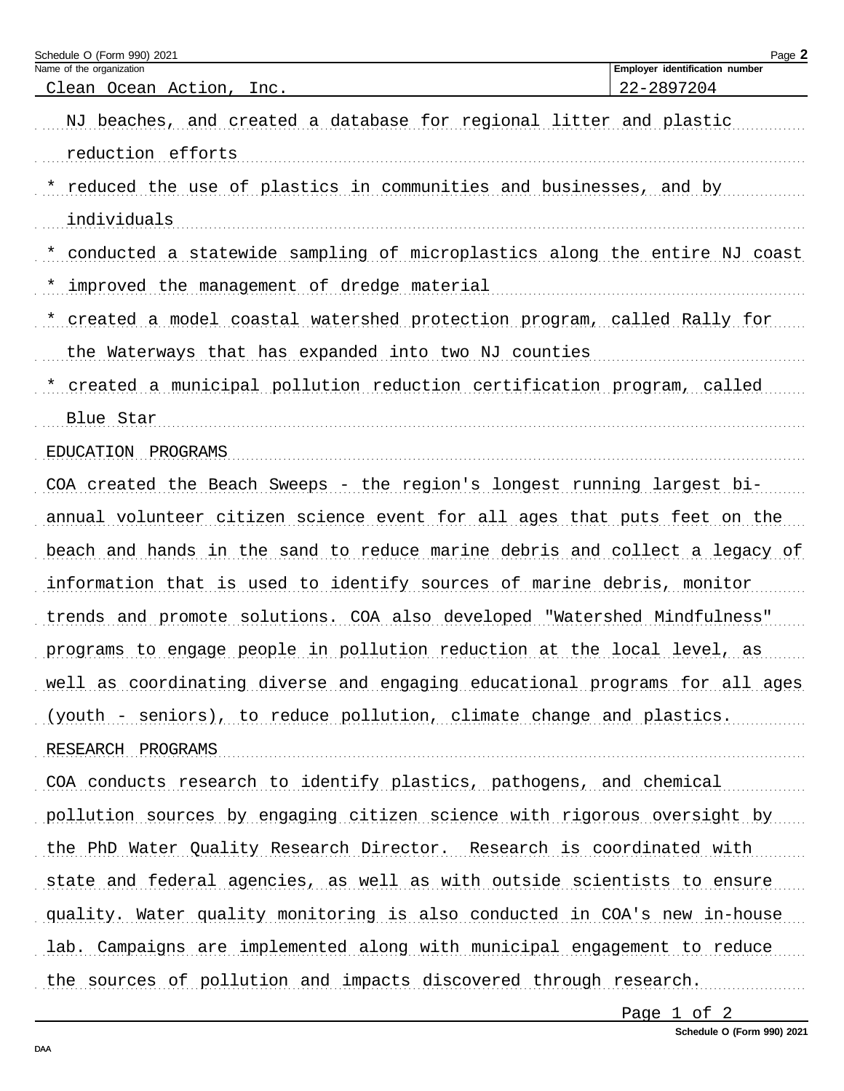| Schedule O (Form 990) 2021                                                  | Page 2                                       |
|-----------------------------------------------------------------------------|----------------------------------------------|
| Name of the organization<br>Clean Ocean Action, Inc.                        | Employer identification number<br>22-2897204 |
| NJ beaches, and created a database for regional litter and plastic          |                                              |
| reduction efforts                                                           |                                              |
| reduced the use of plastics in communities and businesses, and by           |                                              |
| individuals                                                                 |                                              |
| conducted a statewide sampling of microplastics along the entire NJ coast   |                                              |
| improved the management of dredge material                                  |                                              |
| created a model coastal watershed protection program, called Rally for      |                                              |
| the Waterways that has expanded into two NJ counties                        |                                              |
| created a municipal pollution reduction certification program, called       |                                              |
| Blue Star                                                                   |                                              |
| EDUCATION PROGRAMS                                                          |                                              |
| COA created the Beach Sweeps - the region's longest running largest bi-     |                                              |
| annual volunteer citizen science event for all ages that puts feet on the   |                                              |
| beach and hands in the sand to reduce marine debris and collect a legacy of |                                              |
| information that is used to identify sources of marine debris, monitor      |                                              |
| trends and promote solutions. COA also developed "Watershed Mindfulness"    |                                              |
| programs to engage people in pollution reduction at the local level, as     |                                              |
| well as coordinating diverse and engaging educational programs for all ages |                                              |
| (youth - seniors), to reduce pollution, climate change and plastics.        |                                              |
| RESEARCH PROGRAMS                                                           |                                              |
| COA conducts research to identify plastics, pathogens, and chemical         |                                              |
| pollution sources by engaging citizen science with rigorous oversight by    |                                              |
| the PhD Water Quality Research Director. Research is coordinated with       |                                              |
| state and federal agencies, as well as with outside scientists to ensure    |                                              |
| quality. Water quality monitoring is also conducted in COA's new in-house   |                                              |
| lab. Campaigns are implemented along with municipal engagement to reduce    |                                              |
| the sources of pollution and impacts discovered through research.           |                                              |

Page 1 of 2

Schedule O (Form 990) 2021